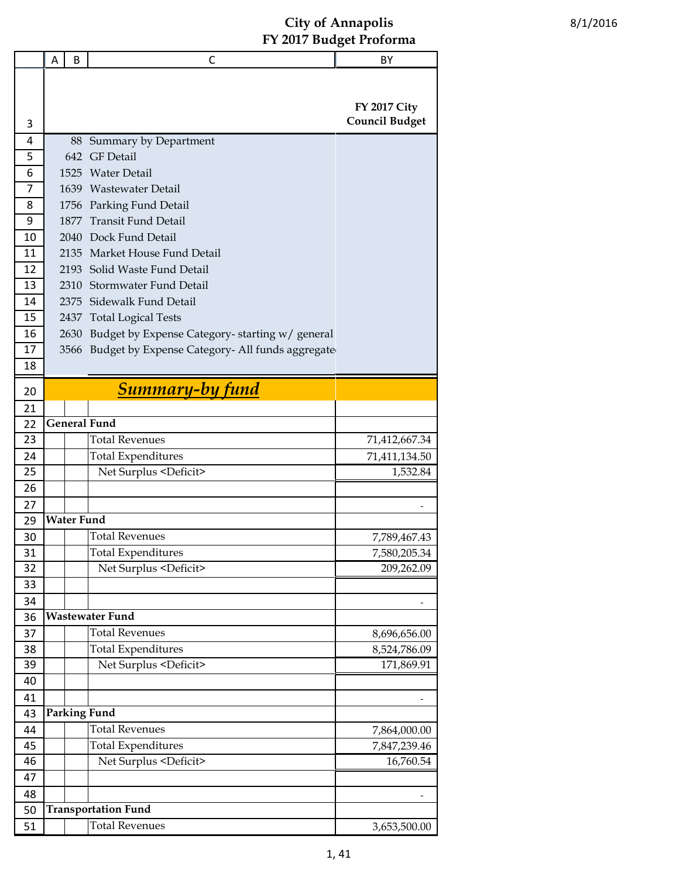|          | A | B                 | C                                                    | BY                    |
|----------|---|-------------------|------------------------------------------------------|-----------------------|
|          |   |                   |                                                      |                       |
|          |   |                   |                                                      | <b>FY 2017 City</b>   |
| 3        |   |                   |                                                      | <b>Council Budget</b> |
| 4        |   |                   | 88 Summary by Department                             |                       |
| 5        |   |                   | 642 GF Detail                                        |                       |
| 6        |   | 1525              | Water Detail                                         |                       |
| 7        |   |                   | 1639 Wastewater Detail                               |                       |
| 8        |   |                   | 1756 Parking Fund Detail                             |                       |
| 9        |   | 1877              | <b>Transit Fund Detail</b>                           |                       |
| 10       |   |                   | 2040 Dock Fund Detail                                |                       |
| 11       |   |                   | 2135 Market House Fund Detail                        |                       |
| 12       |   |                   | 2193 Solid Waste Fund Detail                         |                       |
| 13       |   |                   | 2310 Stormwater Fund Detail                          |                       |
| 14       |   |                   | 2375 Sidewalk Fund Detail                            |                       |
| 15       |   |                   | 2437 Total Logical Tests                             |                       |
| 16       |   | 2630              | Budget by Expense Category-starting w/ general       |                       |
| 17       |   |                   | 3566 Budget by Expense Category- All funds aggregate |                       |
| 18       |   |                   |                                                      |                       |
| 20       |   |                   | <b>Summary-by fund</b>                               |                       |
| 21       |   |                   |                                                      |                       |
| 22       |   |                   | <b>General Fund</b>                                  |                       |
| 23       |   |                   | <b>Total Revenues</b>                                | 71,412,667.34         |
| 24       |   |                   | <b>Total Expenditures</b>                            | 71,411,134.50         |
| 25       |   |                   | Net Surplus <deficit></deficit>                      | 1,532.84              |
| 26       |   |                   |                                                      |                       |
| 27       |   |                   |                                                      |                       |
| 29       |   | <b>Water Fund</b> |                                                      |                       |
| 30       |   |                   | <b>Total Revenues</b>                                | 7,789,467.43          |
| 31       |   |                   | <b>Total Expenditures</b>                            | 7,580,205.34          |
| 32       |   |                   | Net Surplus <deficit></deficit>                      | 209,262.09            |
| 33       |   |                   |                                                      |                       |
| 34       |   |                   |                                                      |                       |
| 36       |   |                   | <b>Wastewater Fund</b>                               |                       |
| 37       |   |                   | <b>Total Revenues</b>                                | 8,696,656.00          |
| 38<br>39 |   |                   | <b>Total Expenditures</b>                            | 8,524,786.09          |
| 40       |   |                   | Net Surplus <deficit></deficit>                      | 171,869.91            |
| 41       |   |                   |                                                      |                       |
| 43       |   |                   | <b>Parking Fund</b>                                  |                       |
| 44       |   |                   | <b>Total Revenues</b>                                | 7,864,000.00          |
| 45       |   |                   | <b>Total Expenditures</b>                            | 7,847,239.46          |
| 46       |   |                   | Net Surplus <deficit></deficit>                      | 16,760.54             |
| 47       |   |                   |                                                      |                       |
| 48       |   |                   |                                                      |                       |
| 50       |   |                   | <b>Transportation Fund</b>                           |                       |
| 51       |   |                   | <b>Total Revenues</b>                                | 3,653,500.00          |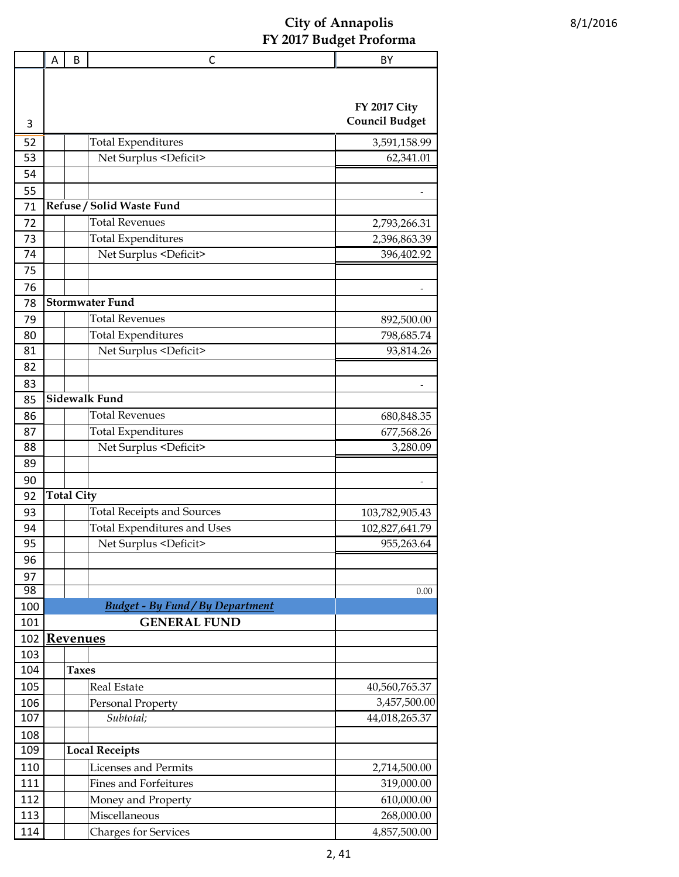| <b>FY 2017 City</b><br><b>Council Budget</b><br>3<br><b>Total Expenditures</b><br>52<br>3,591,158.99<br>53<br>Net Surplus <deficit><br/>62,341.01<br/>54<br/>55<br/>Refuse / Solid Waste Fund<br/>71<br/><b>Total Revenues</b><br/>72<br/>2,793,266.31<br/><b>Total Expenditures</b><br/>73<br/>2,396,863.39<br/>74<br/>Net Surplus <deficit><br/>396,402.92<br/>75<br/>76<br/><b>Stormwater Fund</b><br/>78<br/><b>Total Revenues</b><br/>79<br/>892,500.00<br/><b>Total Expenditures</b><br/>80<br/>798,685.74<br/>Net Surplus <deficit><br/>81<br/>93,814.26<br/>82<br/>83<br/><b>Sidewalk Fund</b><br/>85<br/><b>Total Revenues</b><br/>86<br/>680,848.35<br/><b>Total Expenditures</b><br/>87<br/>677,568.26<br/>Net Surplus <deficit><br/>88<br/>3,280.09<br/>89<br/>90<br/><b>Total City</b><br/>92<br/>93<br/><b>Total Receipts and Sources</b><br/>103,782,905.43<br/><b>Total Expenditures and Uses</b><br/>94<br/>102,827,641.79<br/>95<br/>Net Surplus <deficit><br/>955,263.64<br/>96<br/>97<br/>98<br/>0.00<br/><b>Budget - By Fund / By Department</b><br/>100<br/><b>GENERAL FUND</b><br/>101<br/>102<br/><b>Revenues</b><br/>103<br/>104<br/><b>Taxes</b><br/>105<br/><b>Real Estate</b><br/>40,560,765.37<br/>3,457,500.00<br/>106<br/>Personal Property<br/>107<br/>Subtotal;<br/>44,018,265.37<br/>108<br/>109<br/><b>Local Receipts</b><br/>Licenses and Permits<br/>110<br/>2,714,500.00<br/><b>Fines and Forfeitures</b><br/>111<br/>319,000.00<br/>112<br/>Money and Property<br/>610,000.00<br/>113<br/>Miscellaneous<br/>268,000.00</deficit></deficit></deficit></deficit></deficit> | Α | B | C | BY |
|-----------------------------------------------------------------------------------------------------------------------------------------------------------------------------------------------------------------------------------------------------------------------------------------------------------------------------------------------------------------------------------------------------------------------------------------------------------------------------------------------------------------------------------------------------------------------------------------------------------------------------------------------------------------------------------------------------------------------------------------------------------------------------------------------------------------------------------------------------------------------------------------------------------------------------------------------------------------------------------------------------------------------------------------------------------------------------------------------------------------------------------------------------------------------------------------------------------------------------------------------------------------------------------------------------------------------------------------------------------------------------------------------------------------------------------------------------------------------------------------------------------------------------------------------------------------------------------------------------------------|---|---|---|----|
|                                                                                                                                                                                                                                                                                                                                                                                                                                                                                                                                                                                                                                                                                                                                                                                                                                                                                                                                                                                                                                                                                                                                                                                                                                                                                                                                                                                                                                                                                                                                                                                                                 |   |   |   |    |
|                                                                                                                                                                                                                                                                                                                                                                                                                                                                                                                                                                                                                                                                                                                                                                                                                                                                                                                                                                                                                                                                                                                                                                                                                                                                                                                                                                                                                                                                                                                                                                                                                 |   |   |   |    |
|                                                                                                                                                                                                                                                                                                                                                                                                                                                                                                                                                                                                                                                                                                                                                                                                                                                                                                                                                                                                                                                                                                                                                                                                                                                                                                                                                                                                                                                                                                                                                                                                                 |   |   |   |    |
|                                                                                                                                                                                                                                                                                                                                                                                                                                                                                                                                                                                                                                                                                                                                                                                                                                                                                                                                                                                                                                                                                                                                                                                                                                                                                                                                                                                                                                                                                                                                                                                                                 |   |   |   |    |
|                                                                                                                                                                                                                                                                                                                                                                                                                                                                                                                                                                                                                                                                                                                                                                                                                                                                                                                                                                                                                                                                                                                                                                                                                                                                                                                                                                                                                                                                                                                                                                                                                 |   |   |   |    |
|                                                                                                                                                                                                                                                                                                                                                                                                                                                                                                                                                                                                                                                                                                                                                                                                                                                                                                                                                                                                                                                                                                                                                                                                                                                                                                                                                                                                                                                                                                                                                                                                                 |   |   |   |    |
|                                                                                                                                                                                                                                                                                                                                                                                                                                                                                                                                                                                                                                                                                                                                                                                                                                                                                                                                                                                                                                                                                                                                                                                                                                                                                                                                                                                                                                                                                                                                                                                                                 |   |   |   |    |
|                                                                                                                                                                                                                                                                                                                                                                                                                                                                                                                                                                                                                                                                                                                                                                                                                                                                                                                                                                                                                                                                                                                                                                                                                                                                                                                                                                                                                                                                                                                                                                                                                 |   |   |   |    |
|                                                                                                                                                                                                                                                                                                                                                                                                                                                                                                                                                                                                                                                                                                                                                                                                                                                                                                                                                                                                                                                                                                                                                                                                                                                                                                                                                                                                                                                                                                                                                                                                                 |   |   |   |    |
|                                                                                                                                                                                                                                                                                                                                                                                                                                                                                                                                                                                                                                                                                                                                                                                                                                                                                                                                                                                                                                                                                                                                                                                                                                                                                                                                                                                                                                                                                                                                                                                                                 |   |   |   |    |
|                                                                                                                                                                                                                                                                                                                                                                                                                                                                                                                                                                                                                                                                                                                                                                                                                                                                                                                                                                                                                                                                                                                                                                                                                                                                                                                                                                                                                                                                                                                                                                                                                 |   |   |   |    |
|                                                                                                                                                                                                                                                                                                                                                                                                                                                                                                                                                                                                                                                                                                                                                                                                                                                                                                                                                                                                                                                                                                                                                                                                                                                                                                                                                                                                                                                                                                                                                                                                                 |   |   |   |    |
|                                                                                                                                                                                                                                                                                                                                                                                                                                                                                                                                                                                                                                                                                                                                                                                                                                                                                                                                                                                                                                                                                                                                                                                                                                                                                                                                                                                                                                                                                                                                                                                                                 |   |   |   |    |
|                                                                                                                                                                                                                                                                                                                                                                                                                                                                                                                                                                                                                                                                                                                                                                                                                                                                                                                                                                                                                                                                                                                                                                                                                                                                                                                                                                                                                                                                                                                                                                                                                 |   |   |   |    |
|                                                                                                                                                                                                                                                                                                                                                                                                                                                                                                                                                                                                                                                                                                                                                                                                                                                                                                                                                                                                                                                                                                                                                                                                                                                                                                                                                                                                                                                                                                                                                                                                                 |   |   |   |    |
|                                                                                                                                                                                                                                                                                                                                                                                                                                                                                                                                                                                                                                                                                                                                                                                                                                                                                                                                                                                                                                                                                                                                                                                                                                                                                                                                                                                                                                                                                                                                                                                                                 |   |   |   |    |
|                                                                                                                                                                                                                                                                                                                                                                                                                                                                                                                                                                                                                                                                                                                                                                                                                                                                                                                                                                                                                                                                                                                                                                                                                                                                                                                                                                                                                                                                                                                                                                                                                 |   |   |   |    |
|                                                                                                                                                                                                                                                                                                                                                                                                                                                                                                                                                                                                                                                                                                                                                                                                                                                                                                                                                                                                                                                                                                                                                                                                                                                                                                                                                                                                                                                                                                                                                                                                                 |   |   |   |    |
|                                                                                                                                                                                                                                                                                                                                                                                                                                                                                                                                                                                                                                                                                                                                                                                                                                                                                                                                                                                                                                                                                                                                                                                                                                                                                                                                                                                                                                                                                                                                                                                                                 |   |   |   |    |
|                                                                                                                                                                                                                                                                                                                                                                                                                                                                                                                                                                                                                                                                                                                                                                                                                                                                                                                                                                                                                                                                                                                                                                                                                                                                                                                                                                                                                                                                                                                                                                                                                 |   |   |   |    |
|                                                                                                                                                                                                                                                                                                                                                                                                                                                                                                                                                                                                                                                                                                                                                                                                                                                                                                                                                                                                                                                                                                                                                                                                                                                                                                                                                                                                                                                                                                                                                                                                                 |   |   |   |    |
|                                                                                                                                                                                                                                                                                                                                                                                                                                                                                                                                                                                                                                                                                                                                                                                                                                                                                                                                                                                                                                                                                                                                                                                                                                                                                                                                                                                                                                                                                                                                                                                                                 |   |   |   |    |
|                                                                                                                                                                                                                                                                                                                                                                                                                                                                                                                                                                                                                                                                                                                                                                                                                                                                                                                                                                                                                                                                                                                                                                                                                                                                                                                                                                                                                                                                                                                                                                                                                 |   |   |   |    |
|                                                                                                                                                                                                                                                                                                                                                                                                                                                                                                                                                                                                                                                                                                                                                                                                                                                                                                                                                                                                                                                                                                                                                                                                                                                                                                                                                                                                                                                                                                                                                                                                                 |   |   |   |    |
|                                                                                                                                                                                                                                                                                                                                                                                                                                                                                                                                                                                                                                                                                                                                                                                                                                                                                                                                                                                                                                                                                                                                                                                                                                                                                                                                                                                                                                                                                                                                                                                                                 |   |   |   |    |
|                                                                                                                                                                                                                                                                                                                                                                                                                                                                                                                                                                                                                                                                                                                                                                                                                                                                                                                                                                                                                                                                                                                                                                                                                                                                                                                                                                                                                                                                                                                                                                                                                 |   |   |   |    |
|                                                                                                                                                                                                                                                                                                                                                                                                                                                                                                                                                                                                                                                                                                                                                                                                                                                                                                                                                                                                                                                                                                                                                                                                                                                                                                                                                                                                                                                                                                                                                                                                                 |   |   |   |    |
|                                                                                                                                                                                                                                                                                                                                                                                                                                                                                                                                                                                                                                                                                                                                                                                                                                                                                                                                                                                                                                                                                                                                                                                                                                                                                                                                                                                                                                                                                                                                                                                                                 |   |   |   |    |
|                                                                                                                                                                                                                                                                                                                                                                                                                                                                                                                                                                                                                                                                                                                                                                                                                                                                                                                                                                                                                                                                                                                                                                                                                                                                                                                                                                                                                                                                                                                                                                                                                 |   |   |   |    |
|                                                                                                                                                                                                                                                                                                                                                                                                                                                                                                                                                                                                                                                                                                                                                                                                                                                                                                                                                                                                                                                                                                                                                                                                                                                                                                                                                                                                                                                                                                                                                                                                                 |   |   |   |    |
|                                                                                                                                                                                                                                                                                                                                                                                                                                                                                                                                                                                                                                                                                                                                                                                                                                                                                                                                                                                                                                                                                                                                                                                                                                                                                                                                                                                                                                                                                                                                                                                                                 |   |   |   |    |
|                                                                                                                                                                                                                                                                                                                                                                                                                                                                                                                                                                                                                                                                                                                                                                                                                                                                                                                                                                                                                                                                                                                                                                                                                                                                                                                                                                                                                                                                                                                                                                                                                 |   |   |   |    |
|                                                                                                                                                                                                                                                                                                                                                                                                                                                                                                                                                                                                                                                                                                                                                                                                                                                                                                                                                                                                                                                                                                                                                                                                                                                                                                                                                                                                                                                                                                                                                                                                                 |   |   |   |    |
|                                                                                                                                                                                                                                                                                                                                                                                                                                                                                                                                                                                                                                                                                                                                                                                                                                                                                                                                                                                                                                                                                                                                                                                                                                                                                                                                                                                                                                                                                                                                                                                                                 |   |   |   |    |
|                                                                                                                                                                                                                                                                                                                                                                                                                                                                                                                                                                                                                                                                                                                                                                                                                                                                                                                                                                                                                                                                                                                                                                                                                                                                                                                                                                                                                                                                                                                                                                                                                 |   |   |   |    |
|                                                                                                                                                                                                                                                                                                                                                                                                                                                                                                                                                                                                                                                                                                                                                                                                                                                                                                                                                                                                                                                                                                                                                                                                                                                                                                                                                                                                                                                                                                                                                                                                                 |   |   |   |    |
|                                                                                                                                                                                                                                                                                                                                                                                                                                                                                                                                                                                                                                                                                                                                                                                                                                                                                                                                                                                                                                                                                                                                                                                                                                                                                                                                                                                                                                                                                                                                                                                                                 |   |   |   |    |
|                                                                                                                                                                                                                                                                                                                                                                                                                                                                                                                                                                                                                                                                                                                                                                                                                                                                                                                                                                                                                                                                                                                                                                                                                                                                                                                                                                                                                                                                                                                                                                                                                 |   |   |   |    |
|                                                                                                                                                                                                                                                                                                                                                                                                                                                                                                                                                                                                                                                                                                                                                                                                                                                                                                                                                                                                                                                                                                                                                                                                                                                                                                                                                                                                                                                                                                                                                                                                                 |   |   |   |    |
|                                                                                                                                                                                                                                                                                                                                                                                                                                                                                                                                                                                                                                                                                                                                                                                                                                                                                                                                                                                                                                                                                                                                                                                                                                                                                                                                                                                                                                                                                                                                                                                                                 |   |   |   |    |
|                                                                                                                                                                                                                                                                                                                                                                                                                                                                                                                                                                                                                                                                                                                                                                                                                                                                                                                                                                                                                                                                                                                                                                                                                                                                                                                                                                                                                                                                                                                                                                                                                 |   |   |   |    |
|                                                                                                                                                                                                                                                                                                                                                                                                                                                                                                                                                                                                                                                                                                                                                                                                                                                                                                                                                                                                                                                                                                                                                                                                                                                                                                                                                                                                                                                                                                                                                                                                                 |   |   |   |    |
|                                                                                                                                                                                                                                                                                                                                                                                                                                                                                                                                                                                                                                                                                                                                                                                                                                                                                                                                                                                                                                                                                                                                                                                                                                                                                                                                                                                                                                                                                                                                                                                                                 |   |   |   |    |
|                                                                                                                                                                                                                                                                                                                                                                                                                                                                                                                                                                                                                                                                                                                                                                                                                                                                                                                                                                                                                                                                                                                                                                                                                                                                                                                                                                                                                                                                                                                                                                                                                 |   |   |   |    |
|                                                                                                                                                                                                                                                                                                                                                                                                                                                                                                                                                                                                                                                                                                                                                                                                                                                                                                                                                                                                                                                                                                                                                                                                                                                                                                                                                                                                                                                                                                                                                                                                                 |   |   |   |    |
| 114<br><b>Charges for Services</b><br>4,857,500.00                                                                                                                                                                                                                                                                                                                                                                                                                                                                                                                                                                                                                                                                                                                                                                                                                                                                                                                                                                                                                                                                                                                                                                                                                                                                                                                                                                                                                                                                                                                                                              |   |   |   |    |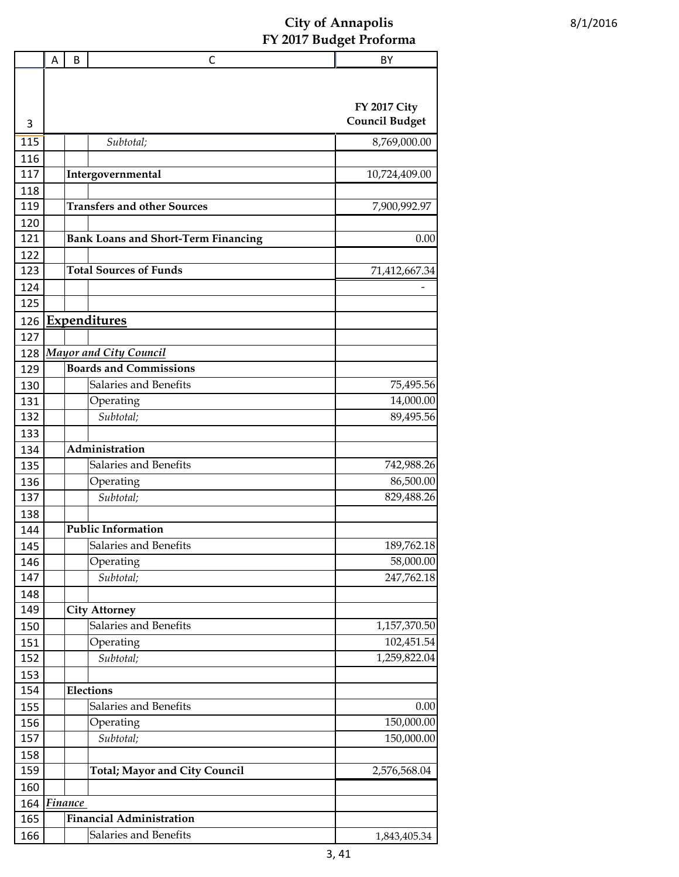|     | Α | B              | С                                          | BY                    |
|-----|---|----------------|--------------------------------------------|-----------------------|
|     |   |                |                                            |                       |
|     |   |                |                                            |                       |
|     |   |                |                                            | <b>FY 2017 City</b>   |
| 3   |   |                |                                            | <b>Council Budget</b> |
| 115 |   |                | Subtotal;                                  | 8,769,000.00          |
| 116 |   |                |                                            |                       |
| 117 |   |                | Intergovernmental                          | 10,724,409.00         |
| 118 |   |                |                                            |                       |
| 119 |   |                | <b>Transfers and other Sources</b>         | 7,900,992.97          |
| 120 |   |                |                                            |                       |
| 121 |   |                | <b>Bank Loans and Short-Term Financing</b> | 0.00                  |
| 122 |   |                |                                            |                       |
| 123 |   |                | <b>Total Sources of Funds</b>              | 71,412,667.34         |
| 124 |   |                |                                            |                       |
| 125 |   |                |                                            |                       |
| 126 |   |                | Expenditures                               |                       |
| 127 |   |                |                                            |                       |
| 128 |   |                | <b>Mayor and City Council</b>              |                       |
| 129 |   |                | <b>Boards and Commissions</b>              |                       |
| 130 |   |                | Salaries and Benefits                      | 75,495.56             |
| 131 |   |                | Operating                                  | 14,000.00             |
| 132 |   |                | Subtotal;                                  | 89,495.56             |
| 133 |   |                |                                            |                       |
| 134 |   |                | Administration                             |                       |
| 135 |   |                | Salaries and Benefits                      | 742,988.26            |
| 136 |   |                | Operating                                  | 86,500.00             |
| 137 |   |                | Subtotal;                                  | 829,488.26            |
| 138 |   |                |                                            |                       |
| 144 |   |                | <b>Public Information</b>                  |                       |
| 145 |   |                | Salaries and Benefits                      | 189,762.18            |
| 146 |   |                | Operating                                  | 58,000.00             |
| 147 |   |                | Subtotal;                                  | 247,762.18            |
| 148 |   |                |                                            |                       |
| 149 |   |                | <b>City Attorney</b>                       |                       |
| 150 |   |                | Salaries and Benefits                      | 1,157,370.50          |
| 151 |   |                | Operating                                  | 102,451.54            |
| 152 |   |                | Subtotal;                                  | 1,259,822.04          |
| 153 |   |                |                                            |                       |
| 154 |   |                | <b>Elections</b>                           |                       |
| 155 |   |                | Salaries and Benefits                      | 0.00                  |
| 156 |   |                | Operating                                  | 150,000.00            |
| 157 |   |                | Subtotal;                                  | 150,000.00            |
| 158 |   |                |                                            |                       |
| 159 |   |                | <b>Total; Mayor and City Council</b>       | 2,576,568.04          |
| 160 |   |                |                                            |                       |
| 164 |   | <b>Finance</b> |                                            |                       |
| 165 |   |                | <b>Financial Administration</b>            |                       |
|     |   |                | Salaries and Benefits                      |                       |
| 166 |   |                |                                            | 1,843,405.34          |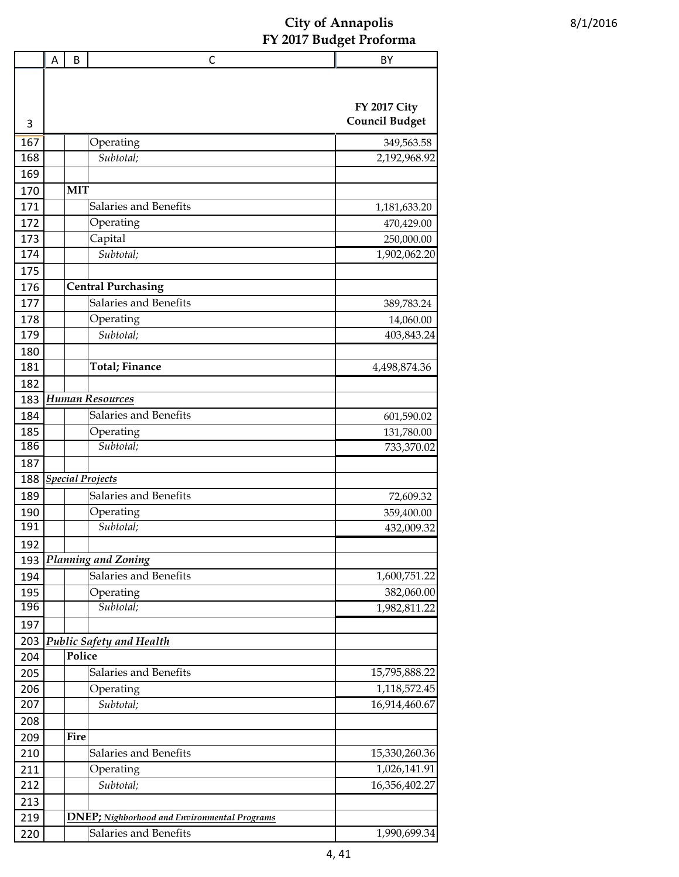|     | Α | B          | C                                                    | BY                                           |
|-----|---|------------|------------------------------------------------------|----------------------------------------------|
| 3   |   |            |                                                      | <b>FY 2017 City</b><br><b>Council Budget</b> |
|     |   |            |                                                      |                                              |
| 167 |   |            | Operating                                            | 349,563.58                                   |
| 168 |   |            | Subtotal;                                            | 2,192,968.92                                 |
| 169 |   |            |                                                      |                                              |
| 170 |   | <b>MIT</b> |                                                      |                                              |
| 171 |   |            | Salaries and Benefits                                | 1,181,633.20                                 |
| 172 |   |            | Operating                                            | 470,429.00                                   |
| 173 |   |            | Capital                                              | 250,000.00                                   |
| 174 |   |            | Subtotal;                                            | 1,902,062.20                                 |
| 175 |   |            |                                                      |                                              |
| 176 |   |            | <b>Central Purchasing</b>                            |                                              |
| 177 |   |            | Salaries and Benefits                                | 389,783.24                                   |
| 178 |   |            | Operating                                            | 14,060.00                                    |
| 179 |   |            | Subtotal;                                            | 403,843.24                                   |
| 180 |   |            |                                                      |                                              |
| 181 |   |            | <b>Total</b> ; Finance                               | 4,498,874.36                                 |
| 182 |   |            |                                                      |                                              |
| 183 |   |            | <b>Human Resources</b>                               |                                              |
| 184 |   |            | Salaries and Benefits                                | 601,590.02                                   |
| 185 |   |            | Operating                                            | 131,780.00                                   |
| 186 |   |            | Subtotal;                                            | 733,370.02                                   |
| 187 |   |            |                                                      |                                              |
| 188 |   |            | <b>Special Projects</b>                              |                                              |
| 189 |   |            | Salaries and Benefits                                | 72,609.32                                    |
| 190 |   |            | Operating                                            | 359,400.00                                   |
| 191 |   |            | Subtotal;                                            | 432,009.32                                   |
| 192 |   |            |                                                      |                                              |
| 193 |   |            | Planning and Zoning                                  |                                              |
| 194 |   |            | Salaries and Benefits                                | 1,600,751.22                                 |
| 195 |   |            | Operating                                            | 382,060.00                                   |
| 196 |   |            | Subtotal;                                            | 1,982,811.22                                 |
| 197 |   |            |                                                      |                                              |
| 203 |   |            | <b>Public Safety and Health</b>                      |                                              |
| 204 |   | Police     |                                                      |                                              |
| 205 |   |            | Salaries and Benefits                                | 15,795,888.22                                |
| 206 |   |            | Operating                                            | 1,118,572.45                                 |
| 207 |   |            | Subtotal;                                            | 16,914,460.67                                |
| 208 |   |            |                                                      |                                              |
| 209 |   | Fire       |                                                      |                                              |
| 210 |   |            | Salaries and Benefits                                | 15,330,260.36                                |
| 211 |   |            | Operating                                            | 1,026,141.91                                 |
| 212 |   |            | Subtotal;                                            | 16,356,402.27                                |
| 213 |   |            |                                                      |                                              |
| 219 |   |            | <b>DNEP</b> ; Nighborhood and Environmental Programs |                                              |
| 220 |   |            | Salaries and Benefits                                | 1,990,699.34                                 |
|     |   |            |                                                      |                                              |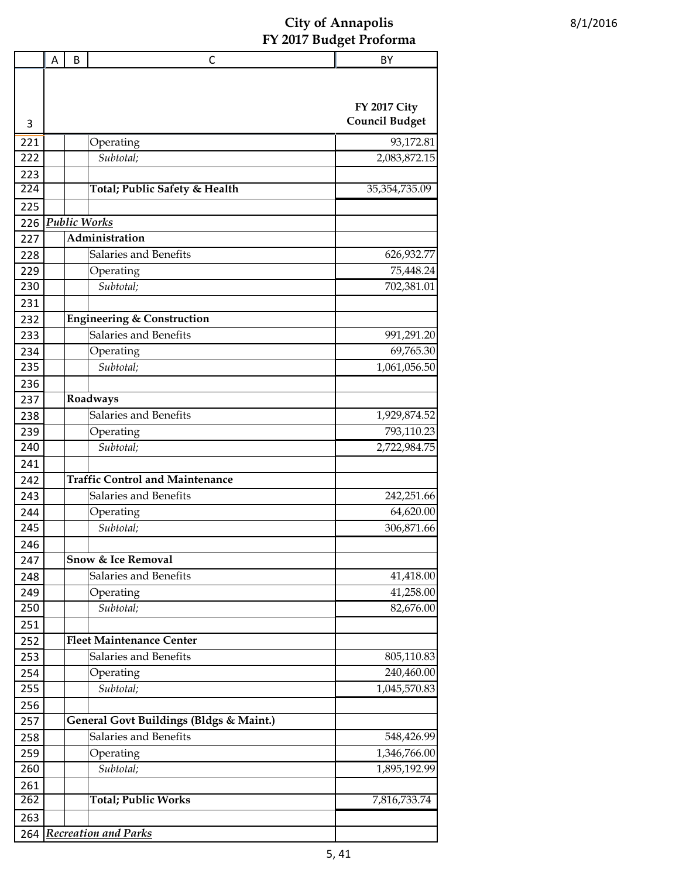|            | Α | B | С                                                                | BY                    |
|------------|---|---|------------------------------------------------------------------|-----------------------|
|            |   |   |                                                                  | <b>FY 2017 City</b>   |
| 3          |   |   |                                                                  | <b>Council Budget</b> |
| 221        |   |   | Operating                                                        | 93,172.81             |
| 222        |   |   | Subtotal;                                                        | 2,083,872.15          |
| 223        |   |   |                                                                  |                       |
| 224        |   |   | Total; Public Safety & Health                                    | 35, 354, 735.09       |
| 225        |   |   |                                                                  |                       |
| 226        |   |   | <b>Public Works</b>                                              |                       |
| 227        |   |   | Administration                                                   |                       |
| 228        |   |   | Salaries and Benefits                                            | 626,932.77            |
| 229        |   |   | Operating                                                        | 75,448.24             |
| 230        |   |   | Subtotal;                                                        | 702,381.01            |
| 231        |   |   |                                                                  |                       |
| 232        |   |   | <b>Engineering &amp; Construction</b>                            |                       |
| 233        |   |   | Salaries and Benefits                                            | 991,291.20            |
| 234        |   |   | Operating                                                        | 69,765.30             |
| 235        |   |   | Subtotal;                                                        | 1,061,056.50          |
| 236        |   |   |                                                                  |                       |
| 237        |   |   | Roadways                                                         |                       |
| 238        |   |   | Salaries and Benefits                                            | 1,929,874.52          |
| 239        |   |   | Operating                                                        | 793,110.23            |
| 240        |   |   | Subtotal;                                                        | 2,722,984.75          |
| 241        |   |   |                                                                  |                       |
| 242        |   |   | <b>Traffic Control and Maintenance</b>                           |                       |
| 243        |   |   | Salaries and Benefits                                            | 242,251.66            |
| 244        |   |   | Operating                                                        | 64,620.00             |
| 245        |   |   | Subtotal;                                                        | 306,871.66            |
| 246        |   |   |                                                                  |                       |
| 247        |   |   | <b>Snow &amp; Ice Removal</b>                                    |                       |
| 248        |   |   | Salaries and Benefits                                            | 41,418.00             |
| 249        |   |   | Operating                                                        | 41,258.00             |
| 250        |   |   | Subtotal;                                                        | 82,676.00             |
| 251        |   |   |                                                                  |                       |
| 252        |   |   | <b>Fleet Maintenance Center</b>                                  |                       |
| 253        |   |   | Salaries and Benefits                                            | 805,110.83            |
| 254        |   |   | Operating                                                        | 240,460.00            |
| 255        |   |   | Subtotal;                                                        | 1,045,570.83          |
| 256        |   |   |                                                                  |                       |
| 257        |   |   | General Govt Buildings (Bldgs & Maint.)<br>Salaries and Benefits | 548,426.99            |
| 258        |   |   |                                                                  | 1,346,766.00          |
| 259<br>260 |   |   | Operating<br>Subtotal;                                           | 1,895,192.99          |
| 261        |   |   |                                                                  |                       |
| 262        |   |   | <b>Total; Public Works</b>                                       | 7,816,733.74          |
| 263        |   |   |                                                                  |                       |
| 264        |   |   | <b>Recreation and Parks</b>                                      |                       |
|            |   |   |                                                                  |                       |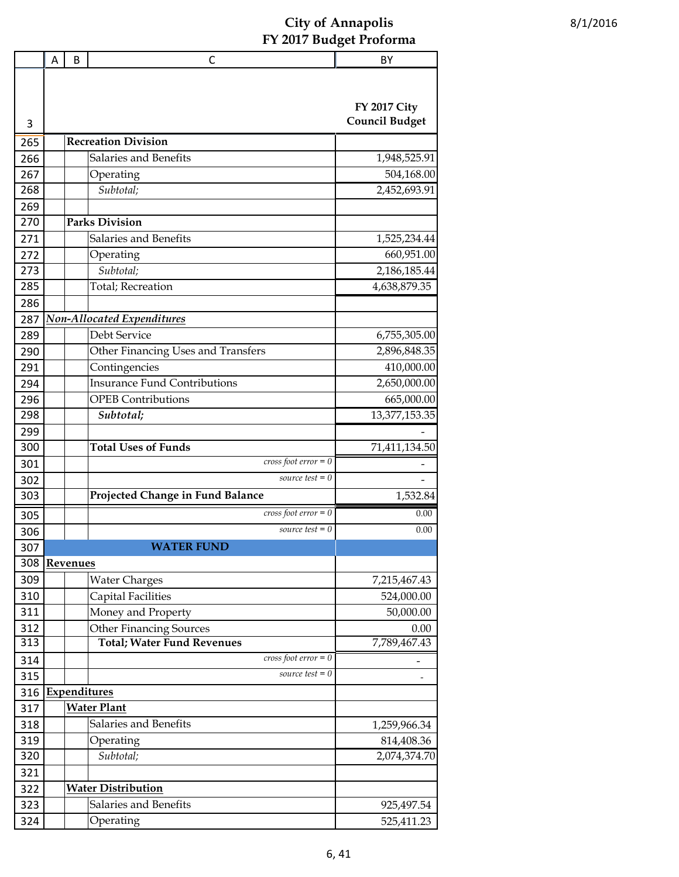|            | Α | B        | С                                                                   | BY                         |
|------------|---|----------|---------------------------------------------------------------------|----------------------------|
|            |   |          |                                                                     |                            |
|            |   |          |                                                                     | <b>FY 2017 City</b>        |
| 3          |   |          |                                                                     | <b>Council Budget</b>      |
| 265        |   |          | <b>Recreation Division</b>                                          |                            |
| 266        |   |          | Salaries and Benefits                                               | 1,948,525.91               |
| 267        |   |          | Operating                                                           | 504,168.00                 |
| 268        |   |          | Subtotal;                                                           | 2,452,693.91               |
| 269        |   |          |                                                                     |                            |
| 270        |   |          | <b>Parks Division</b>                                               |                            |
| 271        |   |          | Salaries and Benefits                                               | 1,525,234.44               |
| 272        |   |          | Operating                                                           | 660,951.00                 |
| 273        |   |          | Subtotal;                                                           | 2,186,185.44               |
| 285        |   |          | <b>Total</b> ; Recreation                                           | 4,638,879.35               |
| 286        |   |          |                                                                     |                            |
| 287        |   |          | <b>Non-Allocated Expenditures</b>                                   |                            |
| 289        |   |          | Debt Service                                                        | 6,755,305.00               |
| 290        |   |          | Other Financing Uses and Transfers                                  | 2,896,848.35               |
| 291        |   |          | Contingencies                                                       | 410,000.00                 |
| 294        |   |          | <b>Insurance Fund Contributions</b>                                 | 2,650,000.00               |
| 296        |   |          | <b>OPEB</b> Contributions                                           | 665,000.00                 |
| 298        |   |          | Subtotal;                                                           | 13,377,153.35              |
| 299        |   |          |                                                                     |                            |
| 300        |   |          | <b>Total Uses of Funds</b>                                          | 71,411,134.50              |
| 301        |   |          | $cross foot error = 0$                                              |                            |
| 302        |   |          | source test $= 0$                                                   |                            |
| 303        |   |          | Projected Change in Fund Balance                                    | 1,532.84                   |
| 305        |   |          | $cross foot error = 0$                                              | 0.00                       |
| 306        |   |          | source test $= 0$                                                   | 0.00                       |
| 307        |   |          | <b>WATER FUND</b>                                                   |                            |
| 308        |   | Revenues |                                                                     |                            |
| 309        |   |          | <b>Water Charges</b>                                                | 7,215,467.43               |
| 310        |   |          | <b>Capital Facilities</b>                                           | 524,000.00                 |
| 311        |   |          | Money and Property                                                  | 50,000.00                  |
| 312        |   |          | <b>Other Financing Sources</b><br><b>Total; Water Fund Revenues</b> | 0.00                       |
| 313        |   |          | $cross foot error = 0$                                              | 7,789,467.43               |
| 314        |   |          | source test $= 0$                                                   |                            |
| 315        |   |          |                                                                     |                            |
| 316        |   |          | <b>Expenditures</b>                                                 |                            |
| 317        |   |          | <b>Water Plant</b><br>Salaries and Benefits                         |                            |
| 318<br>319 |   |          | Operating                                                           | 1,259,966.34               |
| 320        |   |          | Subtotal;                                                           | 814,408.36<br>2,074,374.70 |
| 321        |   |          |                                                                     |                            |
| 322        |   |          | <b>Water Distribution</b>                                           |                            |
| 323        |   |          | Salaries and Benefits                                               | 925,497.54                 |
| 324        |   |          | Operating                                                           | 525,411.23                 |
|            |   |          |                                                                     |                            |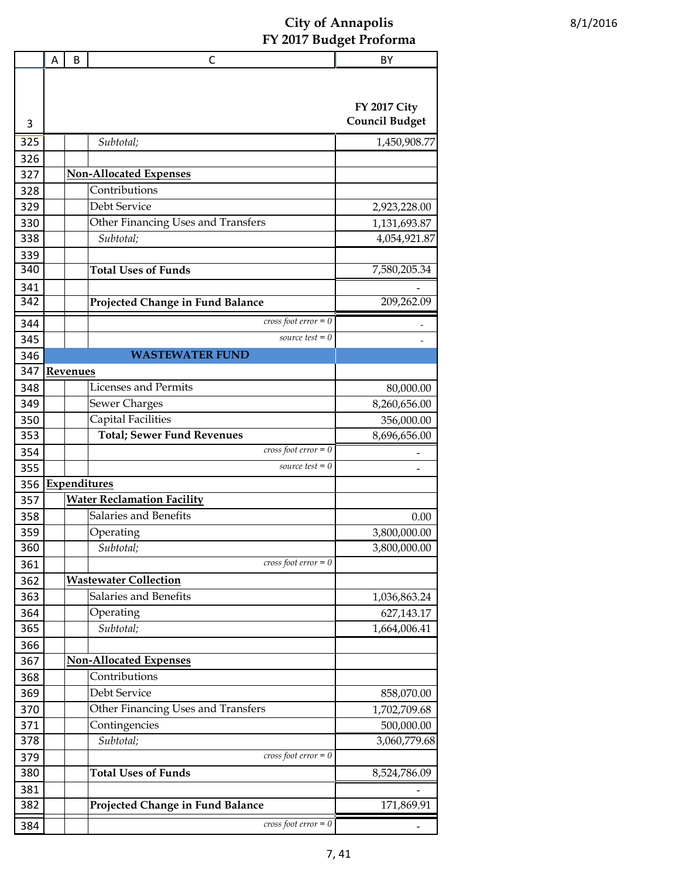|            | A | B        | C                                               | BY                                           |
|------------|---|----------|-------------------------------------------------|----------------------------------------------|
|            |   |          |                                                 |                                              |
|            |   |          |                                                 |                                              |
|            |   |          |                                                 | <b>FY 2017 City</b><br><b>Council Budget</b> |
| 3          |   |          |                                                 |                                              |
| 325        |   |          | Subtotal;                                       | 1,450,908.77                                 |
| 326        |   |          |                                                 |                                              |
| 327        |   |          | <b>Non-Allocated Expenses</b><br>Contributions  |                                              |
| 328        |   |          | Debt Service                                    |                                              |
| 329        |   |          |                                                 | 2,923,228.00                                 |
| 330        |   |          | Other Financing Uses and Transfers<br>Subtotal; | 1,131,693.87                                 |
| 338        |   |          |                                                 | 4,054,921.87                                 |
| 339<br>340 |   |          | <b>Total Uses of Funds</b>                      |                                              |
|            |   |          |                                                 | 7,580,205.34                                 |
| 341<br>342 |   |          |                                                 | 209,262.09                                   |
|            |   |          | Projected Change in Fund Balance                |                                              |
| 344        |   |          | cross foot $error = 0$                          |                                              |
| 345        |   |          | source test $= 0$                               |                                              |
| 346        |   |          | <b>WASTEWATER FUND</b>                          |                                              |
| 347        |   | Revenues |                                                 |                                              |
| 348        |   |          | <b>Licenses and Permits</b>                     | 80,000.00                                    |
| 349        |   |          | <b>Sewer Charges</b>                            | 8,260,656.00                                 |
| 350        |   |          | <b>Capital Facilities</b>                       | 356,000.00                                   |
| 353        |   |          | <b>Total; Sewer Fund Revenues</b>               | 8,696,656.00                                 |
| 354        |   |          | $cross foot error = 0$                          |                                              |
| 355        |   |          | source test $= 0$                               |                                              |
| 356        |   |          | Expenditures                                    |                                              |
| 357        |   |          | <b>Water Reclamation Facility</b>               |                                              |
| 358        |   |          | Salaries and Benefits                           | 0.00                                         |
| 359        |   |          | Operating                                       | 3,800,000.00                                 |
| 360        |   |          | Subtotal;                                       | 3,800,000.00                                 |
| 361        |   |          | $cross foot error = 0$                          |                                              |
| 362        |   |          | <b>Wastewater Collection</b>                    |                                              |
| 363        |   |          | Salaries and Benefits                           | 1,036,863.24                                 |
| 364        |   |          | Operating                                       | 627,143.17                                   |
| 365        |   |          | Subtotal;                                       | 1,664,006.41                                 |
| 366        |   |          |                                                 |                                              |
| 367        |   |          | <b>Non-Allocated Expenses</b>                   |                                              |
| 368        |   |          | Contributions                                   |                                              |
| 369        |   |          | Debt Service                                    | 858,070.00                                   |
| 370        |   |          | Other Financing Uses and Transfers              | 1,702,709.68                                 |
| 371        |   |          | Contingencies                                   | 500,000.00                                   |
| 378        |   |          | Subtotal;                                       | 3,060,779.68                                 |
| 379        |   |          | $cross foot error = 0$                          |                                              |
| 380        |   |          | <b>Total Uses of Funds</b>                      | 8,524,786.09                                 |
| 381        |   |          |                                                 |                                              |
| 382        |   |          | Projected Change in Fund Balance                | 171,869.91                                   |
| 384        |   |          | $cross foot error = 0$                          |                                              |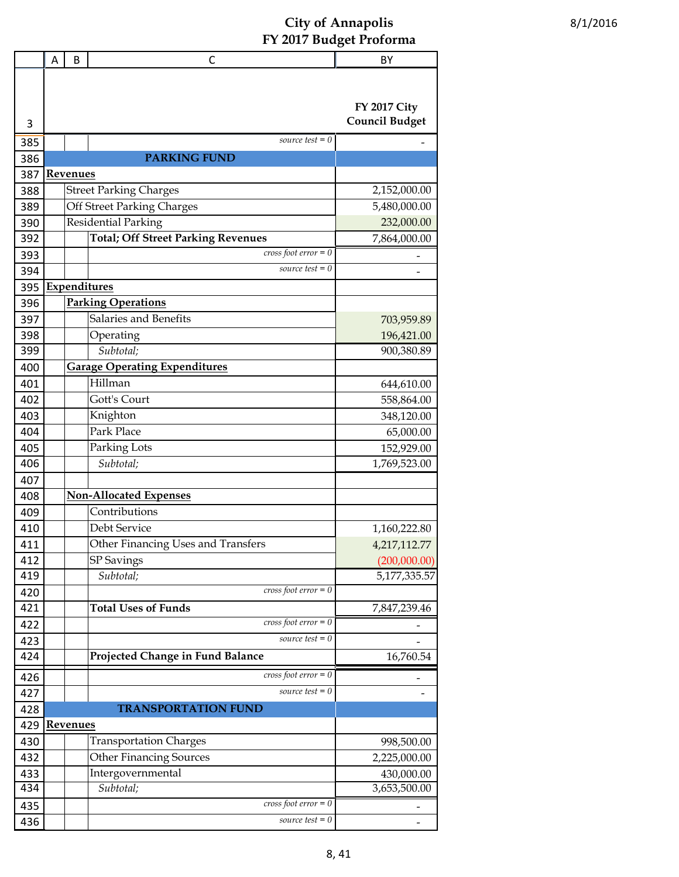|            | A | B               | С                                                       | BY                                           |
|------------|---|-----------------|---------------------------------------------------------|----------------------------------------------|
| 3          |   |                 |                                                         | <b>FY 2017 City</b><br><b>Council Budget</b> |
| 385        |   |                 | source test $= 0$                                       |                                              |
| 386        |   |                 | <b>PARKING FUND</b>                                     |                                              |
| 387        |   | <b>Revenues</b> |                                                         |                                              |
| 388        |   |                 | <b>Street Parking Charges</b>                           | 2,152,000.00                                 |
| 389        |   |                 | Off Street Parking Charges                              | 5,480,000.00                                 |
| 390        |   |                 | <b>Residential Parking</b>                              | 232,000.00                                   |
| 392        |   |                 | <b>Total; Off Street Parking Revenues</b>               | 7,864,000.00                                 |
| 393        |   |                 | $cross foot error = 0$                                  |                                              |
| 394        |   |                 | source test $= 0$                                       |                                              |
| 395        |   |                 | Expenditures                                            |                                              |
| 396        |   |                 | <b>Parking Operations</b>                               |                                              |
| 397        |   |                 | Salaries and Benefits                                   | 703,959.89                                   |
| 398        |   |                 | Operating                                               | 196,421.00                                   |
| 399        |   |                 | Subtotal;                                               | 900,380.89                                   |
| 400        |   |                 | <b>Garage Operating Expenditures</b>                    |                                              |
| 401        |   |                 | Hillman                                                 | 644,610.00                                   |
| 402        |   |                 | Gott's Court                                            | 558,864.00                                   |
| 403        |   |                 | Knighton                                                | 348,120.00                                   |
| 404        |   |                 | Park Place                                              | 65,000.00                                    |
| 405        |   |                 | Parking Lots                                            | 152,929.00                                   |
| 406        |   |                 | Subtotal;                                               | 1,769,523.00                                 |
| 407        |   |                 |                                                         |                                              |
|            |   |                 | <b>Non-Allocated Expenses</b>                           |                                              |
| 408<br>409 |   |                 | Contributions                                           |                                              |
|            |   |                 | Debt Service                                            |                                              |
| 410        |   |                 |                                                         | 1,160,222.80                                 |
| 411        |   |                 | Other Financing Uses and Transfers<br><b>SP</b> Savings | 4,217,112.77                                 |
| 412<br>419 |   |                 | Subtotal;                                               | (200,000.00)<br>5,177,335.57                 |
|            |   |                 | $cross$ foot error = 0                                  |                                              |
| 420<br>421 |   |                 | <b>Total Uses of Funds</b>                              | 7,847,239.46                                 |
|            |   |                 | $cross foot error = 0$                                  |                                              |
| 422        |   |                 | source test $= 0$                                       |                                              |
| 423<br>424 |   |                 | Projected Change in Fund Balance                        | 16,760.54                                    |
|            |   |                 |                                                         |                                              |
| 426        |   |                 | $cross foot error = 0$                                  |                                              |
| 427        |   |                 | source test $= 0$                                       |                                              |
| 428        |   |                 | <b>TRANSPORTATION FUND</b>                              |                                              |
| 429        |   | <b>Revenues</b> |                                                         |                                              |
| 430        |   |                 | <b>Transportation Charges</b>                           | 998,500.00                                   |
| 432        |   |                 | <b>Other Financing Sources</b>                          | 2,225,000.00                                 |
| 433        |   |                 | Intergovernmental                                       | 430,000.00                                   |
| 434        |   |                 | Subtotal;                                               | 3,653,500.00                                 |
| 435        |   |                 | $cross foot error = 0$                                  |                                              |
| 436        |   |                 | source test $= 0$                                       |                                              |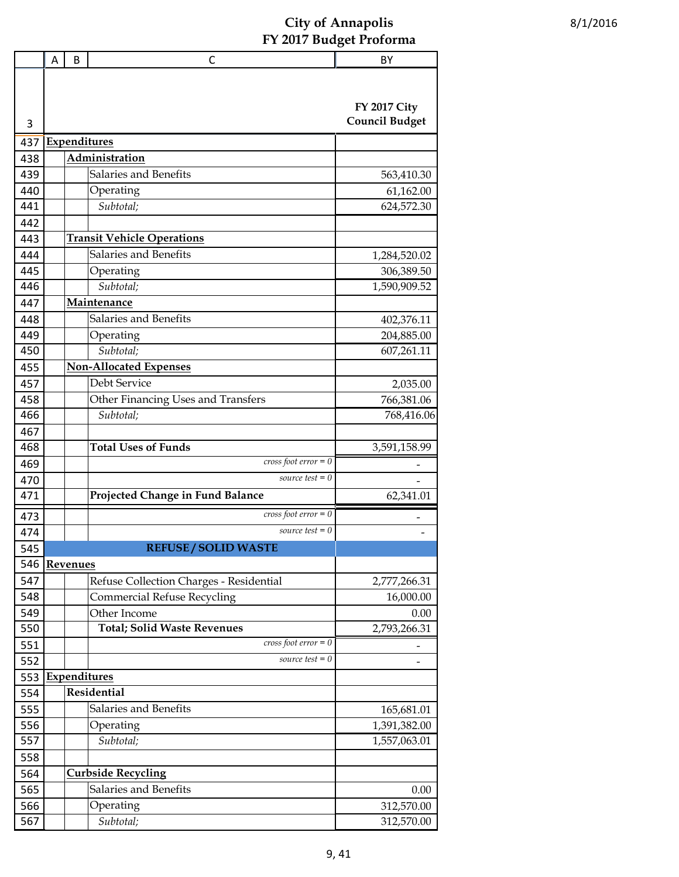|     | A | B        | C                                       | BY                    |
|-----|---|----------|-----------------------------------------|-----------------------|
|     |   |          |                                         | <b>FY 2017 City</b>   |
| 3   |   |          |                                         | <b>Council Budget</b> |
| 437 |   |          | <b>Expenditures</b>                     |                       |
| 438 |   |          | Administration                          |                       |
| 439 |   |          | Salaries and Benefits                   | 563,410.30            |
| 440 |   |          | Operating                               | 61,162.00             |
| 441 |   |          | Subtotal;                               | 624,572.30            |
| 442 |   |          |                                         |                       |
| 443 |   |          | <b>Transit Vehicle Operations</b>       |                       |
| 444 |   |          | Salaries and Benefits                   | 1,284,520.02          |
| 445 |   |          | Operating                               | 306,389.50            |
| 446 |   |          | Subtotal;                               | 1,590,909.52          |
| 447 |   |          | Maintenance                             |                       |
| 448 |   |          | Salaries and Benefits                   | 402,376.11            |
| 449 |   |          | Operating                               | 204,885.00            |
| 450 |   |          | Subtotal:                               | 607,261.11            |
| 455 |   |          | <b>Non-Allocated Expenses</b>           |                       |
| 457 |   |          | Debt Service                            | 2,035.00              |
| 458 |   |          | Other Financing Uses and Transfers      | 766,381.06            |
| 466 |   |          | Subtotal;                               | 768,416.06            |
| 467 |   |          |                                         |                       |
| 468 |   |          | <b>Total Uses of Funds</b>              | 3,591,158.99          |
| 469 |   |          | $cross foot error = 0$                  |                       |
| 470 |   |          | source test $= 0$                       |                       |
| 471 |   |          | Projected Change in Fund Balance        | 62,341.01             |
| 473 |   |          | $cross foot error = 0$                  |                       |
| 474 |   |          | source test $= 0$                       |                       |
| 545 |   |          | <b>REFUSE / SOLID WASTE</b>             |                       |
| 546 |   | Revenues |                                         |                       |
| 547 |   |          | Refuse Collection Charges - Residential | 2,777,266.31          |
| 548 |   |          | <b>Commercial Refuse Recycling</b>      | 16,000.00             |
| 549 |   |          | Other Income                            | 0.00                  |
| 550 |   |          | <b>Total; Solid Waste Revenues</b>      | 2,793,266.31          |
| 551 |   |          | cross foot $error = 0$                  |                       |
| 552 |   |          | source test $= 0$                       |                       |
| 553 |   |          | Expenditures                            |                       |
| 554 |   |          | Residential                             |                       |
| 555 |   |          | Salaries and Benefits                   | 165,681.01            |
| 556 |   |          | Operating                               | 1,391,382.00          |
| 557 |   |          | Subtotal;                               | 1,557,063.01          |
| 558 |   |          |                                         |                       |
| 564 |   |          | <b>Curbside Recycling</b>               |                       |
| 565 |   |          | Salaries and Benefits                   | 0.00                  |
| 566 |   |          | Operating                               | 312,570.00            |
| 567 |   |          | Subtotal;                               | 312,570.00            |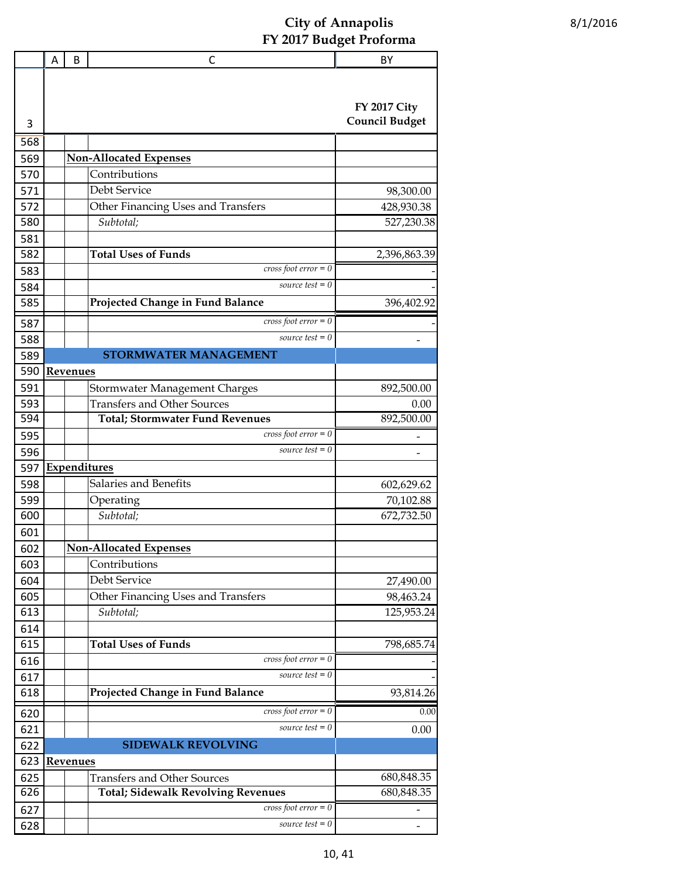|     | Α | B               | С                                         | BY                    |
|-----|---|-----------------|-------------------------------------------|-----------------------|
|     |   |                 |                                           |                       |
|     |   |                 |                                           |                       |
|     |   |                 |                                           | <b>FY 2017 City</b>   |
| 3   |   |                 |                                           | <b>Council Budget</b> |
| 568 |   |                 |                                           |                       |
| 569 |   |                 | Non-Allocated Expenses                    |                       |
| 570 |   |                 | Contributions                             |                       |
| 571 |   |                 | Debt Service                              | 98,300.00             |
| 572 |   |                 | Other Financing Uses and Transfers        | 428,930.38            |
| 580 |   |                 | Subtotal;                                 | 527,230.38            |
| 581 |   |                 |                                           |                       |
| 582 |   |                 | <b>Total Uses of Funds</b>                | 2,396,863.39          |
| 583 |   |                 | $cross foot error = 0$                    |                       |
| 584 |   |                 | source test $= 0$                         |                       |
| 585 |   |                 | Projected Change in Fund Balance          | 396,402.92            |
| 587 |   |                 | cross foot $error = 0$                    |                       |
| 588 |   |                 | source test $= 0$                         |                       |
| 589 |   |                 | <b>STORMWATER MANAGEMENT</b>              |                       |
| 590 |   | <b>Revenues</b> |                                           |                       |
| 591 |   |                 | Stormwater Management Charges             | 892,500.00            |
| 593 |   |                 | <b>Transfers and Other Sources</b>        | 0.00                  |
| 594 |   |                 | <b>Total; Stormwater Fund Revenues</b>    | 892,500.00            |
| 595 |   |                 | $cross foot error = 0$                    |                       |
| 596 |   |                 | source test $= 0$                         |                       |
| 597 |   |                 | Expenditures                              |                       |
| 598 |   |                 | Salaries and Benefits                     | 602,629.62            |
| 599 |   |                 | Operating                                 | 70,102.88             |
| 600 |   |                 | Subtotal;                                 | 672,732.50            |
| 601 |   |                 |                                           |                       |
| 602 |   |                 | <b>Non-Allocated Expenses</b>             |                       |
| 603 |   |                 | Contributions                             |                       |
| 604 |   |                 | Debt Service                              | 27,490.00             |
| 605 |   |                 | Other Financing Uses and Transfers        | 98,463.24             |
| 613 |   |                 | Subtotal;                                 | 125,953.24            |
| 614 |   |                 |                                           |                       |
| 615 |   |                 | <b>Total Uses of Funds</b>                | 798,685.74            |
| 616 |   |                 | cross foot $error = 0$                    |                       |
| 617 |   |                 | source test $= 0$                         |                       |
| 618 |   |                 | Projected Change in Fund Balance          | 93,814.26             |
| 620 |   |                 | cross foot $error = 0$                    | 0.00                  |
| 621 |   |                 | source test $= 0$                         | 0.00                  |
| 622 |   |                 | <b>SIDEWALK REVOLVING</b>                 |                       |
| 623 |   | <b>Revenues</b> |                                           |                       |
| 625 |   |                 | <b>Transfers and Other Sources</b>        | 680,848.35            |
| 626 |   |                 | <b>Total; Sidewalk Revolving Revenues</b> | 680,848.35            |
| 627 |   |                 | $cross foot error = 0$                    |                       |
| 628 |   |                 | source test $= 0$                         |                       |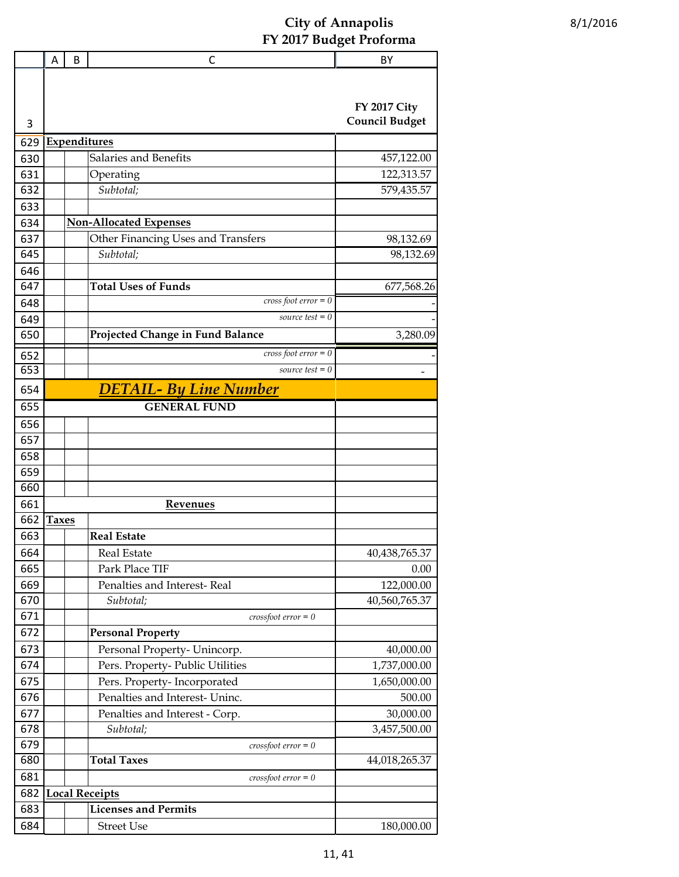|            | Α            | B | C                                  | BY                    |
|------------|--------------|---|------------------------------------|-----------------------|
|            |              |   |                                    |                       |
|            |              |   |                                    | <b>FY 2017 City</b>   |
| 3          |              |   |                                    | <b>Council Budget</b> |
|            |              |   |                                    |                       |
| 629        |              |   | <b>Expenditures</b>                |                       |
| 630        |              |   | Salaries and Benefits              | 457,122.00            |
| 631        |              |   | Operating                          | 122,313.57            |
| 632        |              |   | Subtotal;                          | 579,435.57            |
| 633        |              |   |                                    |                       |
| 634        |              |   | <b>Non-Allocated Expenses</b>      |                       |
| 637<br>645 |              |   | Other Financing Uses and Transfers | 98,132.69             |
|            |              |   | Subtotal;                          | 98,132.69             |
| 646        |              |   | <b>Total Uses of Funds</b>         |                       |
| 647        |              |   | cross foot $error = 0$             | 677,568.26            |
| 648        |              |   | source test $= 0$                  |                       |
| 649<br>650 |              |   |                                    |                       |
|            |              |   | Projected Change in Fund Balance   | 3,280.09              |
| 652        |              |   | cross foot $error = 0$             |                       |
| 653        |              |   | source test $= 0$                  |                       |
| 654        |              |   | <b>DETAIL- By Line Number</b>      |                       |
| 655        |              |   | <b>GENERAL FUND</b>                |                       |
| 656        |              |   |                                    |                       |
| 657        |              |   |                                    |                       |
| 658        |              |   |                                    |                       |
| 659        |              |   |                                    |                       |
| 660        |              |   |                                    |                       |
| 661        |              |   | <b>Revenues</b>                    |                       |
| 662        | <b>Taxes</b> |   |                                    |                       |
| 663        |              |   | <b>Real Estate</b>                 |                       |
| 664        |              |   | Real Estate                        | 40,438,765.37         |
| 665        |              |   | Park Place TIF                     | 0.00                  |
| 669        |              |   | Penalties and Interest-Real        | 122,000.00            |
| 670        |              |   | Subtotal;                          | 40,560,765.37         |
| 671        |              |   | $crossfoot error = 0$              |                       |
| 672        |              |   | <b>Personal Property</b>           |                       |
| 673        |              |   | Personal Property- Unincorp.       | 40,000.00             |
| 674        |              |   | Pers. Property- Public Utilities   | 1,737,000.00          |
| 675        |              |   | Pers. Property-Incorporated        | 1,650,000.00          |
| 676        |              |   | Penalties and Interest- Uninc.     | 500.00                |
| 677        |              |   | Penalties and Interest - Corp.     | 30,000.00             |
| 678        |              |   | Subtotal;                          | 3,457,500.00          |
| 679        |              |   | $crossfoot error = 0$              |                       |
| 680        |              |   | <b>Total Taxes</b>                 | 44,018,265.37         |
| 681        |              |   | $crossfoot error = 0$              |                       |
| 682        |              |   | <b>Local Receipts</b>              |                       |
| 683        |              |   | <b>Licenses and Permits</b>        |                       |
| 684        |              |   | <b>Street Use</b>                  | 180,000.00            |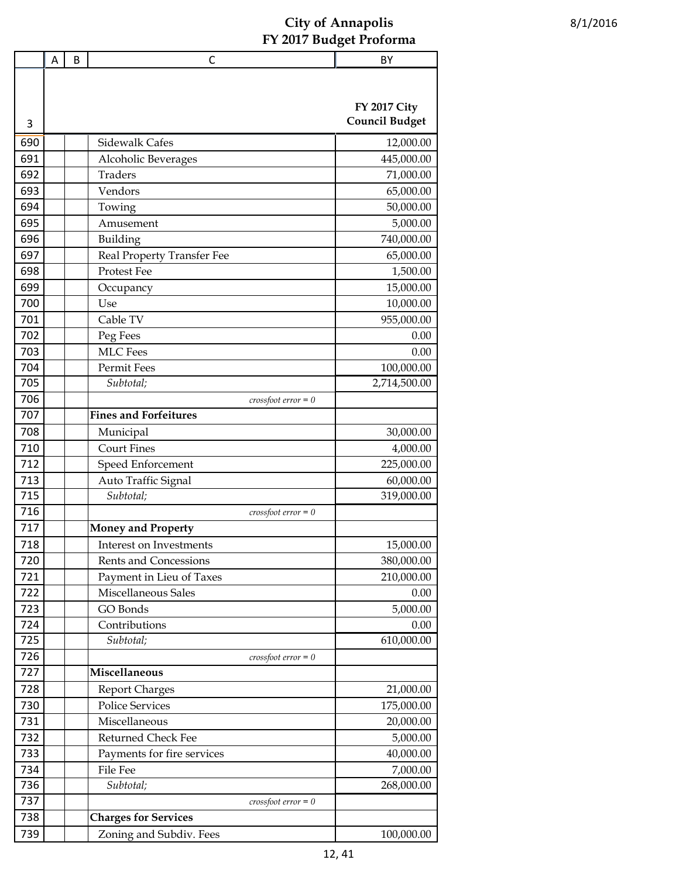|                  | Α | B | C                            | BY                    |
|------------------|---|---|------------------------------|-----------------------|
|                  |   |   |                              |                       |
|                  |   |   |                              |                       |
|                  |   |   |                              | <b>FY 2017 City</b>   |
| 3                |   |   |                              | <b>Council Budget</b> |
| 690              |   |   | <b>Sidewalk Cafes</b>        | 12,000.00             |
| 691              |   |   | Alcoholic Beverages          | 445,000.00            |
| 692              |   |   | <b>Traders</b>               | 71,000.00             |
| 693              |   |   | Vendors                      | 65,000.00             |
| 694              |   |   | Towing                       | 50,000.00             |
| 695              |   |   | Amusement                    | 5,000.00              |
| 696              |   |   | Building                     | 740,000.00            |
| 697              |   |   | Real Property Transfer Fee   | 65,000.00             |
| 698              |   |   | Protest Fee                  | 1,500.00              |
| 699              |   |   | Occupancy                    | 15,000.00             |
| 700              |   |   | Use                          | 10,000.00             |
| 701              |   |   | Cable TV                     | 955,000.00            |
| 702              |   |   | Peg Fees                     | 0.00                  |
| 703              |   |   | <b>MLC</b> Fees              | 0.00                  |
| 704              |   |   | Permit Fees                  | 100,000.00            |
| 705              |   |   | Subtotal;                    | 2,714,500.00          |
| 706              |   |   | $crossfoot error = 0$        |                       |
| 707              |   |   | <b>Fines and Forfeitures</b> |                       |
| 708              |   |   | Municipal                    | 30,000.00             |
| 710              |   |   | <b>Court Fines</b>           | 4,000.00              |
| 712              |   |   | Speed Enforcement            | 225,000.00            |
| 713              |   |   | Auto Traffic Signal          | 60,000.00             |
| 715              |   |   | Subtotal;                    | 319,000.00            |
| 716              |   |   | $crossfoot error = 0$        |                       |
| $\overline{717}$ |   |   | <b>Money and Property</b>    |                       |
| 718              |   |   | Interest on Investments      | 15,000.00             |
| 720              |   |   | <b>Rents and Concessions</b> | 380,000.00            |
| 721              |   |   | Payment in Lieu of Taxes     | 210,000.00            |
| 722              |   |   | Miscellaneous Sales          | 0.00                  |
| 723              |   |   | GO Bonds                     | 5,000.00              |
| 724              |   |   | Contributions                | 0.00                  |
| 725              |   |   | Subtotal;                    | 610,000.00            |
| 726              |   |   | $crossfoot error = 0$        |                       |
| 727              |   |   | Miscellaneous                |                       |
| 728              |   |   | <b>Report Charges</b>        | 21,000.00             |
| 730              |   |   | <b>Police Services</b>       | 175,000.00            |
| 731              |   |   | Miscellaneous                | 20,000.00             |
| 732              |   |   | Returned Check Fee           | 5,000.00              |
| 733              |   |   | Payments for fire services   | 40,000.00             |
| 734              |   |   | File Fee                     | 7,000.00              |
| 736              |   |   | Subtotal;                    | 268,000.00            |
| 737              |   |   | $crossfoot error = 0$        |                       |
| 738              |   |   | <b>Charges for Services</b>  |                       |
| 739              |   |   | Zoning and Subdiv. Fees      | 100,000.00            |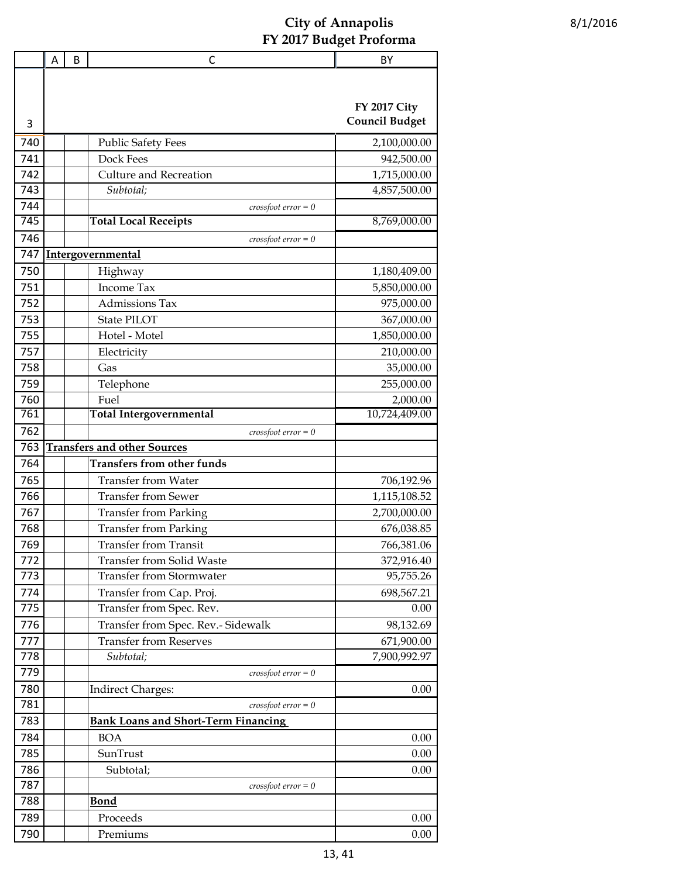|     | A | B | $\mathsf{C}$                               | BY                                           |
|-----|---|---|--------------------------------------------|----------------------------------------------|
|     |   |   |                                            |                                              |
| 3   |   |   |                                            | <b>FY 2017 City</b><br><b>Council Budget</b> |
| 740 |   |   | <b>Public Safety Fees</b>                  | 2,100,000.00                                 |
| 741 |   |   | Dock Fees                                  | 942,500.00                                   |
| 742 |   |   | <b>Culture and Recreation</b>              | 1,715,000.00                                 |
| 743 |   |   | Subtotal;                                  | 4,857,500.00                                 |
| 744 |   |   | $\cos\theta$ $\cot$ $\aror$ = 0            |                                              |
| 745 |   |   | <b>Total Local Receipts</b>                | 8,769,000.00                                 |
| 746 |   |   | $crossfoot error = 0$                      |                                              |
| 747 |   |   | Intergovernmental                          |                                              |
| 750 |   |   | Highway                                    | 1,180,409.00                                 |
| 751 |   |   | Income Tax                                 | 5,850,000.00                                 |
| 752 |   |   | <b>Admissions Tax</b>                      | 975,000.00                                   |
| 753 |   |   | <b>State PILOT</b>                         | 367,000.00                                   |
| 755 |   |   | Hotel - Motel                              | 1,850,000.00                                 |
| 757 |   |   | Electricity                                | 210,000.00                                   |
| 758 |   |   | Gas                                        | 35,000.00                                    |
| 759 |   |   | Telephone                                  | 255,000.00                                   |
| 760 |   |   | Fuel                                       | 2,000.00                                     |
| 761 |   |   | <b>Total Intergovernmental</b>             | 10,724,409.00                                |
| 762 |   |   | $crossfoot error = 0$                      |                                              |
| 763 |   |   | <b>Transfers and other Sources</b>         |                                              |
| 764 |   |   | <b>Transfers from other funds</b>          |                                              |
| 765 |   |   | <b>Transfer from Water</b>                 | 706,192.96                                   |
| 766 |   |   | <b>Transfer from Sewer</b>                 | 1,115,108.52                                 |
| 767 |   |   | <b>Transfer from Parking</b>               | 2,700,000.00                                 |
| 768 |   |   | <b>Transfer from Parking</b>               | 676,038.85                                   |
| 769 |   |   | <b>Transfer from Transit</b>               | 766,381.06                                   |
| 772 |   |   | <b>Transfer from Solid Waste</b>           | 372,916.40                                   |
| 773 |   |   | <b>Transfer from Stormwater</b>            | 95,755.26                                    |
| 774 |   |   | Transfer from Cap. Proj.                   | 698,567.21                                   |
| 775 |   |   | Transfer from Spec. Rev.                   | 0.00                                         |
| 776 |   |   | Transfer from Spec. Rev.- Sidewalk         | 98,132.69                                    |
| 777 |   |   | <b>Transfer from Reserves</b>              | 671,900.00                                   |
| 778 |   |   | Subtotal;                                  | 7,900,992.97                                 |
| 779 |   |   | $crossfoot error = 0$                      |                                              |
| 780 |   |   | <b>Indirect Charges:</b>                   | 0.00                                         |
| 781 |   |   | $\cos$ sfoot error = 0                     |                                              |
| 783 |   |   | <b>Bank Loans and Short-Term Financing</b> |                                              |
| 784 |   |   | <b>BOA</b>                                 | 0.00                                         |
| 785 |   |   | SunTrust                                   | 0.00                                         |
| 786 |   |   | Subtotal;                                  | 0.00                                         |
| 787 |   |   | $crossfoot error = 0$                      |                                              |
| 788 |   |   | <b>Bond</b>                                |                                              |
| 789 |   |   | Proceeds                                   | 0.00                                         |
| 790 |   |   | Premiums                                   | 0.00                                         |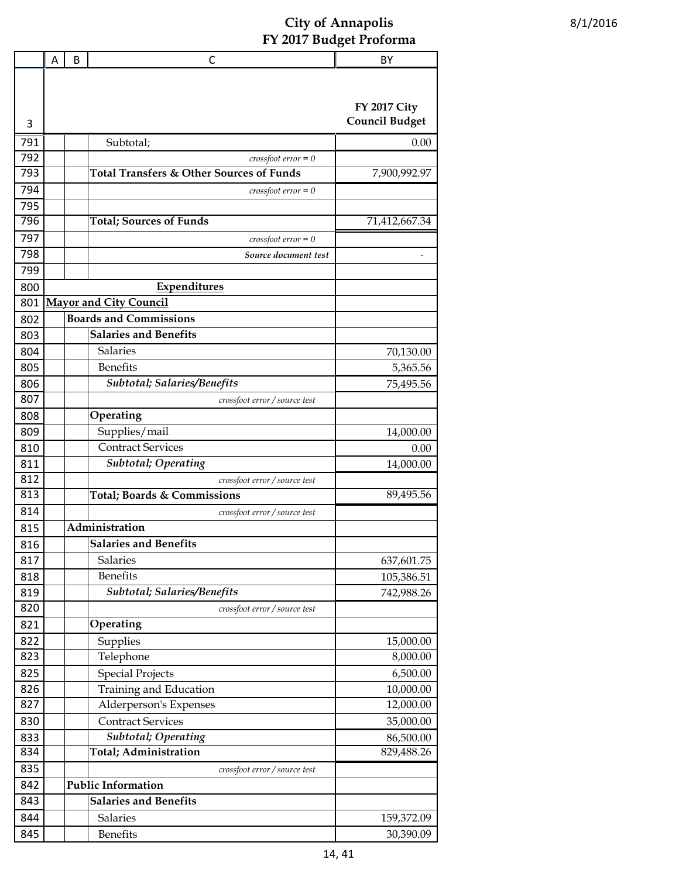|     | A | B | С                                        | BY                    |
|-----|---|---|------------------------------------------|-----------------------|
|     |   |   |                                          |                       |
|     |   |   |                                          |                       |
|     |   |   |                                          | <b>FY 2017 City</b>   |
| 3   |   |   |                                          | <b>Council Budget</b> |
| 791 |   |   | Subtotal;                                | 0.00                  |
| 792 |   |   | $crossfoot error = 0$                    |                       |
| 793 |   |   | Total Transfers & Other Sources of Funds | 7,900,992.97          |
| 794 |   |   | $\textit{crossfoot error} = 0$           |                       |
| 795 |   |   |                                          |                       |
| 796 |   |   | <b>Total; Sources of Funds</b>           | 71,412,667.34         |
| 797 |   |   | $crossfoot error = 0$                    |                       |
| 798 |   |   | Source document test                     |                       |
| 799 |   |   |                                          |                       |
| 800 |   |   | Expenditures                             |                       |
| 801 |   |   | <b>Mayor and City Council</b>            |                       |
| 802 |   |   | <b>Boards and Commissions</b>            |                       |
| 803 |   |   | <b>Salaries and Benefits</b>             |                       |
| 804 |   |   | Salaries                                 | 70,130.00             |
| 805 |   |   | <b>Benefits</b>                          | 5,365.56              |
| 806 |   |   | Subtotal; Salaries/Benefits              | 75,495.56             |
| 807 |   |   | crossfoot error / source test            |                       |
| 808 |   |   | Operating                                |                       |
| 809 |   |   | Supplies/mail                            | 14,000.00             |
| 810 |   |   | <b>Contract Services</b>                 | 0.00                  |
| 811 |   |   | <b>Subtotal</b> ; Operating              | 14,000.00             |
| 812 |   |   | crossfoot error / source test            |                       |
| 813 |   |   | Total; Boards & Commissions              | 89,495.56             |
| 814 |   |   | crossfoot error / source test            |                       |
| 815 |   |   | Administration                           |                       |
| 816 |   |   | <b>Salaries and Benefits</b>             |                       |
| 817 |   |   | Salaries                                 | 637,601.75            |
| 818 |   |   | <b>Benefits</b>                          | 105,386.51            |
| 819 |   |   | Subtotal; Salaries/Benefits              | 742,988.26            |
| 820 |   |   | crossfoot error / source test            |                       |
| 821 |   |   | Operating                                |                       |
| 822 |   |   | Supplies                                 | 15,000.00             |
| 823 |   |   | Telephone                                | 8,000.00              |
| 825 |   |   | <b>Special Projects</b>                  | 6,500.00              |
| 826 |   |   | Training and Education                   | 10,000.00             |
| 827 |   |   | Alderperson's Expenses                   | 12,000.00             |
| 830 |   |   | <b>Contract Services</b>                 | 35,000.00             |
| 833 |   |   | <b>Subtotal</b> ; Operating              | 86,500.00             |
| 834 |   |   | Total; Administration                    | 829,488.26            |
| 835 |   |   | crossfoot error / source test            |                       |
| 842 |   |   | <b>Public Information</b>                |                       |
| 843 |   |   | <b>Salaries and Benefits</b>             |                       |
| 844 |   |   | Salaries                                 | 159,372.09            |
| 845 |   |   | <b>Benefits</b>                          | 30,390.09             |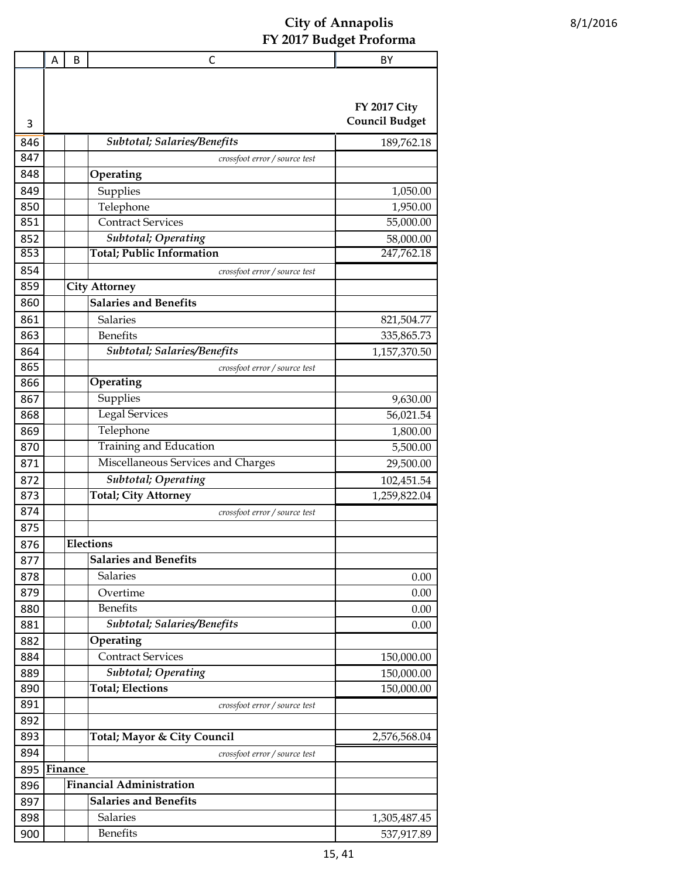|     | Α | B       | C                                  | BY                                           |
|-----|---|---------|------------------------------------|----------------------------------------------|
|     |   |         |                                    |                                              |
| 3   |   |         |                                    | <b>FY 2017 City</b><br><b>Council Budget</b> |
| 846 |   |         | <b>Subtotal; Salaries/Benefits</b> | 189,762.18                                   |
| 847 |   |         | crossfoot error / source test      |                                              |
| 848 |   |         | Operating                          |                                              |
| 849 |   |         | Supplies                           | 1,050.00                                     |
| 850 |   |         | Telephone                          | 1,950.00                                     |
| 851 |   |         | <b>Contract Services</b>           | 55,000.00                                    |
| 852 |   |         | <b>Subtotal</b> ; Operating        | 58,000.00                                    |
| 853 |   |         | <b>Total; Public Information</b>   | 247,762.18                                   |
| 854 |   |         | crossfoot error / source test      |                                              |
| 859 |   |         | <b>City Attorney</b>               |                                              |
| 860 |   |         | <b>Salaries and Benefits</b>       |                                              |
| 861 |   |         | Salaries                           | 821,504.77                                   |
| 863 |   |         | <b>Benefits</b>                    | 335,865.73                                   |
| 864 |   |         | Subtotal; Salaries/Benefits        | 1,157,370.50                                 |
| 865 |   |         | crossfoot error / source test      |                                              |
| 866 |   |         | Operating                          |                                              |
| 867 |   |         | Supplies                           | 9,630.00                                     |
| 868 |   |         | <b>Legal Services</b>              | 56,021.54                                    |
| 869 |   |         | Telephone                          | 1,800.00                                     |
| 870 |   |         | Training and Education             | 5,500.00                                     |
| 871 |   |         | Miscellaneous Services and Charges | 29,500.00                                    |
| 872 |   |         | <b>Subtotal</b> ; Operating        | 102,451.54                                   |
| 873 |   |         | <b>Total; City Attorney</b>        | 1,259,822.04                                 |
| 874 |   |         | crossfoot error / source test      |                                              |
| 875 |   |         |                                    |                                              |
| 876 |   |         | Elections                          |                                              |
| 877 |   |         | <b>Salaries and Benefits</b>       |                                              |
| 878 |   |         | Salaries                           | 0.00                                         |
| 879 |   |         | Overtime                           | 0.00                                         |
| 880 |   |         | <b>Benefits</b>                    | 0.00                                         |
| 881 |   |         | Subtotal; Salaries/Benefits        | 0.00                                         |
| 882 |   |         | Operating                          |                                              |
| 884 |   |         | <b>Contract Services</b>           | 150,000.00                                   |
| 889 |   |         | Subtotal; Operating                | 150,000.00                                   |
| 890 |   |         | <b>Total</b> ; Elections           | 150,000.00                                   |
| 891 |   |         | crossfoot error / source test      |                                              |
| 892 |   |         |                                    |                                              |
| 893 |   |         | Total; Mayor & City Council        | 2,576,568.04                                 |
| 894 |   |         | crossfoot error / source test      |                                              |
| 895 |   | Finance |                                    |                                              |
| 896 |   |         | <b>Financial Administration</b>    |                                              |
| 897 |   |         | <b>Salaries and Benefits</b>       |                                              |
| 898 |   |         | <b>Salaries</b>                    | 1,305,487.45                                 |
| 900 |   |         | <b>Benefits</b>                    | 537,917.89                                   |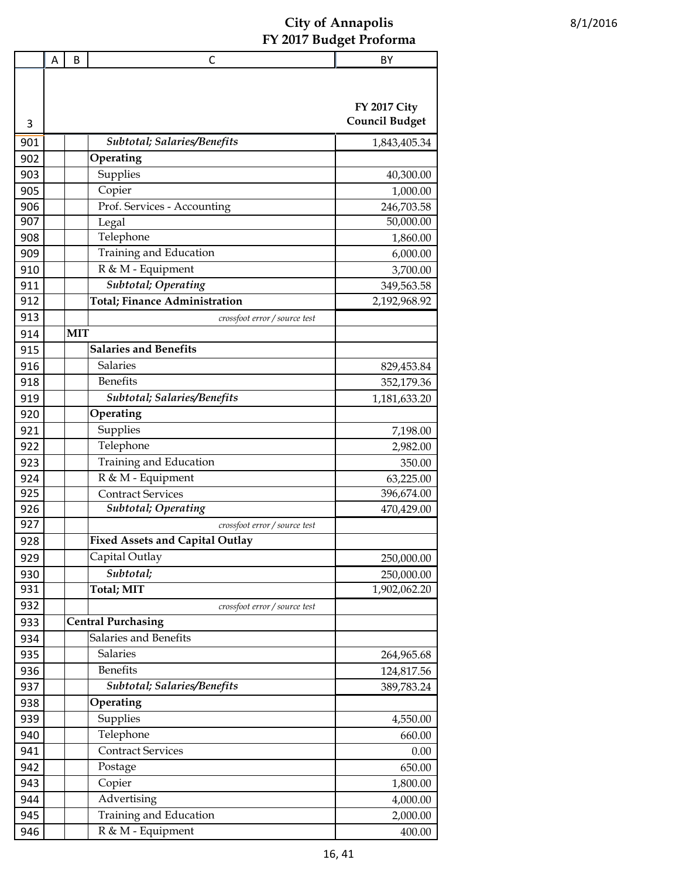|     | A | B          | C                                      | BY                    |
|-----|---|------------|----------------------------------------|-----------------------|
|     |   |            |                                        |                       |
|     |   |            |                                        |                       |
|     |   |            |                                        | <b>FY 2017 City</b>   |
| 3   |   |            |                                        | <b>Council Budget</b> |
| 901 |   |            | Subtotal; Salaries/Benefits            | 1,843,405.34          |
| 902 |   |            | Operating                              |                       |
| 903 |   |            | Supplies                               | 40,300.00             |
| 905 |   |            | Copier                                 | 1,000.00              |
| 906 |   |            | Prof. Services - Accounting            | 246,703.58            |
| 907 |   |            | Legal                                  | 50,000.00             |
| 908 |   |            | Telephone                              | 1,860.00              |
| 909 |   |            | Training and Education                 | 6,000.00              |
| 910 |   |            | R & M - Equipment                      | 3,700.00              |
| 911 |   |            | Subtotal; Operating                    | 349,563.58            |
| 912 |   |            | Total; Finance Administration          | 2,192,968.92          |
| 913 |   |            | crossfoot error / source test          |                       |
| 914 |   | <b>MIT</b> |                                        |                       |
| 915 |   |            | <b>Salaries and Benefits</b>           |                       |
| 916 |   |            | <b>Salaries</b>                        | 829,453.84            |
| 918 |   |            | <b>Benefits</b>                        | 352,179.36            |
| 919 |   |            | Subtotal; Salaries/Benefits            | 1,181,633.20          |
| 920 |   |            | Operating                              |                       |
| 921 |   |            | Supplies                               | 7,198.00              |
| 922 |   |            | Telephone                              | 2,982.00              |
| 923 |   |            | Training and Education                 | 350.00                |
| 924 |   |            | R & M - Equipment                      | 63,225.00             |
| 925 |   |            | <b>Contract Services</b>               | 396,674.00            |
| 926 |   |            | <b>Subtotal</b> ; Operating            | 470,429.00            |
| 927 |   |            | crossfoot error / source test          |                       |
| 928 |   |            | <b>Fixed Assets and Capital Outlay</b> |                       |
| 929 |   |            | Capital Outlay                         | 250,000.00            |
| 930 |   |            | Subtotal;                              | 250,000.00            |
| 931 |   |            | <b>Total</b> ; MIT                     | 1,902,062.20          |
| 932 |   |            | crossfoot error / source test          |                       |
| 933 |   |            | <b>Central Purchasing</b>              |                       |
| 934 |   |            | Salaries and Benefits                  |                       |
| 935 |   |            | $\overline{\mathsf{Salaries}}$         | 264,965.68            |
| 936 |   |            | <b>Benefits</b>                        |                       |
| 937 |   |            | Subtotal; Salaries/Benefits            | 124,817.56            |
|     |   |            | Operating                              | 389,783.24            |
| 938 |   |            |                                        |                       |
| 939 |   |            | Supplies<br>Telephone                  | 4,550.00              |
| 940 |   |            | <b>Contract Services</b>               | 660.00                |
| 941 |   |            |                                        | 0.00                  |
| 942 |   |            | Postage                                | 650.00                |
| 943 |   |            | Copier                                 | 1,800.00              |
| 944 |   |            | Advertising                            | 4,000.00              |
| 945 |   |            | Training and Education                 | 2,000.00              |
| 946 |   |            | R & M - Equipment                      | 400.00                |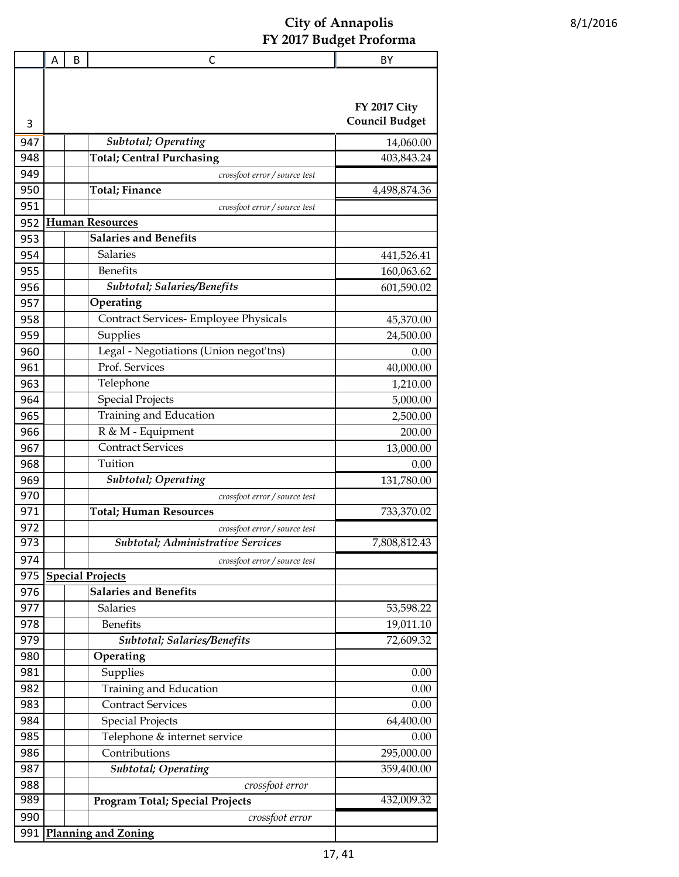|                  | A | B | C                                                         | BY                                           |
|------------------|---|---|-----------------------------------------------------------|----------------------------------------------|
| 3                |   |   |                                                           | <b>FY 2017 City</b><br><b>Council Budget</b> |
| 947              |   |   | Subtotal; Operating                                       | 14,060.00                                    |
| 948              |   |   | <b>Total; Central Purchasing</b>                          | 403,843.24                                   |
| 949              |   |   | crossfoot error / source test                             |                                              |
| 950              |   |   | <b>Total</b> ; Finance                                    | 4,498,874.36                                 |
| 951              |   |   | crossfoot error / source test                             |                                              |
| 952              |   |   | <b>Human Resources</b>                                    |                                              |
| 953              |   |   | <b>Salaries and Benefits</b>                              |                                              |
| 954              |   |   | <b>Salaries</b>                                           | 441,526.41                                   |
| 955              |   |   | <b>Benefits</b>                                           | 160,063.62                                   |
| 956              |   |   | Subtotal; Salaries/Benefits                               | 601,590.02                                   |
| 957              |   |   | Operating                                                 |                                              |
| 958              |   |   | Contract Services- Employee Physicals                     | 45,370.00                                    |
| 959              |   |   | Supplies                                                  | 24,500.00                                    |
| 960              |   |   | Legal - Negotiations (Union negot'tns)                    | 0.00                                         |
| 961              |   |   | Prof. Services                                            | 40,000.00                                    |
| 963              |   |   | Telephone                                                 |                                              |
| 964              |   |   | <b>Special Projects</b>                                   | 1,210.00<br>5,000.00                         |
| 965              |   |   | Training and Education                                    |                                              |
| 966              |   |   | R & M - Equipment                                         | 2,500.00                                     |
| 967              |   |   | <b>Contract Services</b>                                  | 200.00                                       |
| 968              |   |   | Tuition                                                   | 13,000.00<br>0.00                            |
| 969              |   |   | Subtotal; Operating                                       | 131,780.00                                   |
| 970              |   |   | crossfoot error / source test                             |                                              |
| 971              |   |   | <b>Total; Human Resources</b>                             | 733,370.02                                   |
| 972              |   |   | crossfoot error / source test                             |                                              |
| $\overline{973}$ |   |   | Subtotal; Administrative Services                         | 7,808,812.43                                 |
| 974              |   |   |                                                           |                                              |
| 975              |   |   | crossfoot error / source test<br><b>Special Projects</b>  |                                              |
| 976              |   |   | <b>Salaries and Benefits</b>                              |                                              |
| 977              |   |   | Salaries                                                  | 53,598.22                                    |
| 978              |   |   | <b>Benefits</b>                                           | 19,011.10                                    |
| 979              |   |   | Subtotal; Salaries/Benefits                               | 72,609.32                                    |
| 980              |   |   | Operating                                                 |                                              |
| 981              |   |   | Supplies                                                  | 0.00                                         |
| 982              |   |   | Training and Education                                    | 0.00                                         |
| 983              |   |   | <b>Contract Services</b>                                  | 0.00                                         |
| 984              |   |   | <b>Special Projects</b>                                   | 64,400.00                                    |
| 985              |   |   | Telephone & internet service                              | 0.00                                         |
| 986              |   |   | Contributions                                             | 295,000.00                                   |
| 987              |   |   | <b>Subtotal; Operating</b>                                | 359,400.00                                   |
| 988              |   |   |                                                           |                                              |
| 989              |   |   | crossfoot error<br><b>Program Total; Special Projects</b> | 432,009.32                                   |
| 990              |   |   | crossfoot error                                           |                                              |
| 991              |   |   | <b>Planning and Zoning</b>                                |                                              |
|                  |   |   |                                                           |                                              |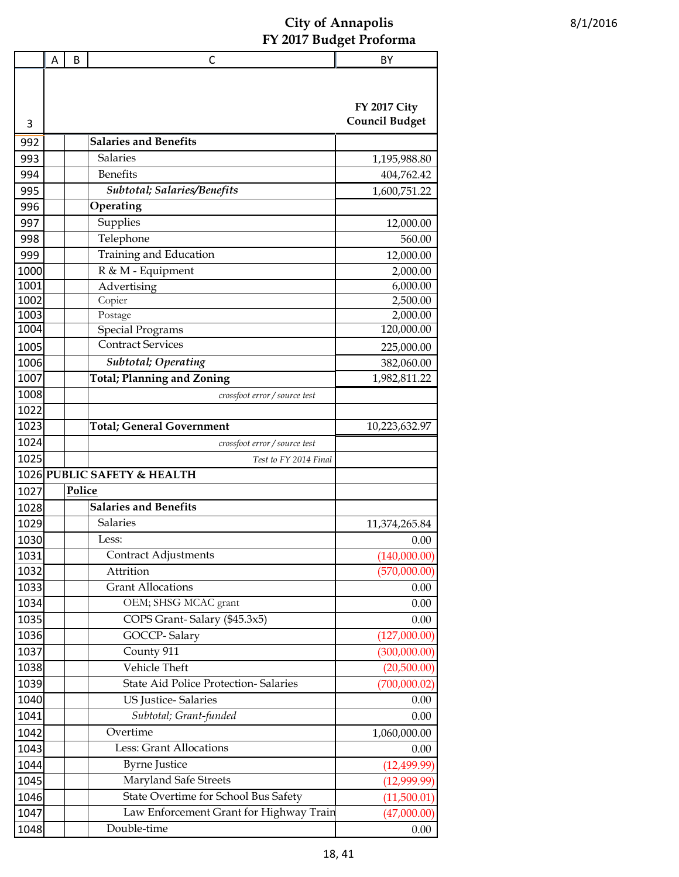|              | A | B      | C                                                    | BY                    |
|--------------|---|--------|------------------------------------------------------|-----------------------|
|              |   |        |                                                      |                       |
|              |   |        |                                                      |                       |
|              |   |        |                                                      | <b>FY 2017 City</b>   |
| 3            |   |        |                                                      | <b>Council Budget</b> |
| 992          |   |        | <b>Salaries and Benefits</b>                         |                       |
| 993          |   |        | <b>Salaries</b>                                      | 1,195,988.80          |
| 994          |   |        | <b>Benefits</b>                                      | 404,762.42            |
| 995          |   |        | <b>Subtotal; Salaries/Benefits</b>                   | 1,600,751.22          |
| 996          |   |        | Operating                                            |                       |
| 997          |   |        | Supplies                                             | 12,000.00             |
| 998          |   |        | Telephone                                            | 560.00                |
| 999          |   |        | Training and Education                               | 12,000.00             |
| 1000         |   |        | R & M - Equipment                                    | 2,000.00              |
| 1001         |   |        | Advertising                                          | 6,000.00              |
| 1002         |   |        | Copier                                               | 2,500.00              |
| 1003         |   |        | Postage                                              | 2,000.00              |
| 1004         |   |        | <b>Special Programs</b><br><b>Contract Services</b>  | 120,000.00            |
| 1005         |   |        |                                                      | 225,000.00            |
| 1006         |   |        | <b>Subtotal</b> ; Operating                          | 382,060.00            |
| 1007         |   |        | <b>Total; Planning and Zoning</b>                    | 1,982,811.22          |
| 1008         |   |        | crossfoot error / source test                        |                       |
| 1022         |   |        |                                                      |                       |
| 1023         |   |        | <b>Total; General Government</b>                     | 10,223,632.97         |
| 1024<br>1025 |   |        | crossfoot error / source test                        |                       |
|              |   |        | Test to FY 2014 Final<br>1026 PUBLIC SAFETY & HEALTH |                       |
| 1027         |   | Police |                                                      |                       |
| 1028         |   |        | <b>Salaries and Benefits</b>                         |                       |
| 1029         |   |        | <b>Salaries</b>                                      | 11,374,265.84         |
| 1030         |   |        | Less:                                                | 0.00                  |
| 1031         |   |        | <b>Contract Adjustments</b>                          | (140,000.00)          |
| 1032         |   |        | Attrition                                            | (570,000.00)          |
| 1033         |   |        | <b>Grant Allocations</b>                             | 0.00                  |
| 1034         |   |        | OEM; SHSG MCAC grant                                 | 0.00                  |
| 1035         |   |        | COPS Grant-Salary (\$45.3x5)                         | 0.00                  |
| 1036         |   |        | GOCCP-Salary                                         | (127,000.00)          |
| 1037         |   |        | County 911                                           | (300,000.00)          |
| 1038         |   |        | Vehicle Theft                                        | (20,500.00)           |
| 1039         |   |        | <b>State Aid Police Protection- Salaries</b>         | (700,000.02)          |
| 1040         |   |        | <b>US Justice-Salaries</b>                           | 0.00                  |
| 1041         |   |        | Subtotal; Grant-funded                               | 0.00                  |
| 1042         |   |        | Overtime                                             | 1,060,000.00          |
| 1043         |   |        | <b>Less: Grant Allocations</b>                       | 0.00                  |
| 1044         |   |        | <b>Byrne Justice</b>                                 | (12, 499.99)          |
| 1045         |   |        | Maryland Safe Streets                                | (12,999.99)           |
| 1046         |   |        | State Overtime for School Bus Safety                 | (11,500.01)           |
| 1047         |   |        | Law Enforcement Grant for Highway Train              | (47,000.00)           |
| 1048         |   |        | Double-time                                          | 0.00                  |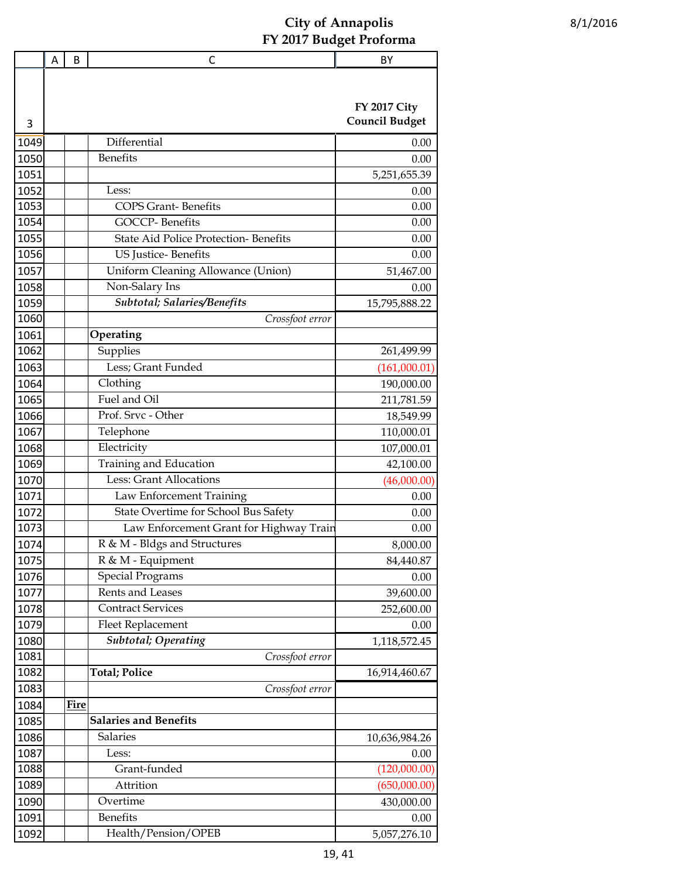|      | A | B    | С                                           | BY                    |
|------|---|------|---------------------------------------------|-----------------------|
|      |   |      |                                             |                       |
|      |   |      |                                             |                       |
|      |   |      |                                             | <b>FY 2017 City</b>   |
| 3    |   |      |                                             | <b>Council Budget</b> |
| 1049 |   |      | Differential                                | 0.00                  |
| 1050 |   |      | <b>Benefits</b>                             | 0.00                  |
| 1051 |   |      |                                             | 5,251,655.39          |
| 1052 |   |      | Less:                                       | 0.00                  |
| 1053 |   |      | <b>COPS Grant-Benefits</b>                  | 0.00                  |
| 1054 |   |      | GOCCP-Benefits                              | 0.00                  |
| 1055 |   |      | <b>State Aid Police Protection-Benefits</b> | 0.00                  |
| 1056 |   |      | <b>US</b> Justice-Benefits                  | 0.00                  |
| 1057 |   |      | Uniform Cleaning Allowance (Union)          | 51,467.00             |
| 1058 |   |      | Non-Salary Ins                              | 0.00                  |
| 1059 |   |      | Subtotal; Salaries/Benefits                 | 15,795,888.22         |
| 1060 |   |      | Crossfoot error                             |                       |
| 1061 |   |      | Operating                                   |                       |
| 1062 |   |      | Supplies                                    | 261,499.99            |
| 1063 |   |      | Less; Grant Funded                          | (161,000.01)          |
| 1064 |   |      | Clothing                                    | 190,000.00            |
| 1065 |   |      | Fuel and Oil                                | 211,781.59            |
| 1066 |   |      | Prof. Srvc - Other                          | 18,549.99             |
| 1067 |   |      | Telephone                                   | 110,000.01            |
| 1068 |   |      | Electricity                                 | 107,000.01            |
| 1069 |   |      | Training and Education                      | 42,100.00             |
| 1070 |   |      | <b>Less: Grant Allocations</b>              | (46,000.00)           |
| 1071 |   |      | Law Enforcement Training                    | 0.00                  |
| 1072 |   |      | State Overtime for School Bus Safety        | 0.00                  |
| 1073 |   |      | Law Enforcement Grant for Highway Train     | 0.00                  |
| 1074 |   |      | R & M - Bldgs and Structures                | 8,000.00              |
| 1075 |   |      | R & M - Equipment                           | 84,440.87             |
| 1076 |   |      | <b>Special Programs</b>                     | 0.00                  |
| 1077 |   |      | Rents and Leases                            | 39,600.00             |
| 1078 |   |      | <b>Contract Services</b>                    | 252,600.00            |
| 1079 |   |      | <b>Fleet Replacement</b>                    | 0.00                  |
| 1080 |   |      | <b>Subtotal; Operating</b>                  | 1,118,572.45          |
| 1081 |   |      | Crossfoot error                             |                       |
| 1082 |   |      | <b>Total; Police</b>                        | 16,914,460.67         |
| 1083 |   |      | Crossfoot error                             |                       |
| 1084 |   | Fire |                                             |                       |
| 1085 |   |      | <b>Salaries and Benefits</b>                |                       |
| 1086 |   |      | Salaries                                    | 10,636,984.26         |
| 1087 |   |      | Less:                                       | 0.00                  |
| 1088 |   |      | Grant-funded                                | (120,000.00)          |
| 1089 |   |      | Attrition                                   | (650,000.00)          |
| 1090 |   |      | Overtime                                    | 430,000.00            |
| 1091 |   |      | <b>Benefits</b>                             | 0.00                  |
| 1092 |   |      | Health/Pension/OPEB                         | 5,057,276.10          |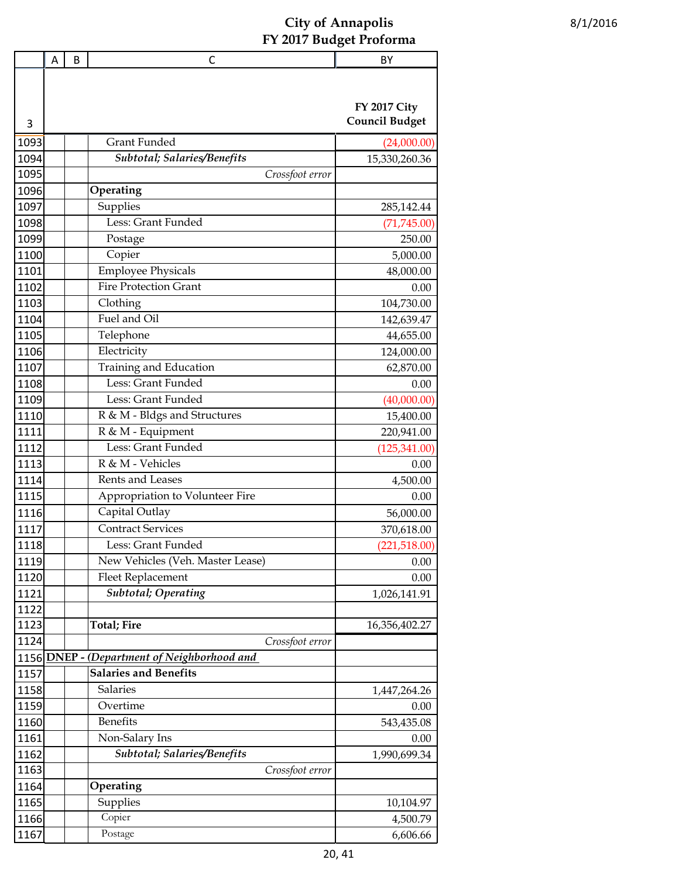|      | Α | B | С                                           | BY                    |
|------|---|---|---------------------------------------------|-----------------------|
|      |   |   |                                             |                       |
|      |   |   |                                             |                       |
|      |   |   |                                             | <b>FY 2017 City</b>   |
| 3    |   |   |                                             | <b>Council Budget</b> |
| 1093 |   |   | Grant Funded                                | (24,000.00)           |
| 1094 |   |   | Subtotal; Salaries/Benefits                 | 15,330,260.36         |
| 1095 |   |   | Crossfoot error                             |                       |
| 1096 |   |   | Operating                                   |                       |
| 1097 |   |   | Supplies                                    | 285,142.44            |
| 1098 |   |   | Less: Grant Funded                          | (71, 745.00)          |
| 1099 |   |   | Postage                                     | 250.00                |
| 1100 |   |   | Copier                                      | 5,000.00              |
| 1101 |   |   | <b>Employee Physicals</b>                   | 48,000.00             |
| 1102 |   |   | <b>Fire Protection Grant</b>                | 0.00                  |
| 1103 |   |   | Clothing                                    | 104,730.00            |
| 1104 |   |   | Fuel and Oil                                | 142,639.47            |
| 1105 |   |   | Telephone                                   | 44,655.00             |
| 1106 |   |   | Electricity                                 | 124,000.00            |
| 1107 |   |   | Training and Education                      | 62,870.00             |
| 1108 |   |   | Less: Grant Funded                          | 0.00                  |
| 1109 |   |   | Less: Grant Funded                          | (40,000.00)           |
| 1110 |   |   | R & M - Bldgs and Structures                | 15,400.00             |
| 1111 |   |   | R & M - Equipment                           | 220,941.00            |
| 1112 |   |   | Less: Grant Funded                          | (125, 341.00)         |
| 1113 |   |   | R & M - Vehicles                            | 0.00                  |
| 1114 |   |   | Rents and Leases                            | 4,500.00              |
| 1115 |   |   | Appropriation to Volunteer Fire             | 0.00                  |
| 1116 |   |   | Capital Outlay                              | 56,000.00             |
| 1117 |   |   | <b>Contract Services</b>                    | 370,618.00            |
| 1118 |   |   | Less: Grant Funded                          | (221,518.00)          |
| 1119 |   |   | New Vehicles (Veh. Master Lease)            | 0.00                  |
| 1120 |   |   | <b>Fleet Replacement</b>                    | 0.00                  |
| 1121 |   |   | Subtotal; Operating                         | 1,026,141.91          |
| 1122 |   |   |                                             |                       |
| 1123 |   |   | <b>Total; Fire</b>                          | 16,356,402.27         |
| 1124 |   |   | Crossfoot error                             |                       |
|      |   |   | 1156 DNEP - (Department of Neighborhood and |                       |
| 1157 |   |   | <b>Salaries and Benefits</b>                |                       |
| 1158 |   |   | Salaries                                    | 1,447,264.26          |
| 1159 |   |   | Overtime                                    | 0.00                  |
| 1160 |   |   | Benefits                                    | 543,435.08            |
| 1161 |   |   | Non-Salary Ins                              | 0.00                  |
| 1162 |   |   | Subtotal; Salaries/Benefits                 | 1,990,699.34          |
| 1163 |   |   | Crossfoot error                             |                       |
| 1164 |   |   | Operating                                   |                       |
| 1165 |   |   | Supplies                                    | 10,104.97             |
| 1166 |   |   | Copier                                      | 4,500.79              |
| 1167 |   |   | Postage                                     | 6,606.66              |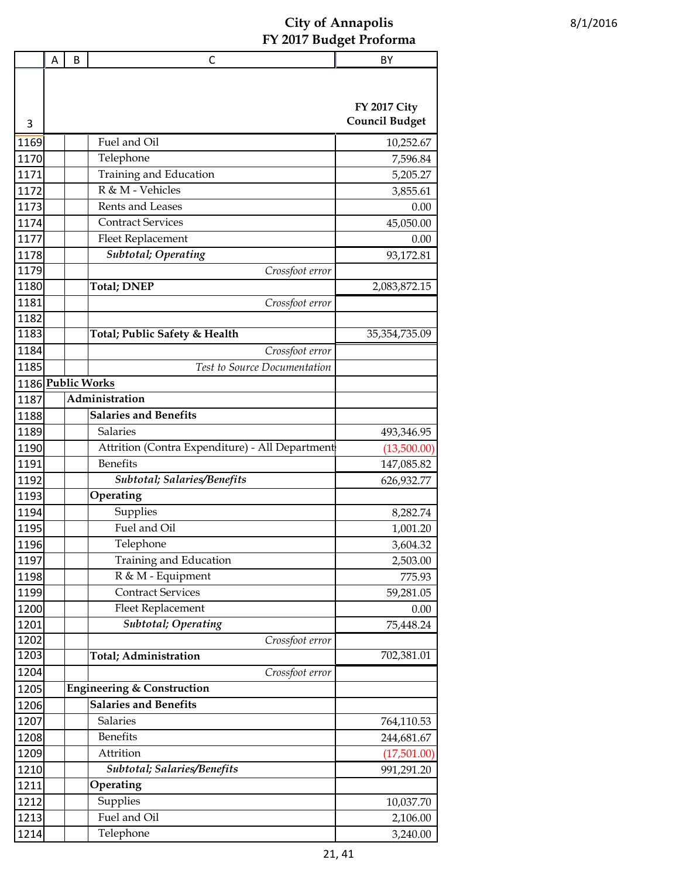|              | Α | B | $\mathsf{C}$                                             | BY                    |
|--------------|---|---|----------------------------------------------------------|-----------------------|
|              |   |   |                                                          |                       |
|              |   |   |                                                          |                       |
|              |   |   |                                                          | <b>FY 2017 City</b>   |
| 3            |   |   |                                                          | <b>Council Budget</b> |
| 1169         |   |   | Fuel and Oil                                             | 10,252.67             |
| 1170         |   |   | Telephone                                                | 7,596.84              |
| 1171         |   |   | Training and Education                                   | 5,205.27              |
| 1172         |   |   | R & M - Vehicles                                         | 3,855.61              |
| 1173         |   |   | Rents and Leases                                         | 0.00                  |
| 1174         |   |   | <b>Contract Services</b>                                 | 45,050.00             |
| 1177         |   |   | Fleet Replacement                                        | 0.00                  |
| 1178         |   |   | <b>Subtotal</b> ; Operating                              | 93,172.81             |
| 1179         |   |   | Crossfoot error                                          |                       |
| 1180         |   |   | <b>Total; DNEP</b>                                       | 2,083,872.15          |
| 1181         |   |   | Crossfoot error                                          |                       |
| 1182         |   |   |                                                          |                       |
| 1183         |   |   | Total; Public Safety & Health                            | 35, 354, 735.09       |
| 1184         |   |   | Crossfoot error                                          |                       |
| 1185         |   |   | Test to Source Documentation                             |                       |
|              |   |   | 1186 Public Works                                        |                       |
| 1187         |   |   | Administration                                           |                       |
| 1188         |   |   | <b>Salaries and Benefits</b>                             |                       |
| 1189         |   |   | Salaries                                                 | 493,346.95            |
| 1190         |   |   | Attrition (Contra Expenditure) - All Department          | (13,500.00)           |
| 1191         |   |   | <b>Benefits</b>                                          | 147,085.82            |
| 1192         |   |   | Subtotal; Salaries/Benefits                              | 626,932.77            |
| 1193         |   |   | Operating                                                |                       |
| 1194         |   |   | Supplies                                                 | 8,282.74              |
| 1195         |   |   | Fuel and Oil                                             | 1,001.20              |
| 1196         |   |   | Telephone                                                | 3,604.32              |
| 1197         |   |   | Training and Education                                   | 2,503.00              |
| 1198         |   |   | R & M - Equipment                                        | 775.93                |
| 1199         |   |   | <b>Contract Services</b>                                 | 59,281.05             |
| 1200         |   |   | <b>Fleet Replacement</b>                                 | 0.00                  |
| 1201         |   |   | <b>Subtotal</b> ; Operating                              | 75,448.24             |
| 1202<br>1203 |   |   | Crossfoot error<br>Total; Administration                 | 702,381.01            |
| 1204         |   |   |                                                          |                       |
|              |   |   | Crossfoot error<br><b>Engineering &amp; Construction</b> |                       |
| 1205         |   |   | <b>Salaries and Benefits</b>                             |                       |
| 1206         |   |   | Salaries                                                 |                       |
| 1207         |   |   | <b>Benefits</b>                                          | 764,110.53            |
| 1208         |   |   | Attrition                                                | 244,681.67            |
| 1209         |   |   | Subtotal; Salaries/Benefits                              | (17,501.00)           |
| 1210         |   |   |                                                          | 991,291.20            |
| 1211         |   |   | Operating                                                |                       |
| 1212         |   |   | Supplies<br>Fuel and Oil                                 | 10,037.70             |
| 1213         |   |   |                                                          | 2,106.00              |
| 1214         |   |   | Telephone                                                | 3,240.00              |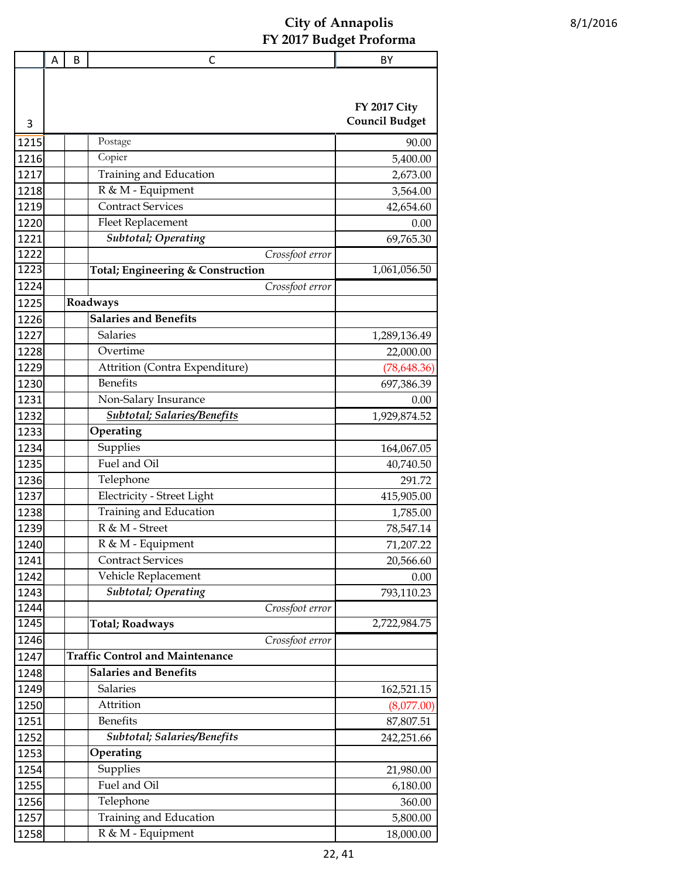|      | Α | B | С                                      | BY                    |
|------|---|---|----------------------------------------|-----------------------|
|      |   |   |                                        |                       |
|      |   |   |                                        |                       |
|      |   |   |                                        | <b>FY 2017 City</b>   |
| 3    |   |   |                                        | <b>Council Budget</b> |
| 1215 |   |   | Postage                                | 90.00                 |
| 1216 |   |   | Copier                                 | 5,400.00              |
| 1217 |   |   | Training and Education                 | 2,673.00              |
| 1218 |   |   | R & M - Equipment                      | 3,564.00              |
| 1219 |   |   | <b>Contract Services</b>               | 42,654.60             |
| 1220 |   |   | Fleet Replacement                      | 0.00                  |
| 1221 |   |   | <b>Subtotal</b> ; Operating            | 69,765.30             |
| 1222 |   |   | Crossfoot error                        |                       |
| 1223 |   |   | Total; Engineering & Construction      | 1,061,056.50          |
| 1224 |   |   | Crossfoot error                        |                       |
| 1225 |   |   | Roadways                               |                       |
| 1226 |   |   | <b>Salaries and Benefits</b>           |                       |
| 1227 |   |   | Salaries                               | 1,289,136.49          |
| 1228 |   |   | Overtime                               | 22,000.00             |
| 1229 |   |   | Attrition (Contra Expenditure)         | (78, 648.36)          |
| 1230 |   |   | Benefits                               | 697,386.39            |
| 1231 |   |   | Non-Salary Insurance                   | 0.00                  |
| 1232 |   |   | <b>Subtotal</b> ; Salaries/Benefits    | 1,929,874.52          |
| 1233 |   |   | Operating                              |                       |
| 1234 |   |   | Supplies                               | 164,067.05            |
| 1235 |   |   | Fuel and Oil                           | 40,740.50             |
| 1236 |   |   | Telephone                              | 291.72                |
| 1237 |   |   | Electricity - Street Light             | 415,905.00            |
| 1238 |   |   | Training and Education                 | 1,785.00              |
| 1239 |   |   | R & M - Street                         | 78,547.14             |
| 1240 |   |   | R & M - Equipment                      | 71,207.22             |
| 1241 |   |   | <b>Contract Services</b>               | 20,566.60             |
| 1242 |   |   | Vehicle Replacement                    | 0.00                  |
| 1243 |   |   | Subtotal; Operating                    | 793,110.23            |
| 1244 |   |   | Crossfoot error                        |                       |
| 1245 |   |   | <b>Total; Roadways</b>                 | 2,722,984.75          |
| 1246 |   |   | Crossfoot error                        |                       |
| 1247 |   |   | <b>Traffic Control and Maintenance</b> |                       |
| 1248 |   |   | <b>Salaries and Benefits</b>           |                       |
| 1249 |   |   | Salaries                               | 162,521.15            |
| 1250 |   |   | Attrition                              | (8,077.00)            |
| 1251 |   |   | <b>Benefits</b>                        | 87,807.51             |
| 1252 |   |   | Subtotal; Salaries/Benefits            | 242,251.66            |
| 1253 |   |   | Operating                              |                       |
| 1254 |   |   | Supplies                               | 21,980.00             |
| 1255 |   |   | Fuel and Oil                           | 6,180.00              |
| 1256 |   |   | Telephone                              | 360.00                |
| 1257 |   |   | Training and Education                 | 5,800.00              |
| 1258 |   |   | R & M - Equipment                      | 18,000.00             |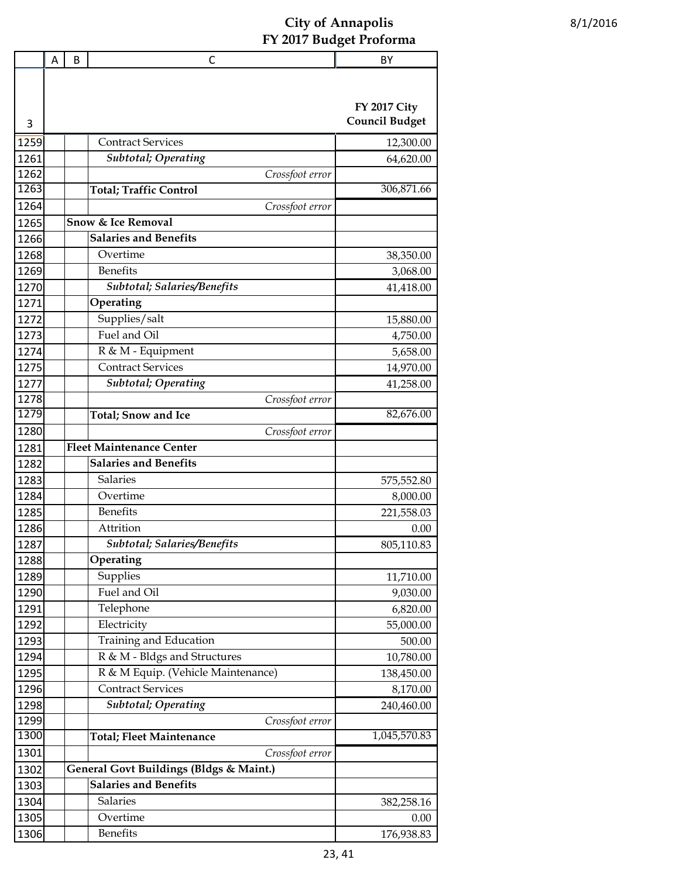|      | Α | B | С                                                      | BY                                           |
|------|---|---|--------------------------------------------------------|----------------------------------------------|
| 3    |   |   |                                                        | <b>FY 2017 City</b><br><b>Council Budget</b> |
| 1259 |   |   | <b>Contract Services</b>                               | 12,300.00                                    |
| 1261 |   |   | <b>Subtotal</b> ; Operating                            | 64,620.00                                    |
| 1262 |   |   | Crossfoot error                                        |                                              |
| 1263 |   |   | <b>Total; Traffic Control</b>                          | 306,871.66                                   |
| 1264 |   |   | Crossfoot error                                        |                                              |
| 1265 |   |   | <b>Snow &amp; Ice Removal</b>                          |                                              |
| 1266 |   |   | <b>Salaries and Benefits</b>                           |                                              |
| 1268 |   |   | Overtime                                               | 38,350.00                                    |
| 1269 |   |   | <b>Benefits</b>                                        | 3,068.00                                     |
| 1270 |   |   | <b>Subtotal; Salaries/Benefits</b>                     | 41,418.00                                    |
| 1271 |   |   | Operating                                              |                                              |
| 1272 |   |   | Supplies/salt                                          | 15,880.00                                    |
| 1273 |   |   | Fuel and Oil                                           | 4,750.00                                     |
| 1274 |   |   | R & M - Equipment                                      | 5,658.00                                     |
| 1275 |   |   | <b>Contract Services</b>                               |                                              |
| 1277 |   |   | <b>Subtotal</b> ; Operating                            | 14,970.00                                    |
| 1278 |   |   | Crossfoot error                                        | 41,258.00                                    |
| 1279 |   |   | <b>Total</b> ; Snow and Ice                            | 82,676.00                                    |
| 1280 |   |   | Crossfoot error                                        |                                              |
| 1281 |   |   | <b>Fleet Maintenance Center</b>                        |                                              |
| 1282 |   |   | <b>Salaries and Benefits</b>                           |                                              |
|      |   |   | <b>Salaries</b>                                        |                                              |
| 1283 |   |   | Overtime                                               | 575,552.80                                   |
| 1284 |   |   | <b>Benefits</b>                                        | 8,000.00                                     |
| 1285 |   |   | Attrition                                              | 221,558.03                                   |
| 1286 |   |   | <b>Subtotal</b> ; Salaries/Benefits                    | 0.00                                         |
| 1287 |   |   | Operating                                              | 805,110.83                                   |
| 1288 |   |   |                                                        |                                              |
| 1289 |   |   | Supplies                                               | 11,710.00                                    |
| 1290 |   |   | Fuel and Oil<br>Telephone                              | 9,030.00                                     |
| 1291 |   |   |                                                        | 6,820.00                                     |
| 1292 |   |   | Electricity                                            | 55,000.00                                    |
| 1293 |   |   | Training and Education<br>R & M - Bldgs and Structures | 500.00                                       |
| 1294 |   |   |                                                        | 10,780.00                                    |
| 1295 |   |   | R & M Equip. (Vehicle Maintenance)                     | 138,450.00                                   |
| 1296 |   |   | <b>Contract Services</b>                               | 8,170.00                                     |
| 1298 |   |   | <b>Subtotal</b> ; Operating                            | 240,460.00                                   |
| 1299 |   |   | Crossfoot error                                        |                                              |
| 1300 |   |   | <b>Total; Fleet Maintenance</b>                        | 1,045,570.83                                 |
| 1301 |   |   | Crossfoot error                                        |                                              |
| 1302 |   |   | General Govt Buildings (Bldgs & Maint.)                |                                              |
| 1303 |   |   | <b>Salaries and Benefits</b>                           |                                              |
| 1304 |   |   | Salaries                                               | 382,258.16                                   |
| 1305 |   |   | Overtime                                               | 0.00                                         |
| 1306 |   |   | Benefits                                               | 176,938.83                                   |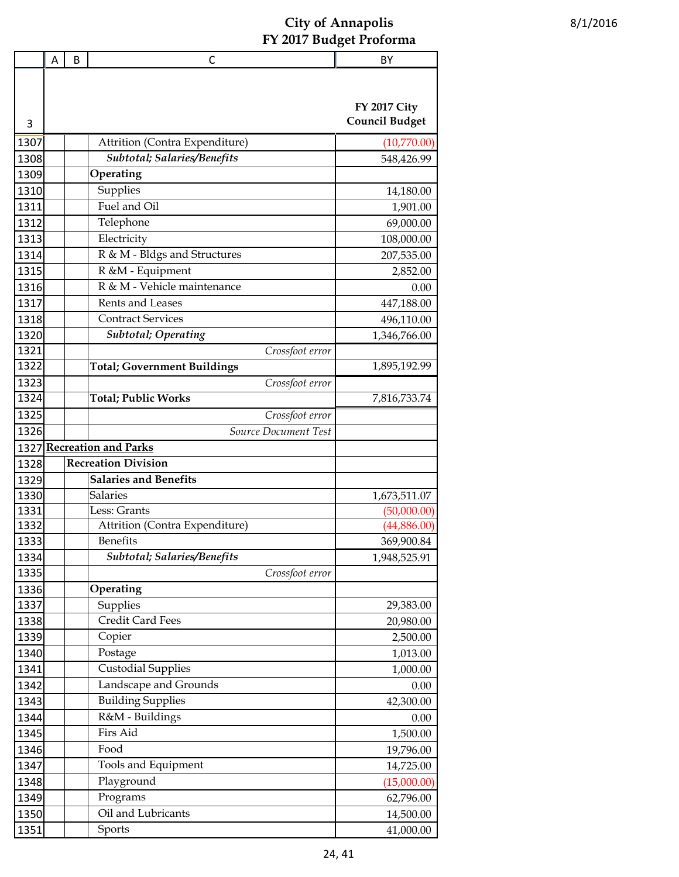|      | A | B | C                                  | BY                    |
|------|---|---|------------------------------------|-----------------------|
|      |   |   |                                    |                       |
|      |   |   |                                    | <b>FY 2017 City</b>   |
| 3    |   |   |                                    | <b>Council Budget</b> |
| 1307 |   |   | Attrition (Contra Expenditure)     | (10,770.00)           |
| 1308 |   |   | Subtotal; Salaries/Benefits        | 548,426.99            |
| 1309 |   |   | Operating                          |                       |
| 1310 |   |   | Supplies                           | 14,180.00             |
| 1311 |   |   | Fuel and Oil                       | 1,901.00              |
| 1312 |   |   | Telephone                          | 69,000.00             |
| 1313 |   |   | Electricity                        | 108,000.00            |
| 1314 |   |   | R & M - Bldgs and Structures       | 207,535.00            |
| 1315 |   |   | R &M - Equipment                   | 2,852.00              |
| 1316 |   |   | R & M - Vehicle maintenance        | 0.00                  |
| 1317 |   |   | Rents and Leases                   | 447,188.00            |
| 1318 |   |   | <b>Contract Services</b>           | 496,110.00            |
| 1320 |   |   | <b>Subtotal</b> ; Operating        | 1,346,766.00          |
| 1321 |   |   | Crossfoot error                    |                       |
| 1322 |   |   | <b>Total; Government Buildings</b> | 1,895,192.99          |
| 1323 |   |   | Crossfoot error                    |                       |
| 1324 |   |   | <b>Total; Public Works</b>         | 7,816,733.74          |
| 1325 |   |   | Crossfoot error                    |                       |
| 1326 |   |   | Source Document Test               |                       |
| 1327 |   |   | <b>Recreation and Parks</b>        |                       |
| 1328 |   |   | <b>Recreation Division</b>         |                       |
| 1329 |   |   | <b>Salaries and Benefits</b>       |                       |
| 1330 |   |   | <b>Salaries</b>                    | 1,673,511.07          |
| 1331 |   |   | Less: Grants                       | (50,000.00)           |
| 1332 |   |   | Attrition (Contra Expenditure)     | (44,886.00)           |
| 1333 |   |   | <b>Benefits</b>                    | 369,900.84            |
| 1334 |   |   | Subtotal; Salaries/Benefits        | 1,948,525.91          |
| 1335 |   |   | Crossfoot error                    |                       |
| 1336 |   |   | Operating                          |                       |
| 1337 |   |   | Supplies                           | 29,383.00             |
| 1338 |   |   | Credit Card Fees                   | 20,980.00             |
| 1339 |   |   | Copier                             | 2,500.00              |
| 1340 |   |   | Postage                            | 1,013.00              |
| 1341 |   |   | <b>Custodial Supplies</b>          | 1,000.00              |
| 1342 |   |   | Landscape and Grounds              | 0.00                  |
| 1343 |   |   | <b>Building Supplies</b>           | 42,300.00             |
| 1344 |   |   | R&M - Buildings                    | 0.00                  |
| 1345 |   |   | Firs Aid                           | 1,500.00              |
| 1346 |   |   | Food                               | 19,796.00             |
| 1347 |   |   | Tools and Equipment                | 14,725.00             |
| 1348 |   |   | Playground                         | (15,000.00)           |
| 1349 |   |   | Programs                           | 62,796.00             |
| 1350 |   |   | Oil and Lubricants                 | 14,500.00             |
| 1351 |   |   | Sports                             | 41,000.00             |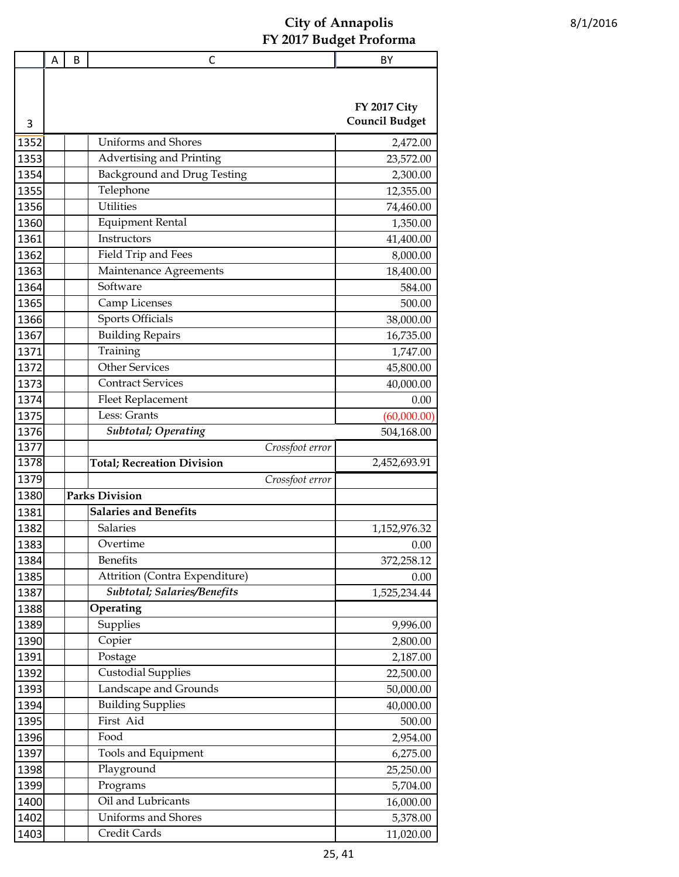|      | A | B | C                                  | BY                    |
|------|---|---|------------------------------------|-----------------------|
|      |   |   |                                    |                       |
|      |   |   |                                    |                       |
|      |   |   |                                    | <b>FY 2017 City</b>   |
| 3    |   |   |                                    | <b>Council Budget</b> |
| 1352 |   |   | <b>Uniforms and Shores</b>         | 2,472.00              |
| 1353 |   |   | Advertising and Printing           | 23,572.00             |
| 1354 |   |   | <b>Background and Drug Testing</b> | 2,300.00              |
| 1355 |   |   | Telephone                          | 12,355.00             |
| 1356 |   |   | <b>Utilities</b>                   | 74,460.00             |
| 1360 |   |   | <b>Equipment Rental</b>            | 1,350.00              |
| 1361 |   |   | Instructors                        | 41,400.00             |
| 1362 |   |   | Field Trip and Fees                | 8,000.00              |
| 1363 |   |   | Maintenance Agreements             | 18,400.00             |
| 1364 |   |   | Software                           | 584.00                |
| 1365 |   |   | Camp Licenses                      | 500.00                |
| 1366 |   |   | <b>Sports Officials</b>            | 38,000.00             |
| 1367 |   |   | <b>Building Repairs</b>            | 16,735.00             |
| 1371 |   |   | Training                           | 1,747.00              |
| 1372 |   |   | <b>Other Services</b>              | 45,800.00             |
| 1373 |   |   | <b>Contract Services</b>           | 40,000.00             |
| 1374 |   |   | <b>Fleet Replacement</b>           | 0.00                  |
| 1375 |   |   | Less: Grants                       | (60,000.00)           |
| 1376 |   |   | <b>Subtotal</b> ; Operating        | 504,168.00            |
| 1377 |   |   | Crossfoot error                    |                       |
| 1378 |   |   | <b>Total; Recreation Division</b>  | 2,452,693.91          |
| 1379 |   |   | Crossfoot error                    |                       |
| 1380 |   |   | <b>Parks Division</b>              |                       |
| 1381 |   |   | <b>Salaries and Benefits</b>       |                       |
| 1382 |   |   | Salaries                           | 1,152,976.32          |
| 1383 |   |   | Overtime                           | 0.00                  |
| 1384 |   |   | Benefits                           | 372,258.12            |
| 1385 |   |   | Attrition (Contra Expenditure)     | 0.00                  |
| 1387 |   |   | Subtotal; Salaries/Benefits        | 1,525,234.44          |
| 1388 |   |   | Operating                          |                       |
| 1389 |   |   | Supplies                           | 9,996.00              |
| 1390 |   |   | Copier                             | 2,800.00              |
| 1391 |   |   | Postage                            | 2,187.00              |
| 1392 |   |   | <b>Custodial Supplies</b>          | 22,500.00             |
| 1393 |   |   | Landscape and Grounds              | 50,000.00             |
| 1394 |   |   | <b>Building Supplies</b>           | 40,000.00             |
| 1395 |   |   | First Aid                          | 500.00                |
| 1396 |   |   | Food                               | 2,954.00              |
| 1397 |   |   | Tools and Equipment                | 6,275.00              |
| 1398 |   |   | Playground                         | 25,250.00             |
| 1399 |   |   | Programs                           | 5,704.00              |
| 1400 |   |   | Oil and Lubricants                 | 16,000.00             |
| 1402 |   |   | Uniforms and Shores                | 5,378.00              |
| 1403 |   |   | Credit Cards                       | 11,020.00             |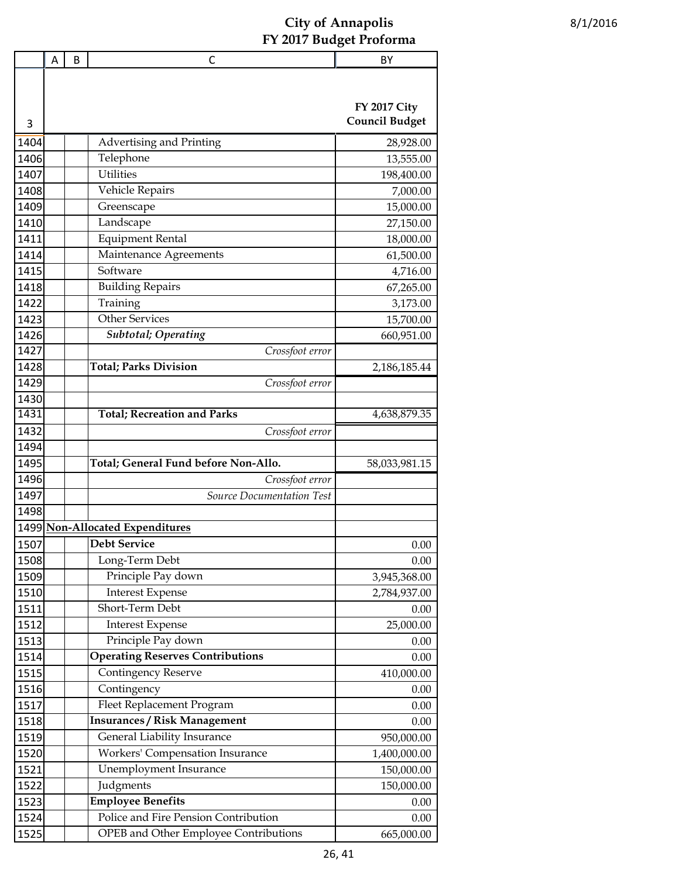|      | Α | B | $\mathsf{C}$                            | BY                    |
|------|---|---|-----------------------------------------|-----------------------|
|      |   |   |                                         |                       |
|      |   |   |                                         |                       |
|      |   |   |                                         | <b>FY 2017 City</b>   |
| 3    |   |   |                                         | <b>Council Budget</b> |
| 1404 |   |   | Advertising and Printing                | 28,928.00             |
| 1406 |   |   | Telephone                               | 13,555.00             |
| 1407 |   |   | <b>Utilities</b>                        | 198,400.00            |
| 1408 |   |   | Vehicle Repairs                         | 7,000.00              |
| 1409 |   |   | Greenscape                              | 15,000.00             |
| 1410 |   |   | Landscape                               | 27,150.00             |
| 1411 |   |   | <b>Equipment Rental</b>                 | 18,000.00             |
| 1414 |   |   | Maintenance Agreements                  | 61,500.00             |
| 1415 |   |   | Software                                | 4,716.00              |
| 1418 |   |   | <b>Building Repairs</b>                 | 67,265.00             |
| 1422 |   |   | Training                                | 3,173.00              |
| 1423 |   |   | <b>Other Services</b>                   | 15,700.00             |
| 1426 |   |   | <b>Subtotal</b> ; Operating             | 660,951.00            |
| 1427 |   |   | Crossfoot error                         |                       |
| 1428 |   |   | <b>Total; Parks Division</b>            | 2,186,185.44          |
| 1429 |   |   | Crossfoot error                         |                       |
| 1430 |   |   |                                         |                       |
| 1431 |   |   | <b>Total; Recreation and Parks</b>      | 4,638,879.35          |
| 1432 |   |   | Crossfoot error                         |                       |
| 1494 |   |   |                                         |                       |
| 1495 |   |   | Total; General Fund before Non-Allo.    | 58,033,981.15         |
| 1496 |   |   | Crossfoot error                         |                       |
| 1497 |   |   | Source Documentation Test               |                       |
| 1498 |   |   |                                         |                       |
|      |   |   | 1499 Non-Allocated Expenditures         |                       |
| 1507 |   |   | <b>Debt Service</b>                     | 0.00                  |
| 1508 |   |   | Long-Term Debt                          | 0.00                  |
| 1509 |   |   | Principle Pay down                      | 3,945,368.00          |
| 1510 |   |   | <b>Interest Expense</b>                 | 2,784,937.00          |
| 1511 |   |   | Short-Term Debt                         | 0.00                  |
| 1512 |   |   | <b>Interest Expense</b>                 | 25,000.00             |
| 1513 |   |   | Principle Pay down                      | 0.00                  |
| 1514 |   |   | <b>Operating Reserves Contributions</b> | 0.00                  |
| 1515 |   |   | <b>Contingency Reserve</b>              | 410,000.00            |
| 1516 |   |   | Contingency                             | 0.00                  |
| 1517 |   |   | Fleet Replacement Program               | 0.00                  |
| 1518 |   |   | <b>Insurances / Risk Management</b>     | 0.00                  |
| 1519 |   |   | General Liability Insurance             | 950,000.00            |
| 1520 |   |   | Workers' Compensation Insurance         |                       |
|      |   |   |                                         | 1,400,000.00          |
| 1521 |   |   | Unemployment Insurance<br>Judgments     | 150,000.00            |
| 1522 |   |   |                                         | 150,000.00            |
| 1523 |   |   | <b>Employee Benefits</b>                | 0.00                  |
| 1524 |   |   | Police and Fire Pension Contribution    | 0.00                  |
| 1525 |   |   | OPEB and Other Employee Contributions   | 665,000.00            |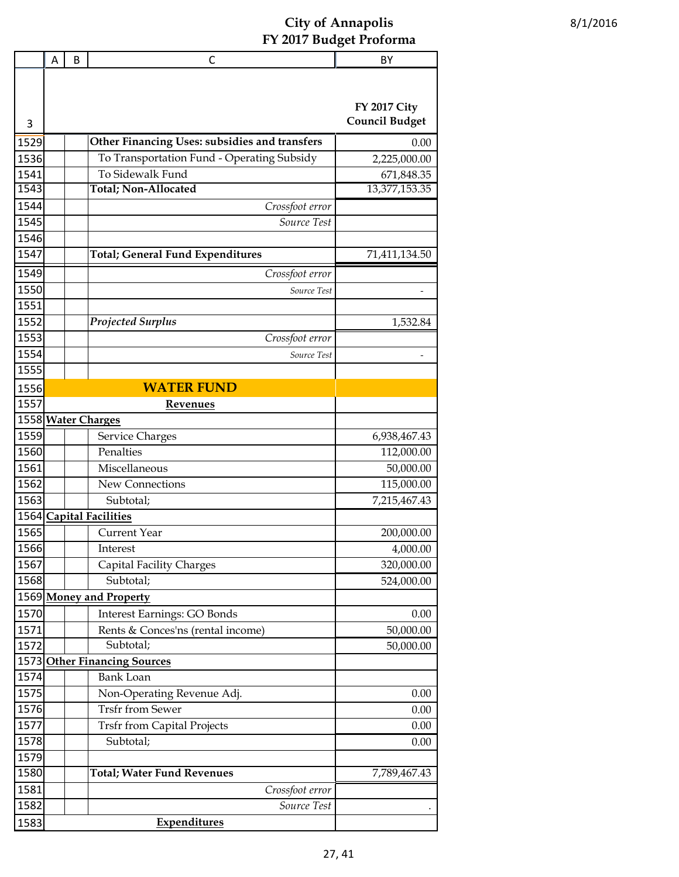|              | A | B | C                                                     | BY                                           |
|--------------|---|---|-------------------------------------------------------|----------------------------------------------|
|              |   |   |                                                       |                                              |
|              |   |   |                                                       |                                              |
|              |   |   |                                                       | <b>FY 2017 City</b><br><b>Council Budget</b> |
| 3            |   |   |                                                       |                                              |
| 1529         |   |   | Other Financing Uses: subsidies and transfers         | 0.00                                         |
| 1536         |   |   | To Transportation Fund - Operating Subsidy            | 2,225,000.00                                 |
| 1541         |   |   | To Sidewalk Fund<br>Total; Non-Allocated              | 671,848.35                                   |
| 1543<br>1544 |   |   |                                                       | 13,377,153.35                                |
| 1545         |   |   | Crossfoot error<br>Source Test                        |                                              |
| 1546         |   |   |                                                       |                                              |
| 1547         |   |   | <b>Total; General Fund Expenditures</b>               | 71,411,134.50                                |
| 1549         |   |   |                                                       |                                              |
| 1550         |   |   | Crossfoot error                                       |                                              |
| 1551         |   |   | Source Test                                           |                                              |
| 1552         |   |   | <b>Projected Surplus</b>                              | 1,532.84                                     |
| 1553         |   |   | Crossfoot error                                       |                                              |
| 1554         |   |   | Source Test                                           |                                              |
| 1555         |   |   |                                                       |                                              |
| 1556         |   |   | <b>WATER FUND</b>                                     |                                              |
| 1557         |   |   | <b>Revenues</b>                                       |                                              |
|              |   |   | 1558 Water Charges                                    |                                              |
| 1559         |   |   | Service Charges                                       | 6,938,467.43                                 |
| 1560         |   |   | Penalties                                             | 112,000.00                                   |
| 1561         |   |   | Miscellaneous                                         | 50,000.00                                    |
| 1562         |   |   | New Connections                                       | 115,000.00                                   |
| 1563         |   |   | Subtotal;                                             | 7,215,467.43                                 |
| 1564         |   |   | <b>Capital Facilities</b>                             |                                              |
| 1565         |   |   | <b>Current Year</b>                                   | 200,000.00                                   |
| 1566         |   |   | Interest                                              | 4,000.00                                     |
| 1567         |   |   | Capital Facility Charges                              | 320,000.00                                   |
| 1568         |   |   | Subtotal;                                             | 524,000.00                                   |
|              |   |   | 1569 Money and Property                               |                                              |
| 1570         |   |   | <b>Interest Earnings: GO Bonds</b>                    | 0.00                                         |
| 1571         |   |   | Rents & Conces'ns (rental income)                     | 50,000.00                                    |
| 1572         |   |   | Subtotal;                                             | 50,000.00                                    |
| 1573<br>1574 |   |   | <b>Other Financing Sources</b>                        |                                              |
| 1575         |   |   | <b>Bank Loan</b>                                      | 0.00                                         |
| 1576         |   |   | Non-Operating Revenue Adj.<br><b>Trsfr from Sewer</b> | 0.00                                         |
| 1577         |   |   | <b>Trsfr from Capital Projects</b>                    | 0.00                                         |
| 1578         |   |   | Subtotal;                                             | 0.00                                         |
| 1579         |   |   |                                                       |                                              |
| 1580         |   |   | <b>Total; Water Fund Revenues</b>                     | 7,789,467.43                                 |
| 1581         |   |   | Crossfoot error                                       |                                              |
| 1582         |   |   | Source Test                                           |                                              |
| 1583         |   |   | <b>Expenditures</b>                                   |                                              |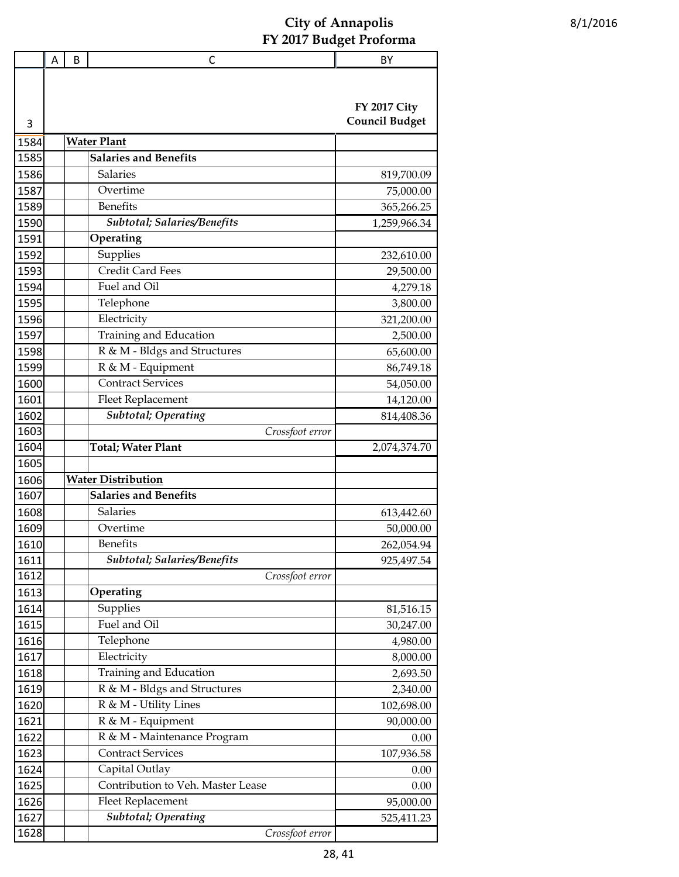|      | Α | B | C                                 | BY                                           |
|------|---|---|-----------------------------------|----------------------------------------------|
| 3    |   |   |                                   | <b>FY 2017 City</b><br><b>Council Budget</b> |
| 1584 |   |   | <b>Water Plant</b>                |                                              |
| 1585 |   |   | <b>Salaries and Benefits</b>      |                                              |
| 1586 |   |   | Salaries                          |                                              |
| 1587 |   |   | Overtime                          | 819,700.09                                   |
|      |   |   | <b>Benefits</b>                   | 75,000.00                                    |
| 1589 |   |   | Subtotal; Salaries/Benefits       | 365,266.25                                   |
| 1590 |   |   |                                   | 1,259,966.34                                 |
| 1591 |   |   | Operating                         |                                              |
| 1592 |   |   | Supplies                          | 232,610.00                                   |
| 1593 |   |   | <b>Credit Card Fees</b>           | 29,500.00                                    |
| 1594 |   |   | Fuel and Oil                      | 4,279.18                                     |
| 1595 |   |   | Telephone                         | 3,800.00                                     |
| 1596 |   |   | Electricity                       | 321,200.00                                   |
| 1597 |   |   | Training and Education            | 2,500.00                                     |
| 1598 |   |   | R & M - Bldgs and Structures      | 65,600.00                                    |
| 1599 |   |   | R & M - Equipment                 | 86,749.18                                    |
| 1600 |   |   | <b>Contract Services</b>          | 54,050.00                                    |
| 1601 |   |   | <b>Fleet Replacement</b>          | 14,120.00                                    |
| 1602 |   |   | <b>Subtotal</b> ; Operating       | 814,408.36                                   |
| 1603 |   |   | Crossfoot error                   |                                              |
| 1604 |   |   | <b>Total; Water Plant</b>         | 2,074,374.70                                 |
| 1605 |   |   |                                   |                                              |
| 1606 |   |   | <b>Water Distribution</b>         |                                              |
| 1607 |   |   | <b>Salaries and Benefits</b>      |                                              |
| 1608 |   |   | <b>Salaries</b>                   | 613,442.60                                   |
| 1609 |   |   | Overtime                          | 50,000.00                                    |
| 1610 |   |   | <b>Benefits</b>                   | 262,054.94                                   |
| 1611 |   |   | Subtotal; Salaries/Benefits       | 925,497.54                                   |
| 1612 |   |   | Crossfoot error                   |                                              |
| 1613 |   |   | Operating                         |                                              |
| 1614 |   |   | Supplies                          | 81,516.15                                    |
| 1615 |   |   | Fuel and Oil                      | 30,247.00                                    |
| 1616 |   |   | Telephone                         | 4,980.00                                     |
| 1617 |   |   | Electricity                       | 8,000.00                                     |
| 1618 |   |   | Training and Education            | 2,693.50                                     |
| 1619 |   |   | R & M - Bldgs and Structures      | 2,340.00                                     |
| 1620 |   |   | R & M - Utility Lines             | 102,698.00                                   |
| 1621 |   |   | R & M - Equipment                 | 90,000.00                                    |
| 1622 |   |   | R & M - Maintenance Program       | 0.00                                         |
| 1623 |   |   | <b>Contract Services</b>          | 107,936.58                                   |
| 1624 |   |   | Capital Outlay                    | 0.00                                         |
| 1625 |   |   | Contribution to Veh. Master Lease | 0.00                                         |
| 1626 |   |   | <b>Fleet Replacement</b>          | 95,000.00                                    |
| 1627 |   |   | <b>Subtotal</b> ; Operating       | 525,411.23                                   |
| 1628 |   |   | Crossfoot error                   |                                              |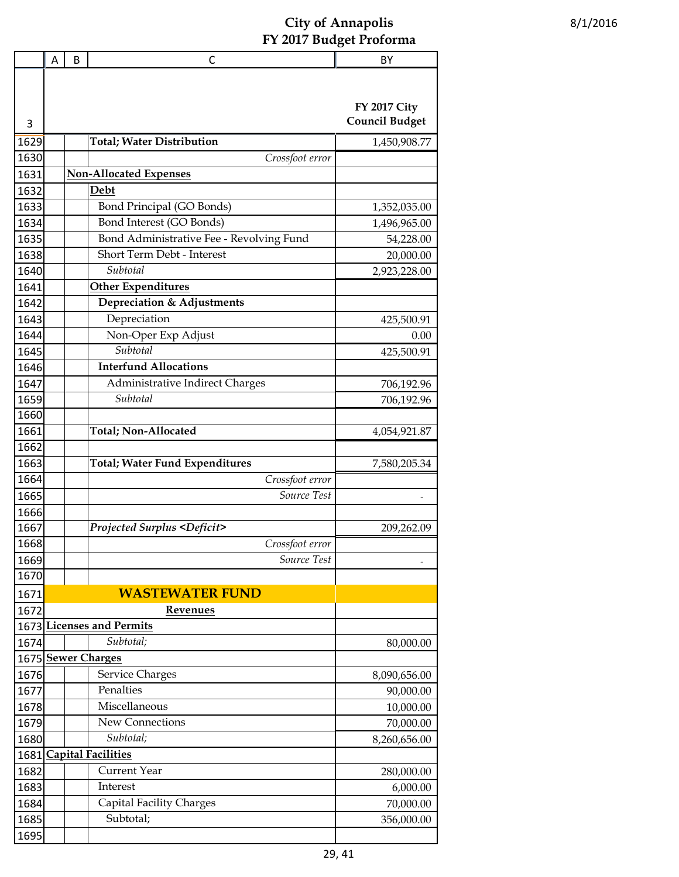|              | A | B | С                                                                    | BY                    |  |  |
|--------------|---|---|----------------------------------------------------------------------|-----------------------|--|--|
|              |   |   |                                                                      |                       |  |  |
|              |   |   |                                                                      | <b>FY 2017 City</b>   |  |  |
| 3            |   |   |                                                                      | <b>Council Budget</b> |  |  |
|              |   |   |                                                                      |                       |  |  |
| 1629<br>1630 |   |   | <b>Total; Water Distribution</b>                                     | 1,450,908.77          |  |  |
|              |   |   | Crossfoot error<br><b>Non-Allocated Expenses</b>                     |                       |  |  |
| 1631         |   |   | Debt                                                                 |                       |  |  |
| 1632         |   |   | Bond Principal (GO Bonds)                                            |                       |  |  |
| 1633         |   |   |                                                                      | 1,352,035.00          |  |  |
| 1634         |   |   | Bond Interest (GO Bonds)<br>Bond Administrative Fee - Revolving Fund | 1,496,965.00          |  |  |
| 1635         |   |   | Short Term Debt - Interest                                           | 54,228.00             |  |  |
| 1638         |   |   | Subtotal                                                             | 20,000.00             |  |  |
| 1640         |   |   |                                                                      | 2,923,228.00          |  |  |
| 1641         |   |   | <b>Other Expenditures</b>                                            |                       |  |  |
| 1642         |   |   | Depreciation & Adjustments                                           |                       |  |  |
| 1643         |   |   | Depreciation                                                         | 425,500.91            |  |  |
| 1644         |   |   | Non-Oper Exp Adjust<br>Subtotal                                      | 0.00                  |  |  |
| 1645         |   |   |                                                                      | 425,500.91            |  |  |
| 1646         |   |   | <b>Interfund Allocations</b>                                         |                       |  |  |
| 1647         |   |   | Administrative Indirect Charges                                      | 706,192.96            |  |  |
| 1659         |   |   | Subtotal                                                             | 706,192.96            |  |  |
| 1660         |   |   |                                                                      |                       |  |  |
| 1661         |   |   | Total; Non-Allocated                                                 | 4,054,921.87          |  |  |
| 1662         |   |   |                                                                      |                       |  |  |
| 1663<br>1664 |   |   | <b>Total; Water Fund Expenditures</b>                                | 7,580,205.34          |  |  |
|              |   |   | Crossfoot error<br>Source Test                                       |                       |  |  |
| 1665<br>1666 |   |   |                                                                      |                       |  |  |
| 1667         |   |   | <b>Projected Surplus <deficit></deficit></b>                         | 209,262.09            |  |  |
| 1668         |   |   | Crossfoot error                                                      |                       |  |  |
| 1669         |   |   | Source Test                                                          |                       |  |  |
| 1670         |   |   |                                                                      |                       |  |  |
| 1671         |   |   | <b>WASTEWATER FUND</b>                                               |                       |  |  |
| 1672         |   |   | Revenues                                                             |                       |  |  |
| 1673         |   |   | <b>Licenses and Permits</b>                                          |                       |  |  |
| 1674         |   |   | Subtotal;                                                            | 80,000.00             |  |  |
| 1675         |   |   | <b>Sewer Charges</b>                                                 |                       |  |  |
| 1676         |   |   | <b>Service Charges</b>                                               | 8,090,656.00          |  |  |
| 1677         |   |   | Penalties                                                            | 90,000.00             |  |  |
| 1678         |   |   | Miscellaneous                                                        | 10,000.00             |  |  |
| 1679         |   |   | New Connections                                                      | 70,000.00             |  |  |
| 1680         |   |   | Subtotal;                                                            | 8,260,656.00          |  |  |
| 1681         |   |   | <b>Capital Facilities</b>                                            |                       |  |  |
| 1682         |   |   | <b>Current Year</b>                                                  | 280,000.00            |  |  |
| 1683         |   |   | Interest                                                             | 6,000.00              |  |  |
| 1684         |   |   | Capital Facility Charges                                             | 70,000.00             |  |  |
| 1685         |   |   | Subtotal;                                                            | 356,000.00            |  |  |
| 1695         |   |   |                                                                      |                       |  |  |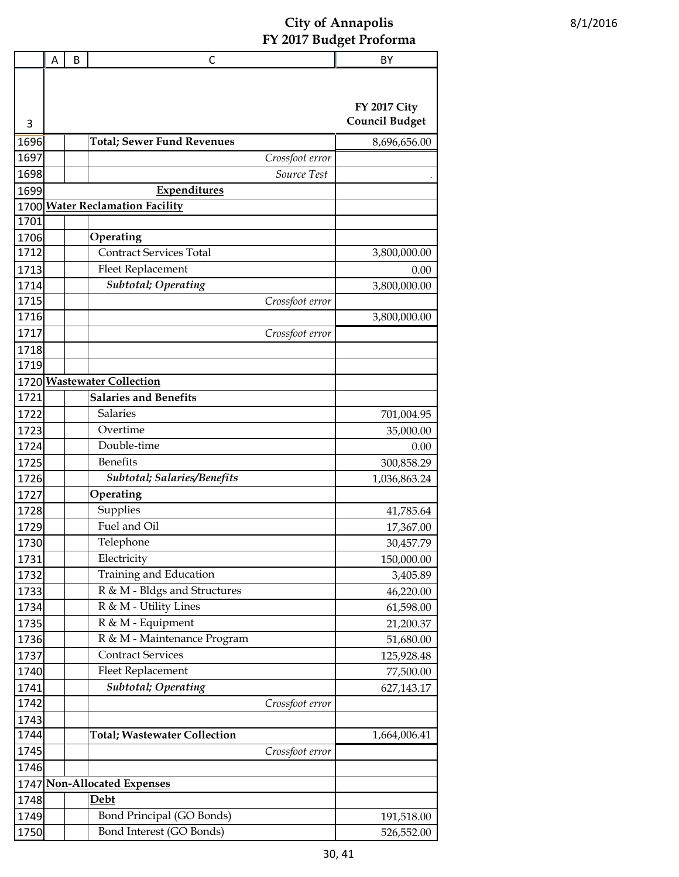|      | Α | B | C                                   | BY                    |
|------|---|---|-------------------------------------|-----------------------|
|      |   |   |                                     | <b>FY 2017 City</b>   |
| 3    |   |   |                                     | <b>Council Budget</b> |
| 1696 |   |   | <b>Total; Sewer Fund Revenues</b>   | 8,696,656.00          |
| 1697 |   |   | Crossfoot error                     |                       |
| 1698 |   |   | Source Test                         |                       |
| 1699 |   |   | <b>Expenditures</b>                 |                       |
| 1700 |   |   | <b>Water Reclamation Facility</b>   |                       |
| 1701 |   |   |                                     |                       |
| 1706 |   |   | Operating                           |                       |
| 1712 |   |   | <b>Contract Services Total</b>      | 3,800,000.00          |
| 1713 |   |   | Fleet Replacement                   | 0.00                  |
| 1714 |   |   | <b>Subtotal</b> ; Operating         | 3,800,000.00          |
| 1715 |   |   | Crossfoot error                     |                       |
| 1716 |   |   |                                     | 3,800,000.00          |
| 1717 |   |   | Crossfoot error                     |                       |
| 1718 |   |   |                                     |                       |
| 1719 |   |   |                                     |                       |
| 1720 |   |   | <b>Wastewater Collection</b>        |                       |
| 1721 |   |   | <b>Salaries and Benefits</b>        |                       |
| 1722 |   |   | <b>Salaries</b>                     | 701,004.95            |
| 1723 |   |   | Overtime                            | 35,000.00             |
| 1724 |   |   | Double-time                         | 0.00                  |
| 1725 |   |   | <b>Benefits</b>                     | 300,858.29            |
| 1726 |   |   | <b>Subtotal; Salaries/Benefits</b>  | 1,036,863.24          |
| 1727 |   |   | Operating                           |                       |
| 1728 |   |   | Supplies                            | 41,785.64             |
| 1729 |   |   | Fuel and Oil                        | 17,367.00             |
| 1730 |   |   | Telephone                           | 30,457.79             |
| 1731 |   |   | Electricity                         | 150,000.00            |
| 1732 |   |   | Training and Education              | 3,405.89              |
| 1733 |   |   | R & M - Bldgs and Structures        | 46,220.00             |
| 1734 |   |   | R & M - Utility Lines               | 61,598.00             |
| 1735 |   |   | R & M - Equipment                   | 21,200.37             |
| 1736 |   |   | R & M - Maintenance Program         | 51,680.00             |
| 1737 |   |   | <b>Contract Services</b>            | 125,928.48            |
| 1740 |   |   | Fleet Replacement                   | 77,500.00             |
| 1741 |   |   | Subtotal; Operating                 | 627,143.17            |
| 1742 |   |   | Crossfoot error                     |                       |
| 1743 |   |   |                                     |                       |
| 1744 |   |   | <b>Total; Wastewater Collection</b> | 1,664,006.41          |
| 1745 |   |   | Crossfoot error                     |                       |
| 1746 |   |   |                                     |                       |
| 1747 |   |   | <b>Non-Allocated Expenses</b>       |                       |
| 1748 |   |   | <b>Debt</b>                         |                       |
| 1749 |   |   | Bond Principal (GO Bonds)           | 191,518.00            |
| 1750 |   |   | Bond Interest (GO Bonds)            | 526,552.00            |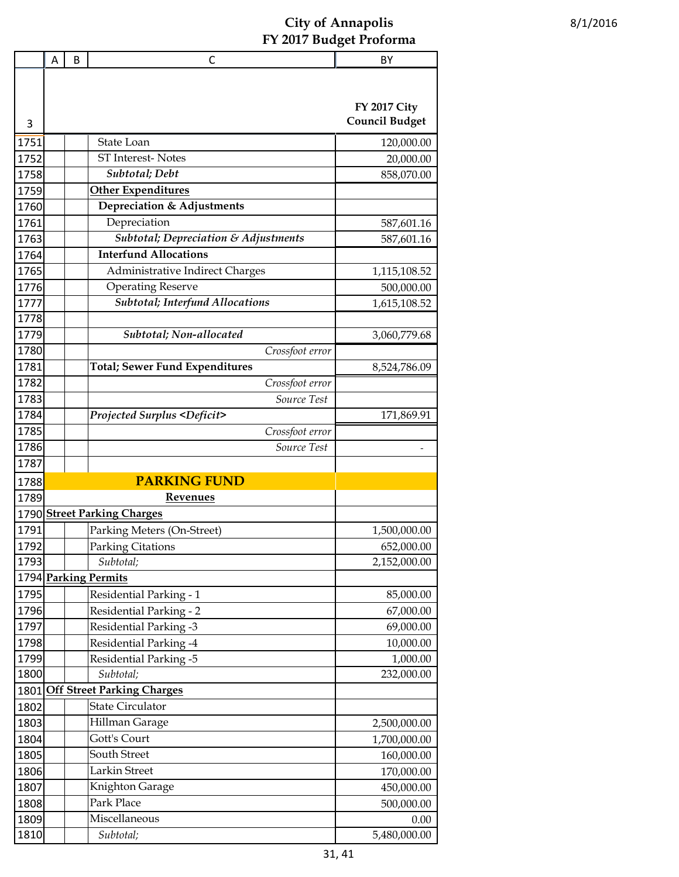|      | Α | B | С                                            | BY                    |  |  |
|------|---|---|----------------------------------------------|-----------------------|--|--|
|      |   |   |                                              |                       |  |  |
|      |   |   |                                              |                       |  |  |
|      |   |   |                                              | <b>FY 2017 City</b>   |  |  |
| 3    |   |   |                                              | <b>Council Budget</b> |  |  |
| 1751 |   |   | State Loan                                   | 120,000.00            |  |  |
| 1752 |   |   | ST Interest-Notes                            | 20,000.00             |  |  |
| 1758 |   |   | Subtotal; Debt                               | 858,070.00            |  |  |
| 1759 |   |   | <b>Other Expenditures</b>                    |                       |  |  |
| 1760 |   |   | Depreciation & Adjustments                   |                       |  |  |
| 1761 |   |   | Depreciation                                 | 587,601.16            |  |  |
| 1763 |   |   | Subtotal; Depreciation & Adjustments         | 587,601.16            |  |  |
| 1764 |   |   | <b>Interfund Allocations</b>                 |                       |  |  |
| 1765 |   |   | Administrative Indirect Charges              | 1,115,108.52          |  |  |
| 1776 |   |   | <b>Operating Reserve</b>                     | 500,000.00            |  |  |
| 1777 |   |   | Subtotal; Interfund Allocations              | 1,615,108.52          |  |  |
| 1778 |   |   |                                              |                       |  |  |
| 1779 |   |   | Subtotal; Non-allocated                      | 3,060,779.68          |  |  |
| 1780 |   |   | Crossfoot error                              |                       |  |  |
| 1781 |   |   | <b>Total; Sewer Fund Expenditures</b>        | 8,524,786.09          |  |  |
| 1782 |   |   | Crossfoot error                              |                       |  |  |
| 1783 |   |   | Source Test                                  |                       |  |  |
| 1784 |   |   | <b>Projected Surplus <deficit></deficit></b> | 171,869.91            |  |  |
| 1785 |   |   | Crossfoot error                              |                       |  |  |
| 1786 |   |   | Source Test                                  |                       |  |  |
| 1787 |   |   |                                              |                       |  |  |
| 1788 |   |   | <b>PARKING FUND</b>                          |                       |  |  |
| 1789 |   |   | <b>Revenues</b>                              |                       |  |  |
|      |   |   | 1790 Street Parking Charges                  |                       |  |  |
| 1791 |   |   | Parking Meters (On-Street)                   | 1,500,000.00          |  |  |
| 1792 |   |   | <b>Parking Citations</b>                     | 652,000.00            |  |  |
| 1793 |   |   | Subtotal;                                    | 2,152,000.00          |  |  |
|      |   |   | 1794 Parking Permits                         |                       |  |  |
| 1795 |   |   | <b>Residential Parking - 1</b>               | 85,000.00             |  |  |
| 1796 |   |   | <b>Residential Parking - 2</b>               | 67,000.00             |  |  |
| 1797 |   |   | <b>Residential Parking -3</b>                | 69,000.00             |  |  |
| 1798 |   |   | Residential Parking -4                       | 10,000.00             |  |  |
| 1799 |   |   | Residential Parking -5                       | 1,000.00              |  |  |
| 1800 |   |   | Subtotal;                                    | 232,000.00            |  |  |
|      |   |   | 1801 Off Street Parking Charges              |                       |  |  |
| 1802 |   |   | <b>State Circulator</b>                      |                       |  |  |
| 1803 |   |   | Hillman Garage                               | 2,500,000.00          |  |  |
| 1804 |   |   | Gott's Court                                 | 1,700,000.00          |  |  |
| 1805 |   |   | South Street                                 | 160,000.00            |  |  |
| 1806 |   |   | Larkin Street                                | 170,000.00            |  |  |
| 1807 |   |   | Knighton Garage                              | 450,000.00            |  |  |
| 1808 |   |   | Park Place                                   | 500,000.00            |  |  |
| 1809 |   |   | Miscellaneous                                | 0.00                  |  |  |
| 1810 |   |   | Subtotal;                                    | 5,480,000.00          |  |  |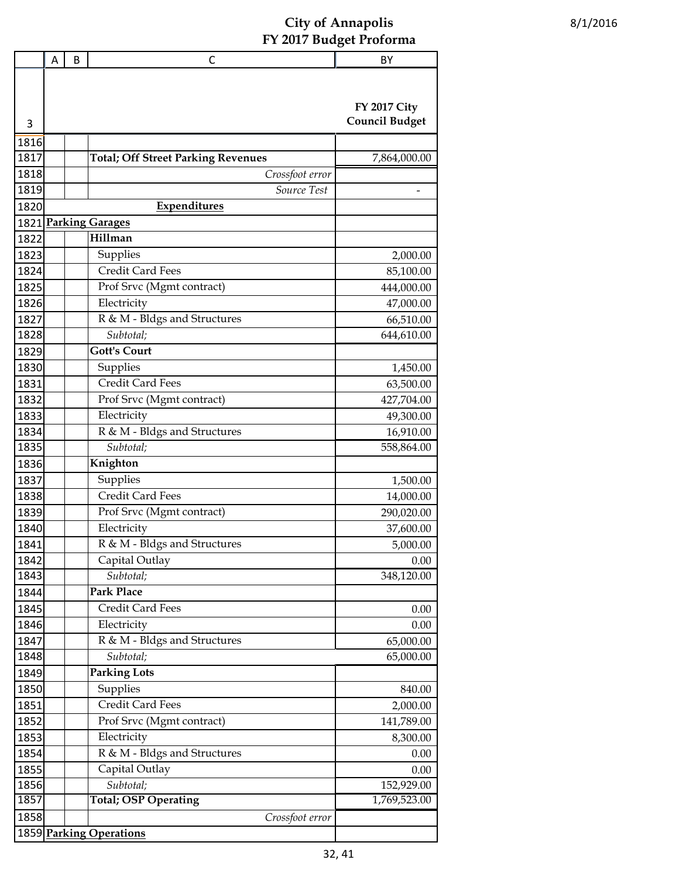|      | Α | B | С                                         | BY                                           |
|------|---|---|-------------------------------------------|----------------------------------------------|
| 3    |   |   |                                           | <b>FY 2017 City</b><br><b>Council Budget</b> |
| 1816 |   |   |                                           |                                              |
| 1817 |   |   | <b>Total; Off Street Parking Revenues</b> | 7,864,000.00                                 |
| 1818 |   |   | Crossfoot error                           |                                              |
| 1819 |   |   | Source Test                               |                                              |
| 1820 |   |   | Expenditures                              |                                              |
| 1821 |   |   | <b>Parking Garages</b>                    |                                              |
| 1822 |   |   | Hillman                                   |                                              |
| 1823 |   |   | Supplies                                  | 2,000.00                                     |
| 1824 |   |   | <b>Credit Card Fees</b>                   | 85,100.00                                    |
| 1825 |   |   | Prof Srvc (Mgmt contract)                 | 444,000.00                                   |
| 1826 |   |   | Electricity                               | 47,000.00                                    |
| 1827 |   |   | R & M - Bldgs and Structures              | 66,510.00                                    |
| 1828 |   |   | Subtotal;                                 | 644,610.00                                   |
| 1829 |   |   | <b>Gott's Court</b>                       |                                              |
| 1830 |   |   | Supplies                                  | 1,450.00                                     |
| 1831 |   |   | Credit Card Fees                          | 63,500.00                                    |
| 1832 |   |   | Prof Srvc (Mgmt contract)                 | 427,704.00                                   |
| 1833 |   |   | Electricity                               | 49,300.00                                    |
| 1834 |   |   | R & M - Bldgs and Structures              | 16,910.00                                    |
| 1835 |   |   | Subtotal;                                 | 558,864.00                                   |
| 1836 |   |   | Knighton                                  |                                              |
| 1837 |   |   | Supplies                                  | 1,500.00                                     |
| 1838 |   |   | Credit Card Fees                          | 14,000.00                                    |
| 1839 |   |   | Prof Srvc (Mgmt contract)                 | 290,020.00                                   |
| 1840 |   |   | Electricity                               | 37,600.00                                    |
| 1841 |   |   | R & M - Bldgs and Structures              | 5,000.00                                     |
| 1842 |   |   | Capital Outlay                            | 0.00                                         |
| 1843 |   |   | Subtotal;                                 | 348,120.00                                   |
| 1844 |   |   | <b>Park Place</b>                         |                                              |
| 1845 |   |   | Credit Card Fees                          | 0.00                                         |
| 1846 |   |   | Electricity                               | 0.00                                         |
| 1847 |   |   | R & M - Bldgs and Structures              | 65,000.00                                    |
| 1848 |   |   | Subtotal;                                 | 65,000.00                                    |
| 1849 |   |   | <b>Parking Lots</b>                       |                                              |
| 1850 |   |   | Supplies                                  | 840.00                                       |
| 1851 |   |   | Credit Card Fees                          | 2,000.00                                     |
| 1852 |   |   | Prof Srvc (Mgmt contract)                 | 141,789.00                                   |
| 1853 |   |   | Electricity                               | 8,300.00                                     |
| 1854 |   |   | R & M - Bldgs and Structures              | 0.00                                         |
| 1855 |   |   | Capital Outlay                            | 0.00                                         |
| 1856 |   |   | Subtotal;                                 | 152,929.00                                   |
| 1857 |   |   | <b>Total; OSP Operating</b>               | 1,769,523.00                                 |
| 1858 |   |   | Crossfoot error                           |                                              |
|      |   |   | 1859 Parking Operations                   |                                              |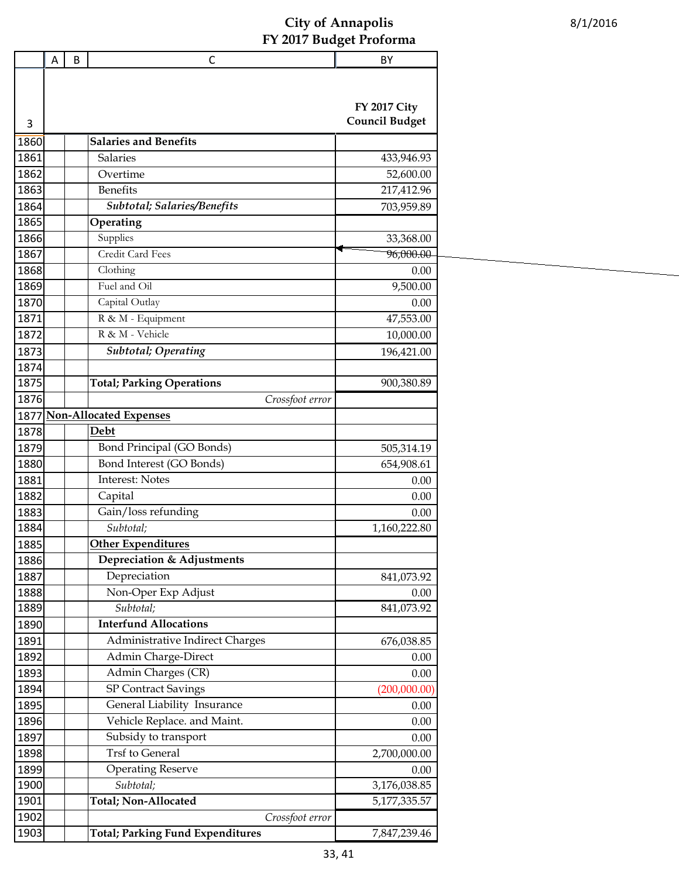|              | A | B | C                                         | BY                    |
|--------------|---|---|-------------------------------------------|-----------------------|
|              |   |   |                                           |                       |
|              |   |   |                                           |                       |
|              |   |   |                                           | <b>FY 2017 City</b>   |
| 3            |   |   |                                           | <b>Council Budget</b> |
| 1860         |   |   | <b>Salaries and Benefits</b>              |                       |
| 1861         |   |   | Salaries                                  | 433,946.93            |
| 1862         |   |   | Overtime                                  | 52,600.00             |
| 1863         |   |   | <b>Benefits</b>                           | 217,412.96            |
| 1864         |   |   | Subtotal; Salaries/Benefits               | 703,959.89            |
| 1865         |   |   | Operating                                 |                       |
| 1866         |   |   | Supplies                                  | 33,368.00             |
| 1867         |   |   | Credit Card Fees                          | 96,000.00             |
| 1868         |   |   | Clothing                                  | 0.00                  |
| 1869         |   |   | Fuel and Oil                              | 9,500.00              |
| 1870         |   |   | Capital Outlay                            | 0.00                  |
| 1871         |   |   | R & M - Equipment                         | 47,553.00             |
| 1872         |   |   | R & M - Vehicle                           | 10,000.00             |
| 1873         |   |   | <b>Subtotal</b> ; Operating               | 196,421.00            |
| 1874         |   |   |                                           |                       |
| 1875<br>1876 |   |   | <b>Total; Parking Operations</b>          | 900,380.89            |
| 1877         |   |   | Crossfoot error<br>Non-Allocated Expenses |                       |
| 1878         |   |   | Debt                                      |                       |
| 1879         |   |   | Bond Principal (GO Bonds)                 | 505,314.19            |
| 1880         |   |   | Bond Interest (GO Bonds)                  | 654,908.61            |
| 1881         |   |   | <b>Interest: Notes</b>                    | 0.00                  |
| 1882         |   |   | Capital                                   | 0.00                  |
| 1883         |   |   | Gain/loss refunding                       | 0.00                  |
| 1884         |   |   | Subtotal;                                 | 1,160,222.80          |
| 1885         |   |   | Other Expenditures                        |                       |
| 1886         |   |   | Depreciation & Adjustments                |                       |
| 1887         |   |   | Depreciation                              | 841,073.92            |
| 1888         |   |   | Non-Oper Exp Adjust                       | 0.00                  |
| 1889         |   |   | Subtotal;                                 | 841,073.92            |
| 1890         |   |   | <b>Interfund Allocations</b>              |                       |
| 1891         |   |   | Administrative Indirect Charges           | 676,038.85            |
| 1892         |   |   | Admin Charge-Direct                       | 0.00                  |
| 1893         |   |   | Admin Charges (CR)                        | 0.00                  |
| 1894         |   |   | <b>SP Contract Savings</b>                | (200,000.00)          |
| 1895         |   |   | General Liability Insurance               | 0.00                  |
| 1896         |   |   | Vehicle Replace. and Maint.               | 0.00                  |
| 1897         |   |   | Subsidy to transport                      | 0.00                  |
| 1898         |   |   | Trsf to General                           | 2,700,000.00          |
| 1899         |   |   | <b>Operating Reserve</b>                  | 0.00                  |
| 1900         |   |   | Subtotal;                                 | 3,176,038.85          |
| 1901         |   |   | Total; Non-Allocated                      | 5,177,335.57          |
| 1902         |   |   | Crossfoot error                           |                       |
| 1903         |   |   | <b>Total; Parking Fund Expenditures</b>   | 7,847,239.46          |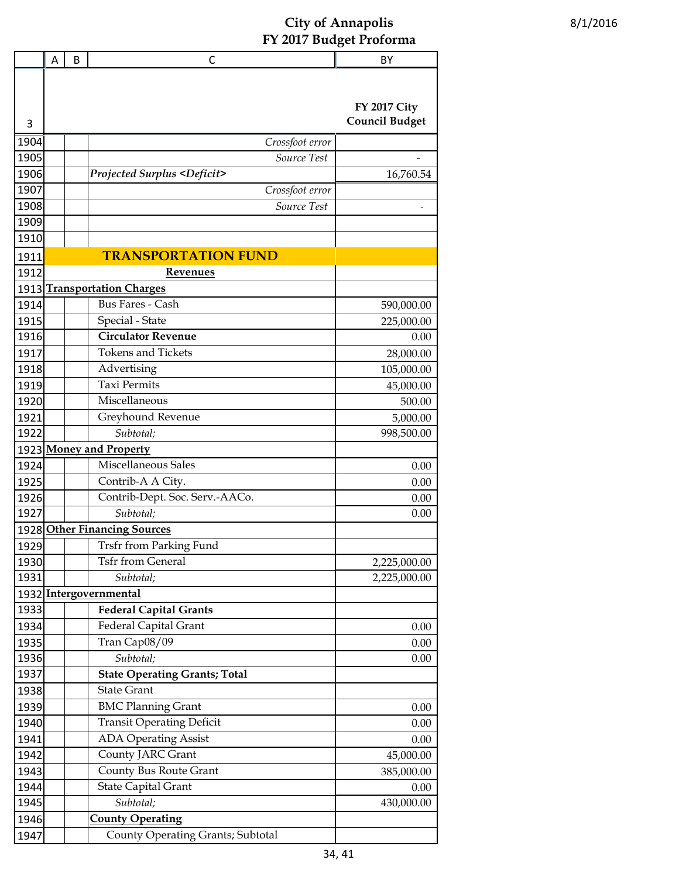|       | Α | B | C                                            | BY                    |
|-------|---|---|----------------------------------------------|-----------------------|
|       |   |   |                                              |                       |
|       |   |   |                                              |                       |
|       |   |   |                                              | <b>FY 2017 City</b>   |
| 3     |   |   |                                              | <b>Council Budget</b> |
| 1904  |   |   | Crossfoot error                              |                       |
| 1905  |   |   | Source Test                                  |                       |
| 1906  |   |   | <b>Projected Surplus <deficit></deficit></b> | 16,760.54             |
| 1907  |   |   | Crossfoot error                              |                       |
| 1908  |   |   | Source Test                                  |                       |
| 1909  |   |   |                                              |                       |
| 1910  |   |   |                                              |                       |
| 1911  |   |   | <b>TRANSPORTATION FUND</b>                   |                       |
| 1912  |   |   | <b>Revenues</b>                              |                       |
|       |   |   | 1913 Transportation Charges                  |                       |
| 1914  |   |   | <b>Bus Fares - Cash</b>                      | 590,000.00            |
| 1915  |   |   | Special - State                              | 225,000.00            |
| 1916  |   |   | <b>Circulator Revenue</b>                    | 0.00                  |
| 1917  |   |   | <b>Tokens and Tickets</b>                    | 28,000.00             |
| 1918  |   |   | Advertising                                  | 105,000.00            |
| 1919  |   |   | <b>Taxi Permits</b>                          | 45,000.00             |
| 1920  |   |   | Miscellaneous                                | 500.00                |
| 1921  |   |   | Greyhound Revenue                            | 5,000.00              |
| 1922  |   |   | Subtotal;                                    | 998,500.00            |
|       |   |   | 1923 Money and Property                      |                       |
| 1924  |   |   | <b>Miscellaneous Sales</b>                   | 0.00                  |
| 1925  |   |   | Contrib-A A City.                            | 0.00                  |
| 1926  |   |   | Contrib-Dept. Soc. Serv.-AACo.               | 0.00                  |
| 1927  |   |   | Subtotal;                                    | 0.00                  |
|       |   |   | 1928 Other Financing Sources                 |                       |
| 1929l |   |   | Trsfr from Parking Fund                      |                       |
| 1930  |   |   | <b>Tsfr from General</b>                     | 2,225,000.00          |
| 1931  |   |   | Subtotal;                                    | 2,225,000.00          |
|       |   |   | 1932 Intergovernmental                       |                       |
| 1933  |   |   | <b>Federal Capital Grants</b>                |                       |
| 1934  |   |   | Federal Capital Grant                        | 0.00                  |
| 1935  |   |   | Tran Cap08/09                                | 0.00                  |
| 1936  |   |   | Subtotal;                                    | 0.00                  |
| 1937  |   |   | <b>State Operating Grants; Total</b>         |                       |
| 1938  |   |   | <b>State Grant</b>                           |                       |
| 1939  |   |   | <b>BMC Planning Grant</b>                    | 0.00                  |
| 1940  |   |   | <b>Transit Operating Deficit</b>             | 0.00                  |
| 1941  |   |   | <b>ADA Operating Assist</b>                  | 0.00                  |
| 1942  |   |   | County JARC Grant                            | 45,000.00             |
| 1943  |   |   | <b>County Bus Route Grant</b>                | 385,000.00            |
| 1944  |   |   | <b>State Capital Grant</b>                   | 0.00                  |
| 1945  |   |   | Subtotal;                                    | 430,000.00            |
| 1946  |   |   | <b>County Operating</b>                      |                       |
| 1947  |   |   | County Operating Grants; Subtotal            |                       |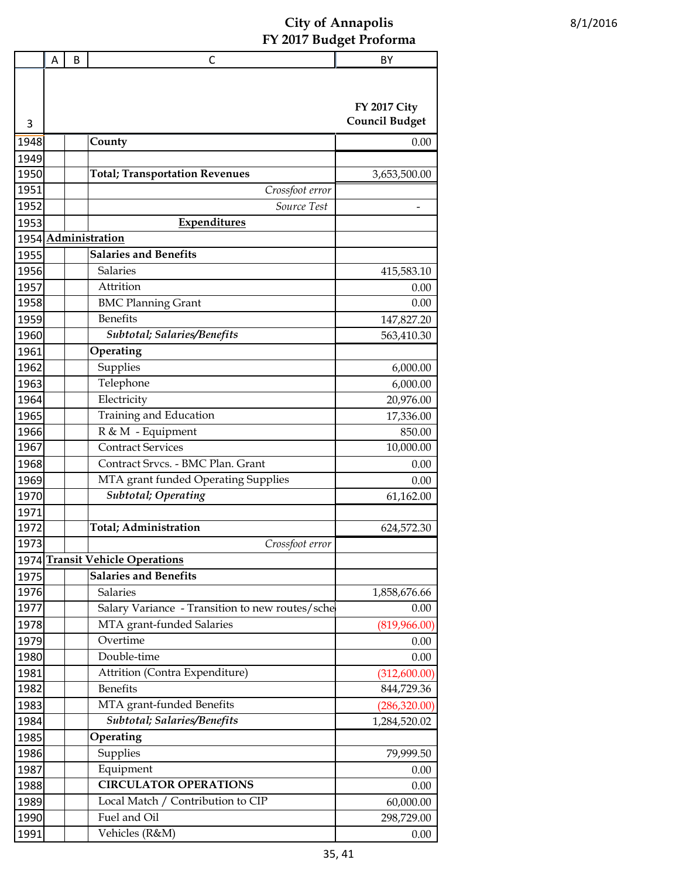|      | Α | B | С                                               | BY                                           |
|------|---|---|-------------------------------------------------|----------------------------------------------|
|      |   |   |                                                 |                                              |
|      |   |   |                                                 |                                              |
|      |   |   |                                                 | <b>FY 2017 City</b><br><b>Council Budget</b> |
| 3    |   |   |                                                 |                                              |
| 1948 |   |   | County                                          | 0.00                                         |
| 1949 |   |   |                                                 |                                              |
| 1950 |   |   | <b>Total; Transportation Revenues</b>           | 3,653,500.00                                 |
| 1951 |   |   | Crossfoot error                                 |                                              |
| 1952 |   |   | Source Test                                     |                                              |
| 1953 |   |   | Expenditures                                    |                                              |
|      |   |   | 1954 Administration                             |                                              |
| 1955 |   |   | <b>Salaries and Benefits</b>                    |                                              |
| 1956 |   |   | <b>Salaries</b>                                 | 415,583.10                                   |
| 1957 |   |   | Attrition                                       | 0.00                                         |
| 1958 |   |   | <b>BMC Planning Grant</b>                       | 0.00                                         |
| 1959 |   |   | <b>Benefits</b>                                 | 147,827.20                                   |
| 1960 |   |   | Subtotal; Salaries/Benefits                     | 563,410.30                                   |
| 1961 |   |   | Operating                                       |                                              |
| 1962 |   |   | Supplies                                        | 6,000.00                                     |
| 1963 |   |   | Telephone                                       | 6,000.00                                     |
| 1964 |   |   | Electricity                                     | 20,976.00                                    |
| 1965 |   |   | Training and Education                          | 17,336.00                                    |
| 1966 |   |   | R & M - Equipment                               | 850.00                                       |
| 1967 |   |   | <b>Contract Services</b>                        | 10,000.00                                    |
| 1968 |   |   | Contract Srvcs. - BMC Plan. Grant               | 0.00                                         |
| 1969 |   |   | MTA grant funded Operating Supplies             | 0.00                                         |
| 1970 |   |   | <b>Subtotal</b> ; Operating                     | 61,162.00                                    |
| 1971 |   |   |                                                 |                                              |
| 1972 |   |   | <b>Total</b> ; Administration                   | 624,572.30                                   |
| 1973 |   |   | Crossfoot error                                 |                                              |
|      |   |   | 1974 Transit Vehicle Operations                 |                                              |
| 1975 |   |   | <b>Salaries and Benefits</b>                    |                                              |
| 1976 |   |   | Salaries                                        | 1,858,676.66                                 |
| 1977 |   |   | Salary Variance - Transition to new routes/sche | 0.00                                         |
| 1978 |   |   | MTA grant-funded Salaries                       | (819,966.00)                                 |
| 1979 |   |   | Overtime                                        | 0.00                                         |
| 1980 |   |   | Double-time                                     | 0.00                                         |
| 1981 |   |   | Attrition (Contra Expenditure)                  | (312,600.00)                                 |
| 1982 |   |   | <b>Benefits</b>                                 | 844,729.36                                   |
| 1983 |   |   | MTA grant-funded Benefits                       | (286, 320.00)                                |
| 1984 |   |   | Subtotal; Salaries/Benefits                     | 1,284,520.02                                 |
| 1985 |   |   | Operating                                       |                                              |
| 1986 |   |   | Supplies                                        | 79,999.50                                    |
| 1987 |   |   | Equipment                                       | 0.00                                         |
| 1988 |   |   | <b>CIRCULATOR OPERATIONS</b>                    | 0.00                                         |
| 1989 |   |   | Local Match / Contribution to CIP               | 60,000.00                                    |
| 1990 |   |   | Fuel and Oil                                    | 298,729.00                                   |
| 1991 |   |   | Vehicles (R&M)                                  | 0.00                                         |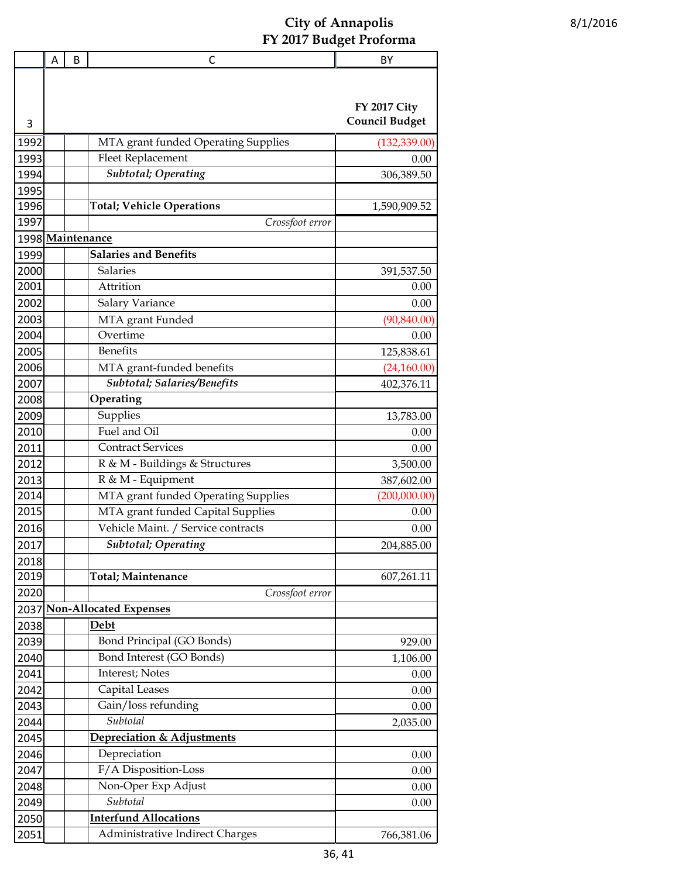|                  | A | B | С                                   | BY                                           |
|------------------|---|---|-------------------------------------|----------------------------------------------|
|                  |   |   |                                     |                                              |
|                  |   |   |                                     |                                              |
|                  |   |   |                                     | <b>FY 2017 City</b><br><b>Council Budget</b> |
| 3                |   |   |                                     |                                              |
| 1992             |   |   | MTA grant funded Operating Supplies | (132, 339.00)                                |
| 1993             |   |   | <b>Fleet Replacement</b>            | 0.00                                         |
| 1994             |   |   | <b>Subtotal; Operating</b>          | 306,389.50                                   |
| 1995             |   |   |                                     |                                              |
| 1996             |   |   | <b>Total; Vehicle Operations</b>    | 1,590,909.52                                 |
| 1997             |   |   | Crossfoot error                     |                                              |
| 1998 Maintenance |   |   |                                     |                                              |
| 1999             |   |   | <b>Salaries and Benefits</b>        |                                              |
| 2000             |   |   | Salaries                            | 391,537.50                                   |
| 2001             |   |   | Attrition                           | 0.00                                         |
| 2002             |   |   | Salary Variance                     | 0.00                                         |
| 2003             |   |   | MTA grant Funded                    | (90, 840.00)                                 |
| 2004             |   |   | Overtime                            | 0.00                                         |
| 2005             |   |   | <b>Benefits</b>                     | 125,838.61                                   |
| 2006             |   |   | MTA grant-funded benefits           | (24,160.00)                                  |
| 2007             |   |   | Subtotal; Salaries/Benefits         | 402,376.11                                   |
| 2008             |   |   | Operating                           |                                              |
| 2009             |   |   | Supplies                            | 13,783.00                                    |
| 2010             |   |   | Fuel and Oil                        | 0.00                                         |
| 2011             |   |   | <b>Contract Services</b>            | 0.00                                         |
| 2012             |   |   | R & M - Buildings & Structures      | 3,500.00                                     |
| 2013             |   |   | R & M - Equipment                   | 387,602.00                                   |
| 2014             |   |   | MTA grant funded Operating Supplies | (200,000.00)                                 |
| 2015             |   |   | MTA grant funded Capital Supplies   | 0.00                                         |
| 2016             |   |   | Vehicle Maint. / Service contracts  | 0.00                                         |
| 2017             |   |   | Subtotal; Operating                 | 204,885.00                                   |
| 2018             |   |   |                                     |                                              |
| 2019             |   |   | <b>Total</b> ; Maintenance          | 607,261.11                                   |
| 2020             |   |   | Crossfoot error                     |                                              |
|                  |   |   | 2037 Non-Allocated Expenses         |                                              |
| 2038             |   |   | Debt                                |                                              |
| 2039             |   |   | Bond Principal (GO Bonds)           | 929.00                                       |
| 2040             |   |   | Bond Interest (GO Bonds)            | 1,106.00                                     |
| 2041             |   |   | Interest; Notes                     | 0.00                                         |
| 2042             |   |   | Capital Leases                      | 0.00                                         |
| 2043             |   |   | Gain/loss refunding                 | 0.00                                         |
| 2044             |   |   | Subtotal                            | 2,035.00                                     |
| 2045             |   |   | Depreciation & Adjustments          |                                              |
| 2046             |   |   | Depreciation                        | 0.00                                         |
| 2047             |   |   | F/A Disposition-Loss                | 0.00                                         |
| 2048             |   |   | Non-Oper Exp Adjust                 | 0.00                                         |
| 2049             |   |   | $\overline{S}$ ubtotal              | 0.00                                         |
| 2050             |   |   | <b>Interfund Allocations</b>        |                                              |
| 2051             |   |   | Administrative Indirect Charges     | 766,381.06                                   |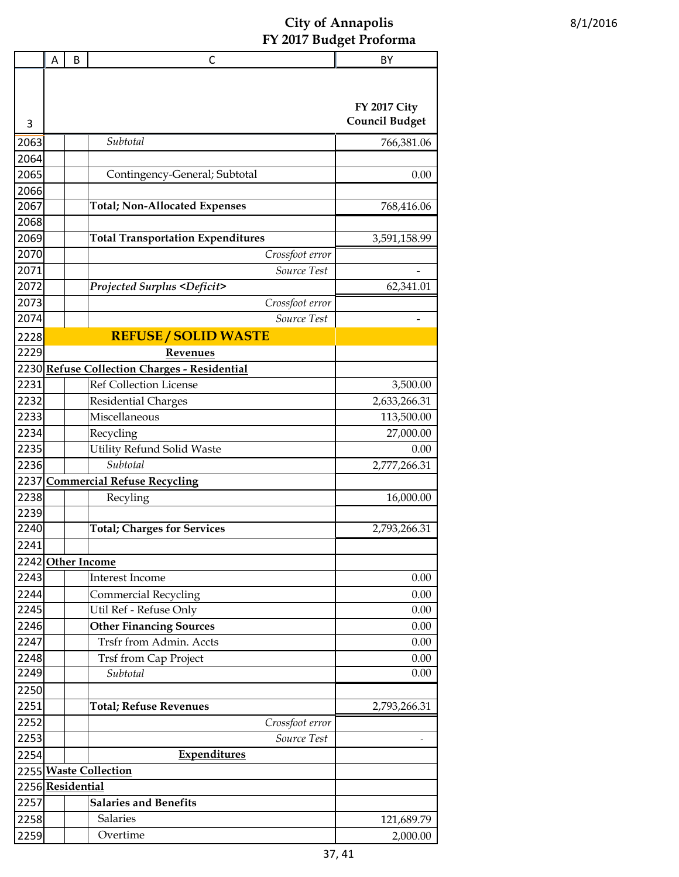|                                           | A | B | C                                                     | BY                    |  |
|-------------------------------------------|---|---|-------------------------------------------------------|-----------------------|--|
|                                           |   |   |                                                       |                       |  |
|                                           |   |   |                                                       |                       |  |
|                                           |   |   |                                                       | <b>FY 2017 City</b>   |  |
| 3                                         |   |   |                                                       | <b>Council Budget</b> |  |
| 2063                                      |   |   | Subtotal                                              | 766,381.06            |  |
| 2064                                      |   |   |                                                       |                       |  |
| 2065                                      |   |   | Contingency-General; Subtotal                         | 0.00                  |  |
| 2066                                      |   |   |                                                       |                       |  |
| 2067                                      |   |   | <b>Total; Non-Allocated Expenses</b>                  | 768,416.06            |  |
| 2068                                      |   |   |                                                       |                       |  |
| 2069                                      |   |   | <b>Total Transportation Expenditures</b>              | 3,591,158.99          |  |
| 2070                                      |   |   | Crossfoot error                                       |                       |  |
| 2071                                      |   |   | Source Test                                           |                       |  |
| 2072                                      |   |   | <b>Projected Surplus <deficit></deficit></b>          | 62,341.01             |  |
| 2073                                      |   |   | Crossfoot error                                       |                       |  |
| 2074                                      |   |   | Source Test                                           |                       |  |
| 2228                                      |   |   | <b>REFUSE / SOLID WASTE</b>                           |                       |  |
| 2229                                      |   |   | Revenues                                              |                       |  |
| 2230                                      |   |   | <b>Refuse Collection Charges - Residential</b>        |                       |  |
| 2231                                      |   |   | <b>Ref Collection License</b>                         | 3,500.00              |  |
| 2232                                      |   |   | <b>Residential Charges</b>                            | 2,633,266.31          |  |
| 2233                                      |   |   | Miscellaneous                                         | 113,500.00            |  |
| 2234                                      |   |   | Recycling                                             | 27,000.00             |  |
| 2235                                      |   |   | Utility Refund Solid Waste                            | 0.00                  |  |
| 2236                                      |   |   | Subtotal                                              | 2,777,266.31          |  |
| 2237                                      |   |   | <b>Commercial Refuse Recycling</b>                    |                       |  |
| 2238<br>2239                              |   |   | Recyling                                              | 16,000.00             |  |
| 2240                                      |   |   | <b>Total; Charges for Services</b>                    | 2,793,266.31          |  |
|                                           |   |   |                                                       |                       |  |
| 2241                                      |   |   | 2242 Other Income                                     |                       |  |
|                                           |   |   | <b>Interest Income</b>                                |                       |  |
| 2243                                      |   |   |                                                       | 0.00                  |  |
| 2244<br>2245                              |   |   | <b>Commercial Recycling</b><br>Util Ref - Refuse Only | 0.00<br>0.00          |  |
| 2246                                      |   |   | <b>Other Financing Sources</b>                        | 0.00                  |  |
| 2247                                      |   |   | Trsfr from Admin. Accts                               | 0.00                  |  |
| 2248                                      |   |   | <b>Trsf from Cap Project</b>                          | 0.00                  |  |
| 2249                                      |   |   | Subtotal                                              | 0.00                  |  |
| 2250                                      |   |   |                                                       |                       |  |
| 2251                                      |   |   | <b>Total; Refuse Revenues</b>                         | 2,793,266.31          |  |
| 2252                                      |   |   | Crossfoot error                                       |                       |  |
| 2253                                      |   |   | Source Test                                           |                       |  |
| 2254                                      |   |   | Expenditures                                          |                       |  |
|                                           |   |   |                                                       |                       |  |
| 2255 Waste Collection<br>2256 Residential |   |   |                                                       |                       |  |
| 2257                                      |   |   | <b>Salaries and Benefits</b>                          |                       |  |
| 2258                                      |   |   | Salaries                                              | 121,689.79            |  |
| 2259                                      |   |   | Overtime                                              | 2,000.00              |  |
|                                           |   |   |                                                       |                       |  |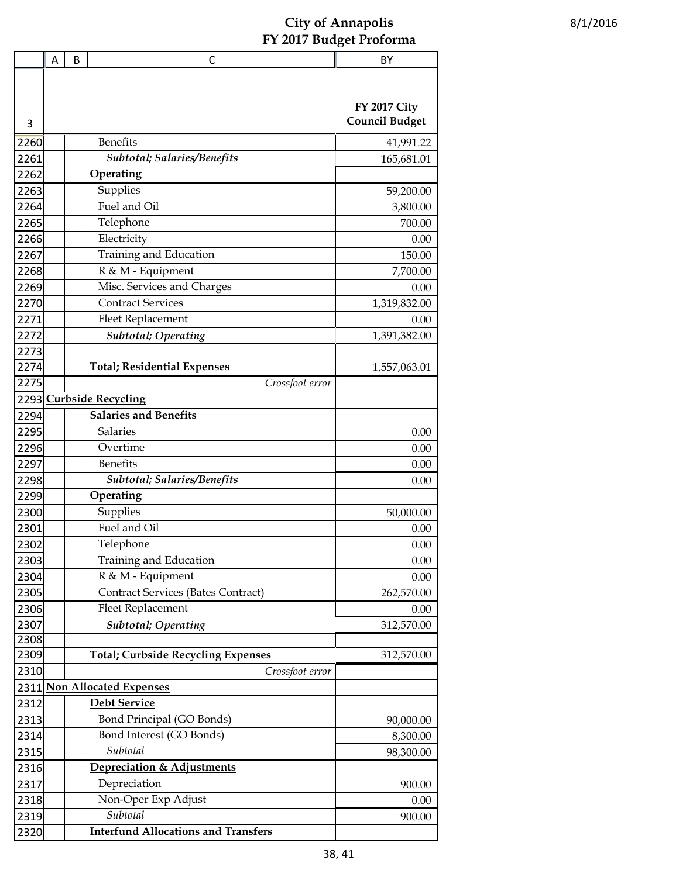|      | Α | B | C                                          | BY                    |
|------|---|---|--------------------------------------------|-----------------------|
|      |   |   |                                            | <b>FY 2017 City</b>   |
| 3    |   |   |                                            | <b>Council Budget</b> |
| 2260 |   |   | <b>Benefits</b>                            | 41,991.22             |
| 2261 |   |   | Subtotal; Salaries/Benefits                | 165,681.01            |
| 2262 |   |   | Operating                                  |                       |
| 2263 |   |   | Supplies                                   | 59,200.00             |
| 2264 |   |   | Fuel and Oil                               | 3,800.00              |
| 2265 |   |   | Telephone                                  | 700.00                |
| 2266 |   |   | Electricity                                | 0.00                  |
| 2267 |   |   | Training and Education                     | 150.00                |
| 2268 |   |   | R & M - Equipment                          | 7,700.00              |
| 2269 |   |   | Misc. Services and Charges                 | 0.00                  |
| 2270 |   |   | <b>Contract Services</b>                   | 1,319,832.00          |
| 2271 |   |   | Fleet Replacement                          | 0.00                  |
| 2272 |   |   | <b>Subtotal</b> ; Operating                | 1,391,382.00          |
| 2273 |   |   |                                            |                       |
| 2274 |   |   | <b>Total; Residential Expenses</b>         | 1,557,063.01          |
| 2275 |   |   | Crossfoot error                            |                       |
| 2293 |   |   | <b>Curbside Recycling</b>                  |                       |
| 2294 |   |   | <b>Salaries and Benefits</b>               |                       |
| 2295 |   |   | <b>Salaries</b>                            | 0.00                  |
| 2296 |   |   | Overtime                                   | 0.00                  |
| 2297 |   |   | <b>Benefits</b>                            | 0.00                  |
| 2298 |   |   | Subtotal; Salaries/Benefits                | 0.00                  |
| 2299 |   |   | Operating                                  |                       |
| 2300 |   |   | Supplies                                   | 50,000.00             |
| 2301 |   |   | Fuel and Oil                               | 0.00                  |
| 2302 |   |   | Telephone                                  | 0.00                  |
| 2303 |   |   | Training and Education                     | 0.00                  |
| 2304 |   |   | R & M - Equipment                          | 0.00                  |
| 2305 |   |   | <b>Contract Services (Bates Contract)</b>  | 262,570.00            |
| 2306 |   |   | <b>Fleet Replacement</b>                   | 0.00                  |
| 2307 |   |   | <b>Subtotal</b> ; Operating                | 312,570.00            |
| 2308 |   |   |                                            |                       |
| 2309 |   |   | <b>Total; Curbside Recycling Expenses</b>  | 312,570.00            |
| 2310 |   |   | Crossfoot error                            |                       |
| 2311 |   |   | <b>Non Allocated Expenses</b>              |                       |
| 2312 |   |   | <b>Debt Service</b>                        |                       |
| 2313 |   |   | Bond Principal (GO Bonds)                  | 90,000.00             |
| 2314 |   |   | Bond Interest (GO Bonds)                   | 8,300.00              |
| 2315 |   |   | Subtotal                                   | 98,300.00             |
| 2316 |   |   | Depreciation & Adjustments                 |                       |
| 2317 |   |   | Depreciation                               | 900.00                |
| 2318 |   |   | Non-Oper Exp Adjust                        | 0.00                  |
| 2319 |   |   | Subtotal                                   | 900.00                |
| 2320 |   |   | <b>Interfund Allocations and Transfers</b> |                       |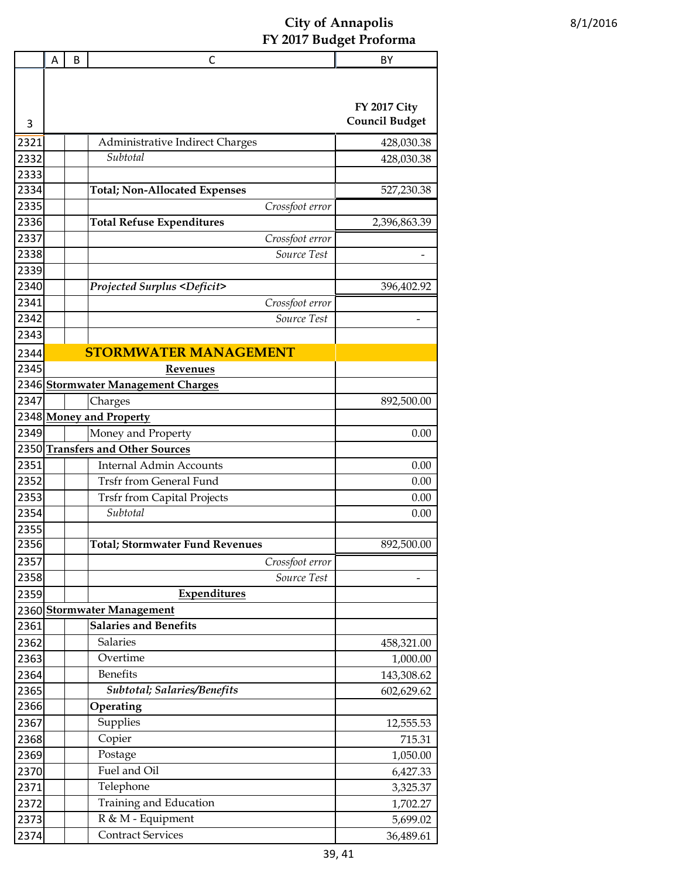|      | A | B | C                                            | BY                    |
|------|---|---|----------------------------------------------|-----------------------|
|      |   |   |                                              |                       |
|      |   |   |                                              |                       |
|      |   |   |                                              | <b>FY 2017 City</b>   |
| 3    |   |   |                                              | <b>Council Budget</b> |
| 2321 |   |   | Administrative Indirect Charges              | 428,030.38            |
| 2332 |   |   | Subtotal                                     | 428,030.38            |
| 2333 |   |   |                                              |                       |
| 2334 |   |   | <b>Total; Non-Allocated Expenses</b>         | 527,230.38            |
| 2335 |   |   | Crossfoot error                              |                       |
| 2336 |   |   | <b>Total Refuse Expenditures</b>             | 2,396,863.39          |
| 2337 |   |   | Crossfoot error                              |                       |
| 2338 |   |   | Source Test                                  |                       |
| 2339 |   |   |                                              |                       |
| 2340 |   |   | <b>Projected Surplus <deficit></deficit></b> | 396,402.92            |
| 2341 |   |   | Crossfoot error                              |                       |
| 2342 |   |   | Source Test                                  |                       |
| 2343 |   |   |                                              |                       |
| 2344 |   |   | <b>STORMWATER MANAGEMENT</b>                 |                       |
| 2345 |   |   | <b>Revenues</b>                              |                       |
| 2346 |   |   | <b>Stormwater Management Charges</b>         |                       |
| 2347 |   |   | Charges                                      | 892,500.00            |
|      |   |   | 2348 Money and Property                      |                       |
| 2349 |   |   | Money and Property                           | 0.00                  |
| 2350 |   |   | <b>Transfers and Other Sources</b>           |                       |
| 2351 |   |   | <b>Internal Admin Accounts</b>               | 0.00                  |
| 2352 |   |   | <b>Trsfr from General Fund</b>               | 0.00                  |
| 2353 |   |   | <b>Trsfr from Capital Projects</b>           | 0.00                  |
| 2354 |   |   | Subtotal                                     | 0.00                  |
| 2355 |   |   |                                              |                       |
| 2356 |   |   | <b>Total; Stormwater Fund Revenues</b>       | 892,500.00            |
| 2357 |   |   | Crossfoot error                              |                       |
| 2358 |   |   | Source Test                                  |                       |
| 2359 |   |   | Expenditures                                 |                       |
| 2360 |   |   | <b>Stormwater Management</b>                 |                       |
| 2361 |   |   | <b>Salaries and Benefits</b>                 |                       |
| 2362 |   |   | Salaries                                     | 458,321.00            |
| 2363 |   |   | Overtime                                     | 1,000.00              |
| 2364 |   |   | <b>Benefits</b>                              | 143,308.62            |
| 2365 |   |   | Subtotal; Salaries/Benefits                  | 602,629.62            |
| 2366 |   |   | Operating                                    |                       |
| 2367 |   |   | Supplies                                     | 12,555.53             |
| 2368 |   |   | Copier                                       | 715.31                |
| 2369 |   |   | Postage                                      | 1,050.00              |
| 2370 |   |   | Fuel and Oil                                 | 6,427.33              |
| 2371 |   |   | Telephone                                    | 3,325.37              |
| 2372 |   |   | Training and Education                       | 1,702.27              |
| 2373 |   |   | R & M - Equipment                            | 5,699.02              |
| 2374 |   |   | <b>Contract Services</b>                     | 36,489.61             |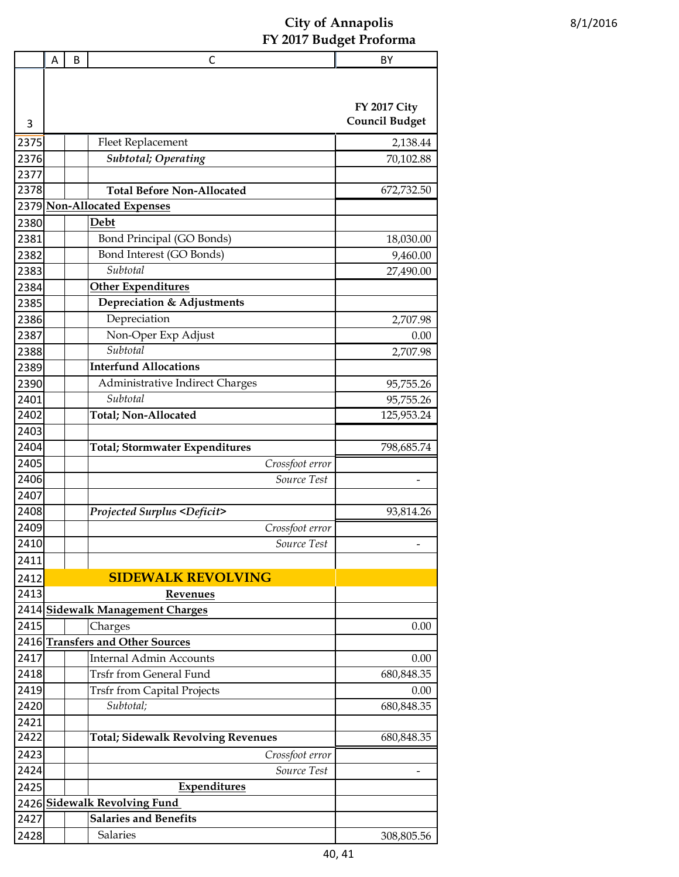|              | Α | B | C                                                     | BY                    |
|--------------|---|---|-------------------------------------------------------|-----------------------|
|              |   |   |                                                       |                       |
|              |   |   |                                                       |                       |
|              |   |   |                                                       | <b>FY 2017 City</b>   |
| 3            |   |   |                                                       | <b>Council Budget</b> |
| 2375         |   |   | Fleet Replacement                                     | 2,138.44              |
| 2376         |   |   | <b>Subtotal</b> ; Operating                           | 70,102.88             |
| 2377         |   |   |                                                       |                       |
| 2378         |   |   | <b>Total Before Non-Allocated</b>                     | 672,732.50            |
| 2379         |   |   | <b>Non-Allocated Expenses</b>                         |                       |
| 2380         |   |   | Debt                                                  |                       |
| 2381         |   |   | Bond Principal (GO Bonds)                             | 18,030.00             |
| 2382         |   |   | Bond Interest (GO Bonds)                              | 9,460.00              |
| 2383         |   |   | Subtotal                                              | 27,490.00             |
| 2384         |   |   | <b>Other Expenditures</b>                             |                       |
| 2385         |   |   | Depreciation & Adjustments                            |                       |
| 2386         |   |   | Depreciation                                          | 2,707.98              |
| 2387         |   |   | Non-Oper Exp Adjust                                   | 0.00                  |
| 2388         |   |   | Subtotal                                              | 2,707.98              |
| 2389         |   |   | <b>Interfund Allocations</b>                          |                       |
| 2390         |   |   | Administrative Indirect Charges                       | 95,755.26             |
| 2401         |   |   | Subtotal                                              | 95,755.26             |
| 2402         |   |   | Total; Non-Allocated                                  | 125,953.24            |
| 2403         |   |   |                                                       |                       |
| 2404         |   |   | <b>Total; Stormwater Expenditures</b>                 | 798,685.74            |
| 2405         |   |   | Crossfoot error                                       |                       |
| 2406         |   |   | Source Test                                           |                       |
| 2407         |   |   |                                                       |                       |
| 2408         |   |   | <b>Projected Surplus <deficit></deficit></b>          | 93,814.26             |
| 2409         |   |   | Crossfoot error                                       |                       |
| 2410         |   |   | Source Test                                           |                       |
| 2411         |   |   |                                                       |                       |
| 2412         |   |   | <b>SIDEWALK REVOLVING</b>                             |                       |
| 2413         |   |   |                                                       |                       |
| 2414         |   |   | <b>Revenues</b><br><b>Sidewalk Management Charges</b> |                       |
| 2415         |   |   |                                                       | 0.00                  |
| 2416         |   |   | Charges<br><b>Transfers and Other Sources</b>         |                       |
| 2417         |   |   | <b>Internal Admin Accounts</b>                        | 0.00                  |
| 2418         |   |   | <b>Trsfr from General Fund</b>                        | 680,848.35            |
| 2419         |   |   | <b>Trsfr from Capital Projects</b>                    | 0.00                  |
| 2420         |   |   | Subtotal;                                             | 680,848.35            |
|              |   |   |                                                       |                       |
| 2421<br>2422 |   |   | <b>Total; Sidewalk Revolving Revenues</b>             | 680,848.35            |
| 2423         |   |   |                                                       |                       |
|              |   |   | Crossfoot error<br>Source Test                        |                       |
| 2424         |   |   |                                                       |                       |
| 2425         |   |   | <b>Expenditures</b>                                   |                       |
| 2426         |   |   | <b>Sidewalk Revolving Fund</b>                        |                       |
| 2427         |   |   | <b>Salaries and Benefits</b>                          |                       |
| 2428         |   |   | Salaries                                              | 308,805.56            |